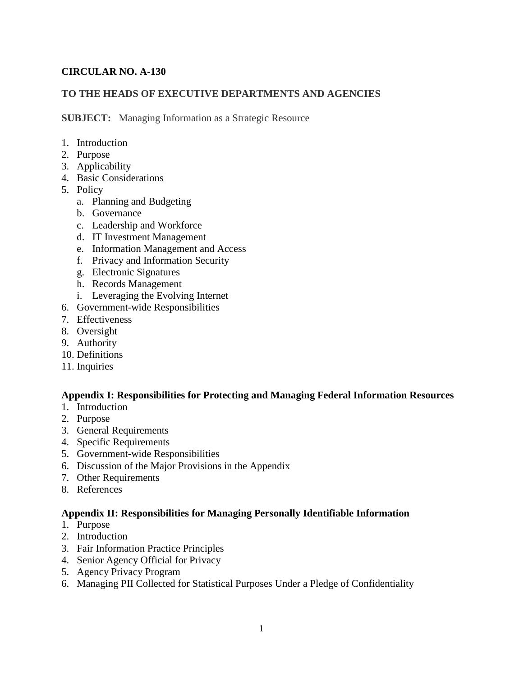# **CIRCULAR NO. A-130**

# **TO THE HEADS OF EXECUTIVE DEPARTMENTS AND AGENCIES**

**SUBJECT:** Managing Information as a Strategic Resource

- 1. Introduction
- 2. Purpose
- 3. Applicability
- 4. Basic Considerations
- 5. Policy
	- a. Planning and Budgeting
	- b. Governance
	- c. Leadership and Workforce
	- d. IT Investment Management
	- e. Information Management and Access
	- f. Privacy and Information Security
	- g. Electronic Signatures
	- h. Records Management
	- i. Leveraging the Evolving Internet
- 6. Government-wide Responsibilities
- 7. Effectiveness
- 8. Oversight
- 9. Authority
- 10. Definitions
- 11. Inquiries

# **Appendix I: Responsibilities for Protecting and Managing Federal Information Resources**

- 1. Introduction
- 2. Purpose
- 3. General Requirements
- 4. Specific Requirements
- 5. Government-wide Responsibilities
- 6. Discussion of the Major Provisions in the Appendix
- 7. Other Requirements
- 8. References

#### **Appendix II: Responsibilities for Managing Personally Identifiable Information**

- 1. Purpose
- 2. Introduction
- 3. Fair Information Practice Principles
- 4. Senior Agency Official for Privacy
- 5. Agency Privacy Program
- 6. Managing PII Collected for Statistical Purposes Under a Pledge of Confidentiality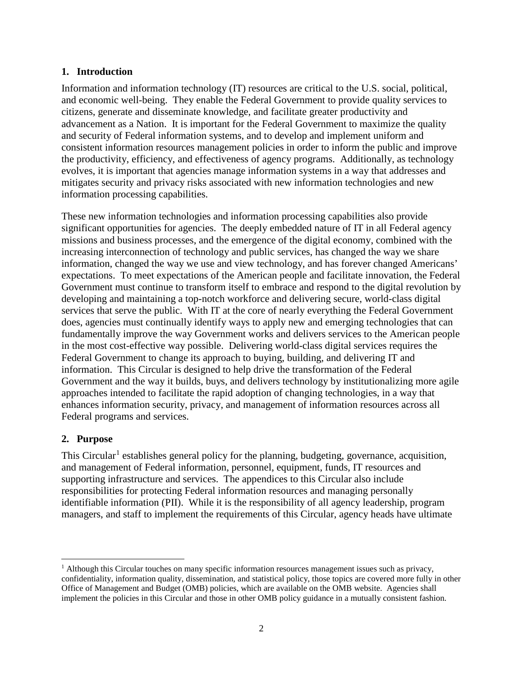## **1. Introduction**

Information and information technology (IT) resources are critical to the U.S. social, political, and economic well-being. They enable the Federal Government to provide quality services to citizens, generate and disseminate knowledge, and facilitate greater productivity and advancement as a Nation. It is important for the Federal Government to maximize the quality and security of Federal information systems, and to develop and implement uniform and consistent information resources management policies in order to inform the public and improve the productivity, efficiency, and effectiveness of agency programs. Additionally, as technology evolves, it is important that agencies manage information systems in a way that addresses and mitigates security and privacy risks associated with new information technologies and new information processing capabilities.

These new information technologies and information processing capabilities also provide significant opportunities for agencies. The deeply embedded nature of IT in all Federal agency missions and business processes, and the emergence of the digital economy, combined with the increasing interconnection of technology and public services, has changed the way we share information, changed the way we use and view technology, and has forever changed Americans' expectations. To meet expectations of the American people and facilitate innovation, the Federal Government must continue to transform itself to embrace and respond to the digital revolution by developing and maintaining a top-notch workforce and delivering secure, world-class digital services that serve the public. With IT at the core of nearly everything the Federal Government does, agencies must continually identify ways to apply new and emerging technologies that can fundamentally improve the way Government works and delivers services to the American people in the most cost-effective way possible. Delivering world-class digital services requires the Federal Government to change its approach to buying, building, and delivering IT and information. This Circular is designed to help drive the transformation of the Federal Government and the way it builds, buys, and delivers technology by institutionalizing more agile approaches intended to facilitate the rapid adoption of changing technologies, in a way that enhances information security, privacy, and management of information resources across all Federal programs and services.

# **2. Purpose**

l

This Circular<sup>[1](#page-1-0)</sup> establishes general policy for the planning, budgeting, governance, acquisition, and management of Federal information, personnel, equipment, funds, IT resources and supporting infrastructure and services. The appendices to this Circular also include responsibilities for protecting Federal information resources and managing personally identifiable information (PII). While it is the responsibility of all agency leadership, program managers, and staff to implement the requirements of this Circular, agency heads have ultimate

<span id="page-1-0"></span> $<sup>1</sup>$  Although this Circular touches on many specific information resources management issues such as privacy,</sup> confidentiality, information quality, dissemination, and statistical policy, those topics are covered more fully in other Office of Management and Budget (OMB) policies, which are available on the OMB website. Agencies shall implement the policies in this Circular and those in other OMB policy guidance in a mutually consistent fashion.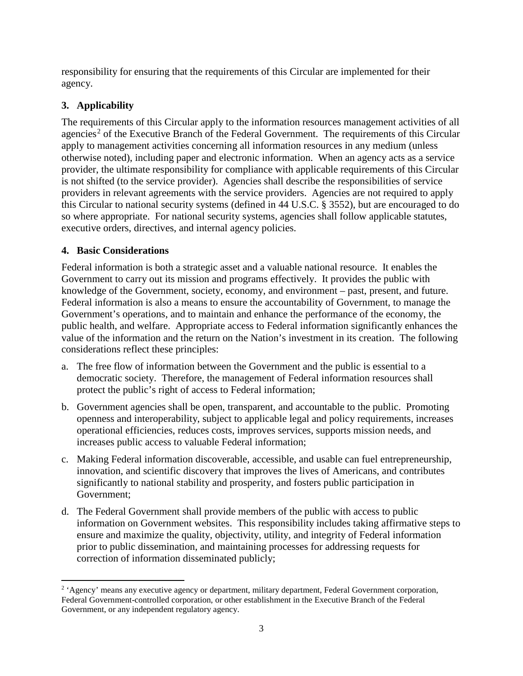responsibility for ensuring that the requirements of this Circular are implemented for their agency.

# **3. Applicability**

The requirements of this Circular apply to the information resources management activities of all agencies<sup>[2](#page-2-0)</sup> of the Executive Branch of the Federal Government. The requirements of this Circular apply to management activities concerning all information resources in any medium (unless otherwise noted), including paper and electronic information. When an agency acts as a service provider, the ultimate responsibility for compliance with applicable requirements of this Circular is not shifted (to the service provider). Agencies shall describe the responsibilities of service providers in relevant agreements with the service providers. Agencies are not required to apply this Circular to national security systems (defined in 44 U.S.C. § 3552), but are encouraged to do so where appropriate. For national security systems, agencies shall follow applicable statutes, executive orders, directives, and internal agency policies.

### **4. Basic Considerations**

Federal information is both a strategic asset and a valuable national resource. It enables the Government to carry out its mission and programs effectively. It provides the public with knowledge of the Government, society, economy, and environment – past, present, and future. Federal information is also a means to ensure the accountability of Government, to manage the Government's operations, and to maintain and enhance the performance of the economy, the public health, and welfare. Appropriate access to Federal information significantly enhances the value of the information and the return on the Nation's investment in its creation. The following considerations reflect these principles:

- a. The free flow of information between the Government and the public is essential to a democratic society. Therefore, the management of Federal information resources shall protect the public's right of access to Federal information;
- b. Government agencies shall be open, transparent, and accountable to the public. Promoting openness and interoperability, subject to applicable legal and policy requirements, increases operational efficiencies, reduces costs, improves services, supports mission needs, and increases public access to valuable Federal information;
- c. Making Federal information discoverable, accessible, and usable can fuel entrepreneurship, innovation, and scientific discovery that improves the lives of Americans, and contributes significantly to national stability and prosperity, and fosters public participation in Government;
- d. The Federal Government shall provide members of the public with access to public information on Government websites. This responsibility includes taking affirmative steps to ensure and maximize the quality, objectivity, utility, and integrity of Federal information prior to public dissemination, and maintaining processes for addressing requests for correction of information disseminated publicly;

<span id="page-2-0"></span> $\overline{\phantom{a}}$ <sup>2</sup> 'Agency' means any executive agency or department, military department, Federal Government corporation, Federal Government-controlled corporation, or other establishment in the Executive Branch of the Federal Government, or any independent regulatory agency.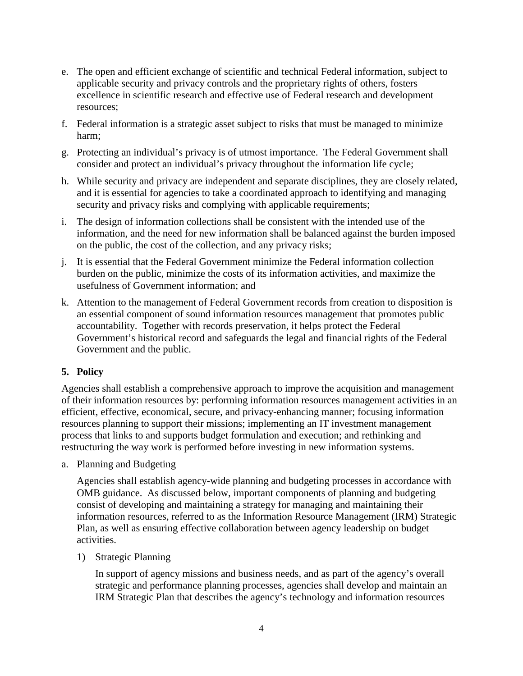- e. The open and efficient exchange of scientific and technical Federal information, subject to applicable security and privacy controls and the proprietary rights of others, fosters excellence in scientific research and effective use of Federal research and development resources;
- f. Federal information is a strategic asset subject to risks that must be managed to minimize harm;
- g. Protecting an individual's privacy is of utmost importance. The Federal Government shall consider and protect an individual's privacy throughout the information life cycle;
- h. While security and privacy are independent and separate disciplines, they are closely related, and it is essential for agencies to take a coordinated approach to identifying and managing security and privacy risks and complying with applicable requirements;
- i. The design of information collections shall be consistent with the intended use of the information, and the need for new information shall be balanced against the burden imposed on the public, the cost of the collection, and any privacy risks;
- j. It is essential that the Federal Government minimize the Federal information collection burden on the public, minimize the costs of its information activities, and maximize the usefulness of Government information; and
- k. Attention to the management of Federal Government records from creation to disposition is an essential component of sound information resources management that promotes public accountability. Together with records preservation, it helps protect the Federal Government's historical record and safeguards the legal and financial rights of the Federal Government and the public.

# **5. Policy**

Agencies shall establish a comprehensive approach to improve the acquisition and management of their information resources by: performing information resources management activities in an efficient, effective, economical, secure, and privacy-enhancing manner; focusing information resources planning to support their missions; implementing an IT investment management process that links to and supports budget formulation and execution; and rethinking and restructuring the way work is performed before investing in new information systems.

a. Planning and Budgeting

Agencies shall establish agency-wide planning and budgeting processes in accordance with OMB guidance. As discussed below, important components of planning and budgeting consist of developing and maintaining a strategy for managing and maintaining their information resources, referred to as the Information Resource Management (IRM) Strategic Plan, as well as ensuring effective collaboration between agency leadership on budget activities.

1) Strategic Planning

In support of agency missions and business needs, and as part of the agency's overall strategic and performance planning processes, agencies shall develop and maintain an IRM Strategic Plan that describes the agency's technology and information resources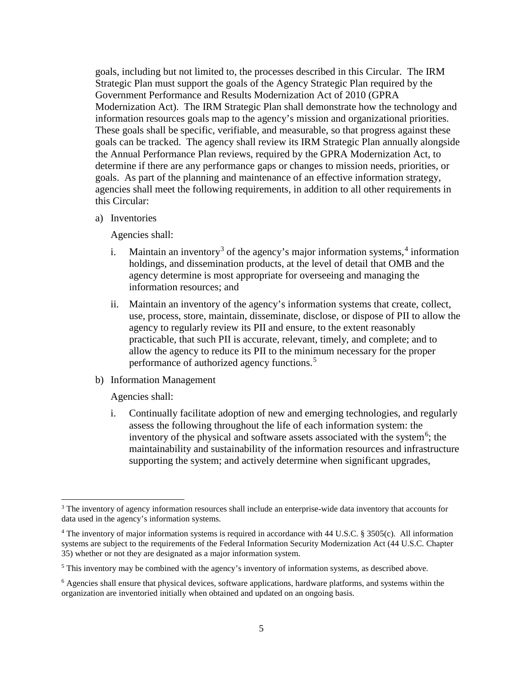goals, including but not limited to, the processes described in this Circular. The IRM Strategic Plan must support the goals of the Agency Strategic Plan required by the Government Performance and Results Modernization Act of 2010 (GPRA Modernization Act). The IRM Strategic Plan shall demonstrate how the technology and information resources goals map to the agency's mission and organizational priorities. These goals shall be specific, verifiable, and measurable, so that progress against these goals can be tracked. The agency shall review its IRM Strategic Plan annually alongside the Annual Performance Plan reviews, required by the GPRA Modernization Act, to determine if there are any performance gaps or changes to mission needs, priorities, or goals. As part of the planning and maintenance of an effective information strategy, agencies shall meet the following requirements, in addition to all other requirements in this Circular:

a) Inventories

Agencies shall:

- i. Maintain an inventory<sup>[3](#page-4-0)</sup> of the agency's major information systems,  $4$  information holdings, and dissemination products, at the level of detail that OMB and the agency determine is most appropriate for overseeing and managing the information resources; and
- ii. Maintain an inventory of the agency's information systems that create, collect, use, process, store, maintain, disseminate, disclose, or dispose of PII to allow the agency to regularly review its PII and ensure, to the extent reasonably practicable, that such PII is accurate, relevant, timely, and complete; and to allow the agency to reduce its PII to the minimum necessary for the proper performance of authorized agency functions. [5](#page-4-2)
- b) Information Management

Agencies shall:

 $\overline{\phantom{a}}$ 

i. Continually facilitate adoption of new and emerging technologies, and regularly assess the following throughout the life of each information system: the inventory of the physical and software assets associated with the system<sup>[6](#page-4-3)</sup>; the maintainability and sustainability of the information resources and infrastructure supporting the system; and actively determine when significant upgrades,

<span id="page-4-0"></span><sup>3</sup> The inventory of agency information resources shall include an enterprise-wide data inventory that accounts for data used in the agency's information systems.

<span id="page-4-1"></span><sup>4</sup> The inventory of major information systems is required in accordance with 44 U.S.C. § 3505(c). All information systems are subject to the requirements of the Federal Information Security Modernization Act (44 U.S.C. Chapter 35) whether or not they are designated as a major information system.

<span id="page-4-2"></span><sup>5</sup> This inventory may be combined with the agency's inventory of information systems, as described above.

<span id="page-4-3"></span><sup>&</sup>lt;sup>6</sup> Agencies shall ensure that physical devices, software applications, hardware platforms, and systems within the organization are inventoried initially when obtained and updated on an ongoing basis.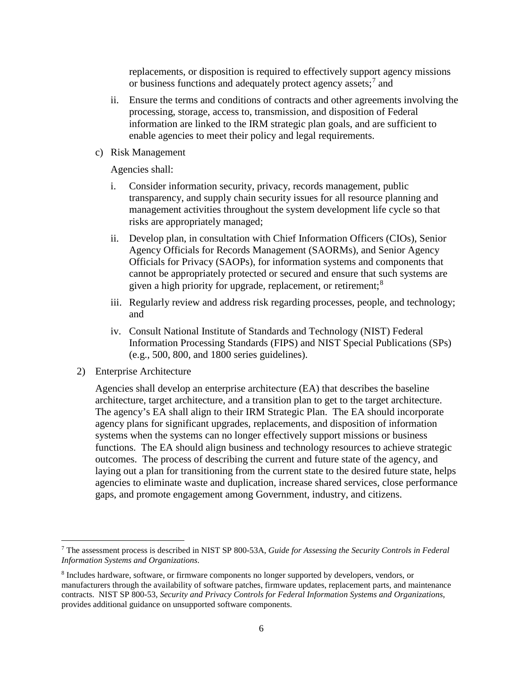replacements, or disposition is required to effectively support agency missions or business functions and adequately protect agency assets;<sup>[7](#page-5-0)</sup> and

- ii. Ensure the terms and conditions of contracts and other agreements involving the processing, storage, access to, transmission, and disposition of Federal information are linked to the IRM strategic plan goals, and are sufficient to enable agencies to meet their policy and legal requirements.
- c) Risk Management

Agencies shall:

- i. Consider information security, privacy, records management, public transparency, and supply chain security issues for all resource planning and management activities throughout the system development life cycle so that risks are appropriately managed;
- ii. Develop plan, in consultation with Chief Information Officers (CIOs), Senior Agency Officials for Records Management (SAORMs), and Senior Agency Officials for Privacy (SAOPs), for information systems and components that cannot be appropriately protected or secured and ensure that such systems are given a high priority for upgrade, replacement, or retirement;<sup>[8](#page-5-1)</sup>
- iii. Regularly review and address risk regarding processes, people, and technology; and
- iv. Consult National Institute of Standards and Technology (NIST) Federal Information Processing Standards (FIPS) and NIST Special Publications (SPs) (e.g., 500, 800, and 1800 series guidelines).
- 2) Enterprise Architecture

 $\overline{\phantom{a}}$ 

Agencies shall develop an enterprise architecture (EA) that describes the baseline architecture, target architecture, and a transition plan to get to the target architecture. The agency's EA shall align to their IRM Strategic Plan. The EA should incorporate agency plans for significant upgrades, replacements, and disposition of information systems when the systems can no longer effectively support missions or business functions. The EA should align business and technology resources to achieve strategic outcomes. The process of describing the current and future state of the agency, and laying out a plan for transitioning from the current state to the desired future state, helps agencies to eliminate waste and duplication, increase shared services, close performance gaps, and promote engagement among Government, industry, and citizens.

<span id="page-5-0"></span><sup>7</sup> The assessment process is described in NIST SP 800-53A, *Guide for Assessing the Security Controls in Federal Information Systems and Organizations*.

<span id="page-5-1"></span><sup>8</sup> Includes hardware, software, or firmware components no longer supported by developers, vendors, or manufacturers through the availability of software patches, firmware updates, replacement parts, and maintenance contracts. NIST SP 800-53, *Security and Privacy Controls for Federal Information Systems and Organizations*, provides additional guidance on unsupported software components.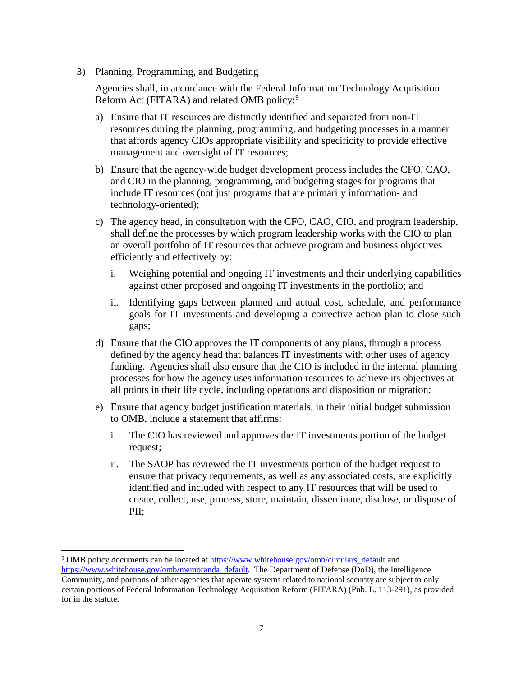3) Planning, Programming, and Budgeting

Agencies shall, in accordance with the Federal Information Technology Acquisition Reform Act (FITARA) and related OMB policy:<sup>[9](#page-6-0)</sup>

- a) Ensure that IT resources are distinctly identified and separated from non-IT resources during the planning, programming, and budgeting processes in a manner that affords agency CIOs appropriate visibility and specificity to provide effective management and oversight of IT resources;
- b) Ensure that the agency-wide budget development process includes the CFO, CAO, and CIO in the planning, programming, and budgeting stages for programs that include IT resources (not just programs that are primarily information- and technology-oriented);
- c) The agency head, in consultation with the CFO, CAO, CIO, and program leadership, shall define the processes by which program leadership works with the CIO to plan an overall portfolio of IT resources that achieve program and business objectives efficiently and effectively by:
	- i. Weighing potential and ongoing IT investments and their underlying capabilities against other proposed and ongoing IT investments in the portfolio; and
	- ii. Identifying gaps between planned and actual cost, schedule, and performance goals for IT investments and developing a corrective action plan to close such gaps;
- d) Ensure that the CIO approves the IT components of any plans, through a process defined by the agency head that balances IT investments with other uses of agency funding. Agencies shall also ensure that the CIO is included in the internal planning processes for how the agency uses information resources to achieve its objectives at all points in their life cycle, including operations and disposition or migration;
- e) Ensure that agency budget justification materials, in their initial budget submission to OMB, include a statement that affirms:
	- i. The CIO has reviewed and approves the IT investments portion of the budget request;
	- ii. The SAOP has reviewed the IT investments portion of the budget request to ensure that privacy requirements, as well as any associated costs, are explicitly identified and included with respect to any IT resources that will be used to create, collect, use, process, store, maintain, disseminate, disclose, or dispose of PII;

<span id="page-6-0"></span><sup>&</sup>lt;sup>9</sup> OMB policy documents can be located at [https://www.whitehouse.gov/omb/circulars\\_default](https://www.whitehouse.gov/omb/circulars_default) and [https://www.whitehouse.gov/omb/memoranda\\_default.](https://www.whitehouse.gov/omb/memoranda_default) The Department of Defense (DoD), the Intelligence Community, and portions of other agencies that operate systems related to national security are subject to only certain portions of Federal Information Technology Acquisition Reform (FITARA) (Pub. L. 113-291), as provided for in the statute.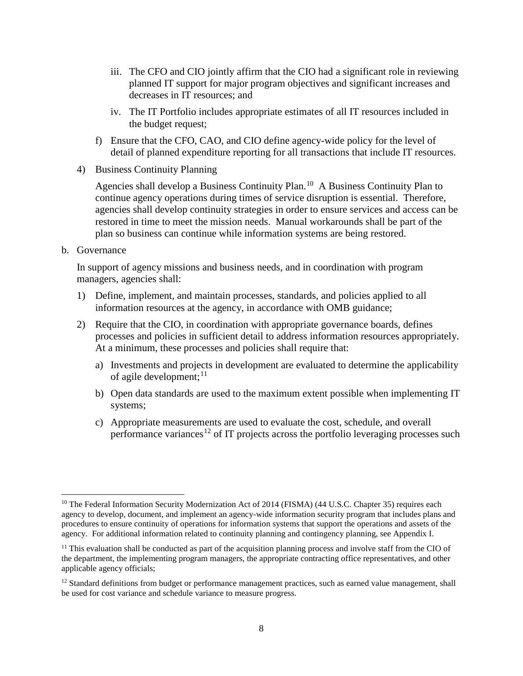- iii. The CFO and CIO jointly affirm that the CIO had a significant role in reviewing planned IT support for major program objectives and significant increases and decreases in IT resources; and
- iv. The IT Portfolio includes appropriate estimates of all IT resources included in the budget request;
- f) Ensure that the CFO, CAO, and CIO define agency-wide policy for the level of detail of planned expenditure reporting for all transactions that include IT resources.
- 4) Business Continuity Planning

Agencies shall develop a Business Continuity Plan.[10](#page-7-0) A Business Continuity Plan to continue agency operations during times of service disruption is essential. Therefore, agencies shall develop continuity strategies in order to ensure services and access can be restored in time to meet the mission needs. Manual workarounds shall be part of the plan so business can continue while information systems are being restored.

b. Governance

 $\overline{a}$ 

In support of agency missions and business needs, and in coordination with program managers, agencies shall:

- 1) Define, implement, and maintain processes, standards, and policies applied to all information resources at the agency, in accordance with OMB guidance;
- 2) Require that the CIO, in coordination with appropriate governance boards, defines processes and policies in sufficient detail to address information resources appropriately. At a minimum, these processes and policies shall require that:
	- a) Investments and projects in development are evaluated to determine the applicability of agile development; $^{11}$
	- b) Open data standards are used to the maximum extent possible when implementing IT systems;
	- c) Appropriate measurements are used to evaluate the cost, schedule, and overall performance variances<sup>[12](#page-7-2)</sup> of IT projects across the portfolio leveraging processes such

<span id="page-7-0"></span><sup>&</sup>lt;sup>10</sup> The Federal Information Security Modernization Act of 2014 (FISMA) (44 U.S.C. Chapter 35) requires each agency to develop, document, and implement an agency-wide information security program that includes plans and procedures to ensure continuity of operations for information systems that support the operations and assets of the agency. For additional information related to continuity planning and contingency planning, see Appendix I.

<span id="page-7-1"></span><sup>&</sup>lt;sup>11</sup> This evaluation shall be conducted as part of the acquisition planning process and involve staff from the CIO of the department, the implementing program managers, the appropriate contracting office representatives, and other applicable agency officials;

<span id="page-7-2"></span> $12$  Standard definitions from budget or performance management practices, such as earned value management, shall be used for cost variance and schedule variance to measure progress.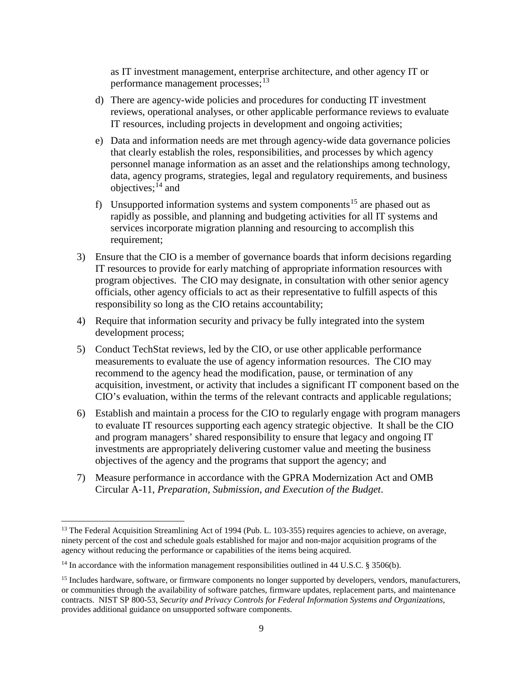as IT investment management, enterprise architecture, and other agency IT or performance management processes;<sup>[13](#page-8-0)</sup>

- d) There are agency-wide policies and procedures for conducting IT investment reviews, operational analyses, or other applicable performance reviews to evaluate IT resources, including projects in development and ongoing activities;
- e) Data and information needs are met through agency-wide data governance policies that clearly establish the roles, responsibilities, and processes by which agency personnel manage information as an asset and the relationships among technology, data, agency programs, strategies, legal and regulatory requirements, and business objectives; [14](#page-8-1) and
- f) Unsupported information systems and system components<sup>[15](#page-8-2)</sup> are phased out as rapidly as possible, and planning and budgeting activities for all IT systems and services incorporate migration planning and resourcing to accomplish this requirement;
- 3) Ensure that the CIO is a member of governance boards that inform decisions regarding IT resources to provide for early matching of appropriate information resources with program objectives. The CIO may designate, in consultation with other senior agency officials, other agency officials to act as their representative to fulfill aspects of this responsibility so long as the CIO retains accountability;
- 4) Require that information security and privacy be fully integrated into the system development process;
- 5) Conduct TechStat reviews, led by the CIO, or use other applicable performance measurements to evaluate the use of agency information resources. The CIO may recommend to the agency head the modification, pause, or termination of any acquisition, investment, or activity that includes a significant IT component based on the CIO's evaluation, within the terms of the relevant contracts and applicable regulations;
- 6) Establish and maintain a process for the CIO to regularly engage with program managers to evaluate IT resources supporting each agency strategic objective. It shall be the CIO and program managers' shared responsibility to ensure that legacy and ongoing IT investments are appropriately delivering customer value and meeting the business objectives of the agency and the programs that support the agency; and
- 7) Measure performance in accordance with the GPRA Modernization Act and OMB Circular A-11, *Preparation, Submission, and Execution of the Budget*.

l

<span id="page-8-0"></span><sup>&</sup>lt;sup>13</sup> The Federal Acquisition Streamlining Act of 1994 (Pub. L. 103-355) requires agencies to achieve, on average, ninety percent of the cost and schedule goals established for major and non-major acquisition programs of the agency without reducing the performance or capabilities of the items being acquired.

<span id="page-8-1"></span><sup>&</sup>lt;sup>14</sup> In accordance with the information management responsibilities outlined in 44 U.S.C. § 3506(b).

<span id="page-8-2"></span><sup>&</sup>lt;sup>15</sup> Includes hardware, software, or firmware components no longer supported by developers, vendors, manufacturers, or communities through the availability of software patches, firmware updates, replacement parts, and maintenance contracts. NIST SP 800-53, *Security and Privacy Controls for Federal Information Systems and Organizations*, provides additional guidance on unsupported software components.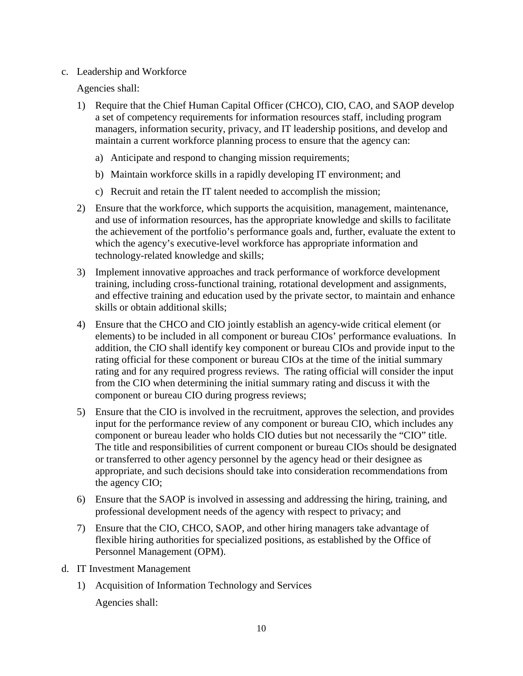### c. Leadership and Workforce

Agencies shall:

- 1) Require that the Chief Human Capital Officer (CHCO), CIO, CAO, and SAOP develop a set of competency requirements for information resources staff, including program managers, information security, privacy, and IT leadership positions, and develop and maintain a current workforce planning process to ensure that the agency can:
	- a) Anticipate and respond to changing mission requirements;
	- b) Maintain workforce skills in a rapidly developing IT environment; and
	- c) Recruit and retain the IT talent needed to accomplish the mission;
- 2) Ensure that the workforce, which supports the acquisition, management, maintenance, and use of information resources, has the appropriate knowledge and skills to facilitate the achievement of the portfolio's performance goals and, further, evaluate the extent to which the agency's executive-level workforce has appropriate information and technology-related knowledge and skills;
- 3) Implement innovative approaches and track performance of workforce development training, including cross-functional training, rotational development and assignments, and effective training and education used by the private sector, to maintain and enhance skills or obtain additional skills;
- 4) Ensure that the CHCO and CIO jointly establish an agency-wide critical element (or elements) to be included in all component or bureau CIOs' performance evaluations. In addition, the CIO shall identify key component or bureau CIOs and provide input to the rating official for these component or bureau CIOs at the time of the initial summary rating and for any required progress reviews. The rating official will consider the input from the CIO when determining the initial summary rating and discuss it with the component or bureau CIO during progress reviews;
- 5) Ensure that the CIO is involved in the recruitment, approves the selection, and provides input for the performance review of any component or bureau CIO, which includes any component or bureau leader who holds CIO duties but not necessarily the "CIO" title. The title and responsibilities of current component or bureau CIOs should be designated or transferred to other agency personnel by the agency head or their designee as appropriate, and such decisions should take into consideration recommendations from the agency CIO;
- 6) Ensure that the SAOP is involved in assessing and addressing the hiring, training, and professional development needs of the agency with respect to privacy; and
- 7) Ensure that the CIO, CHCO, SAOP, and other hiring managers take advantage of flexible hiring authorities for specialized positions, as established by the Office of Personnel Management (OPM).
- d. IT Investment Management
	- 1) Acquisition of Information Technology and Services Agencies shall: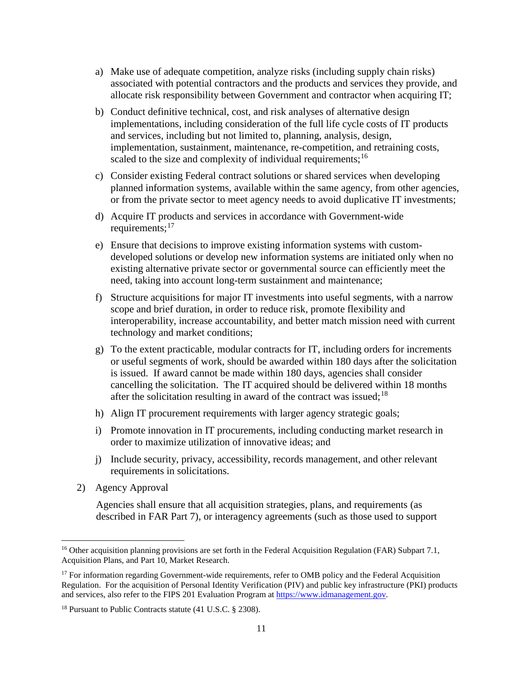- a) Make use of adequate competition, analyze risks (including supply chain risks) associated with potential contractors and the products and services they provide, and allocate risk responsibility between Government and contractor when acquiring IT;
- b) Conduct definitive technical, cost, and risk analyses of alternative design implementations, including consideration of the full life cycle costs of IT products and services, including but not limited to, planning, analysis, design, implementation, sustainment, maintenance, re-competition, and retraining costs, scaled to the size and complexity of individual requirements;<sup>[16](#page-10-0)</sup>
- c) Consider existing Federal contract solutions or shared services when developing planned information systems, available within the same agency, from other agencies, or from the private sector to meet agency needs to avoid duplicative IT investments;
- d) Acquire IT products and services in accordance with Government-wide requirements; $^{17}$  $^{17}$  $^{17}$
- e) Ensure that decisions to improve existing information systems with customdeveloped solutions or develop new information systems are initiated only when no existing alternative private sector or governmental source can efficiently meet the need, taking into account long-term sustainment and maintenance;
- f) Structure acquisitions for major IT investments into useful segments, with a narrow scope and brief duration, in order to reduce risk, promote flexibility and interoperability, increase accountability, and better match mission need with current technology and market conditions;
- g) To the extent practicable, modular contracts for IT, including orders for increments or useful segments of work, should be awarded within 180 days after the solicitation is issued. If award cannot be made within 180 days, agencies shall consider cancelling the solicitation. The IT acquired should be delivered within 18 months after the solicitation resulting in award of the contract was issued;<sup>[18](#page-10-2)</sup>
- h) Align IT procurement requirements with larger agency strategic goals;
- i) Promote innovation in IT procurements, including conducting market research in order to maximize utilization of innovative ideas; and
- j) Include security, privacy, accessibility, records management, and other relevant requirements in solicitations.
- 2) Agency Approval

 $\overline{\phantom{a}}$ 

Agencies shall ensure that all acquisition strategies, plans, and requirements (as described in FAR Part 7), or interagency agreements (such as those used to support

<span id="page-10-0"></span><sup>&</sup>lt;sup>16</sup> Other acquisition planning provisions are set forth in the Federal Acquisition Regulation (FAR) Subpart 7.1, Acquisition Plans, and Part 10, Market Research.

<span id="page-10-1"></span> $17$  For information regarding Government-wide requirements, refer to OMB policy and the Federal Acquisition Regulation. For the acquisition of Personal Identity Verification (PIV) and public key infrastructure (PKI) products and services, also refer to the FIPS 201 Evaluation Program a[t https://www.idmanagement.gov.](https://www.idmanagement.gov/)

<span id="page-10-2"></span><sup>&</sup>lt;sup>18</sup> Pursuant to Public Contracts statute (41 U.S.C. § 2308).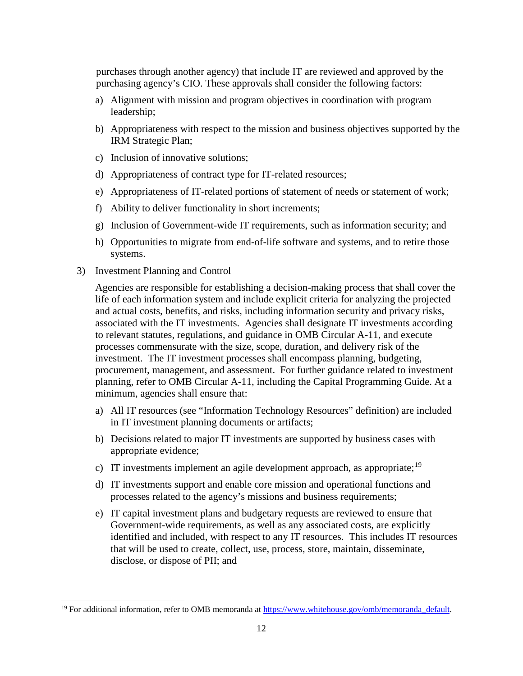purchases through another agency) that include IT are reviewed and approved by the purchasing agency's CIO. These approvals shall consider the following factors:

- a) Alignment with mission and program objectives in coordination with program leadership;
- b) Appropriateness with respect to the mission and business objectives supported by the IRM Strategic Plan;
- c) Inclusion of innovative solutions;
- d) Appropriateness of contract type for IT-related resources;
- e) Appropriateness of IT-related portions of statement of needs or statement of work;
- f) Ability to deliver functionality in short increments;
- g) Inclusion of Government-wide IT requirements, such as information security; and
- h) Opportunities to migrate from end-of-life software and systems, and to retire those systems.
- 3) Investment Planning and Control

 $\overline{a}$ 

Agencies are responsible for establishing a decision-making process that shall cover the life of each information system and include explicit criteria for analyzing the projected and actual costs, benefits, and risks, including information security and privacy risks, associated with the IT investments. Agencies shall designate IT investments according to relevant statutes, regulations, and guidance in OMB Circular A-11, and execute processes commensurate with the size, scope, duration, and delivery risk of the investment. The IT investment processes shall encompass planning, budgeting, procurement, management, and assessment. For further guidance related to investment planning, refer to OMB Circular A-11, including the Capital Programming Guide. At a minimum, agencies shall ensure that:

- a) All IT resources (see "Information Technology Resources" definition) are included in IT investment planning documents or artifacts;
- b) Decisions related to major IT investments are supported by business cases with appropriate evidence;
- c) IT investments implement an agile development approach, as appropriate;<sup>[19](#page-11-0)</sup>
- d) IT investments support and enable core mission and operational functions and processes related to the agency's missions and business requirements;
- e) IT capital investment plans and budgetary requests are reviewed to ensure that Government-wide requirements, as well as any associated costs, are explicitly identified and included, with respect to any IT resources. This includes IT resources that will be used to create, collect, use, process, store, maintain, disseminate, disclose, or dispose of PII; and

<span id="page-11-0"></span><sup>&</sup>lt;sup>19</sup> For additional information, refer to OMB memoranda at [https://www.whitehouse.gov/omb/memoranda\\_default.](https://www.whitehouse.gov/omb/memoranda_default)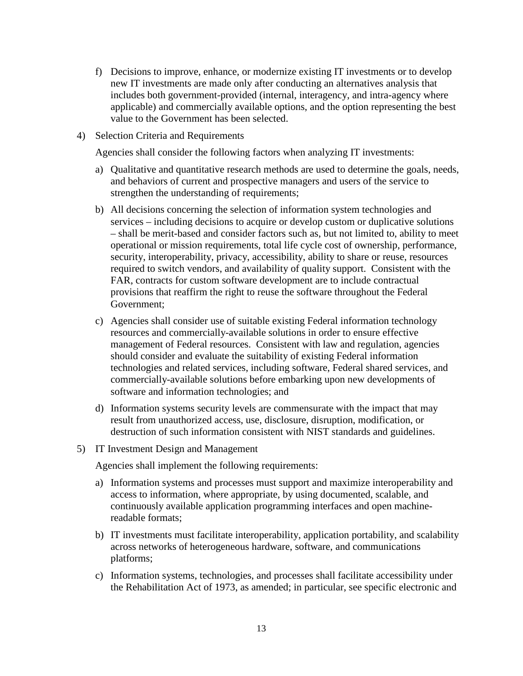- f) Decisions to improve, enhance, or modernize existing IT investments or to develop new IT investments are made only after conducting an alternatives analysis that includes both government-provided (internal, interagency, and intra-agency where applicable) and commercially available options, and the option representing the best value to the Government has been selected.
- 4) Selection Criteria and Requirements

Agencies shall consider the following factors when analyzing IT investments:

- a) Qualitative and quantitative research methods are used to determine the goals, needs, and behaviors of current and prospective managers and users of the service to strengthen the understanding of requirements;
- b) All decisions concerning the selection of information system technologies and services – including decisions to acquire or develop custom or duplicative solutions – shall be merit-based and consider factors such as, but not limited to, ability to meet operational or mission requirements, total life cycle cost of ownership, performance, security, interoperability, privacy, accessibility, ability to share or reuse, resources required to switch vendors, and availability of quality support. Consistent with the FAR, contracts for custom software development are to include contractual provisions that reaffirm the right to reuse the software throughout the Federal Government;
- c) Agencies shall consider use of suitable existing Federal information technology resources and commercially-available solutions in order to ensure effective management of Federal resources. Consistent with law and regulation, agencies should consider and evaluate the suitability of existing Federal information technologies and related services, including software, Federal shared services, and commercially-available solutions before embarking upon new developments of software and information technologies; and
- d) Information systems security levels are commensurate with the impact that may result from unauthorized access, use, disclosure, disruption, modification, or destruction of such information consistent with NIST standards and guidelines.
- 5) IT Investment Design and Management

Agencies shall implement the following requirements:

- a) Information systems and processes must support and maximize interoperability and access to information, where appropriate, by using documented, scalable, and continuously available application programming interfaces and open machinereadable formats;
- b) IT investments must facilitate interoperability, application portability, and scalability across networks of heterogeneous hardware, software, and communications platforms;
- c) Information systems, technologies, and processes shall facilitate accessibility under the Rehabilitation Act of 1973, as amended; in particular, see specific electronic and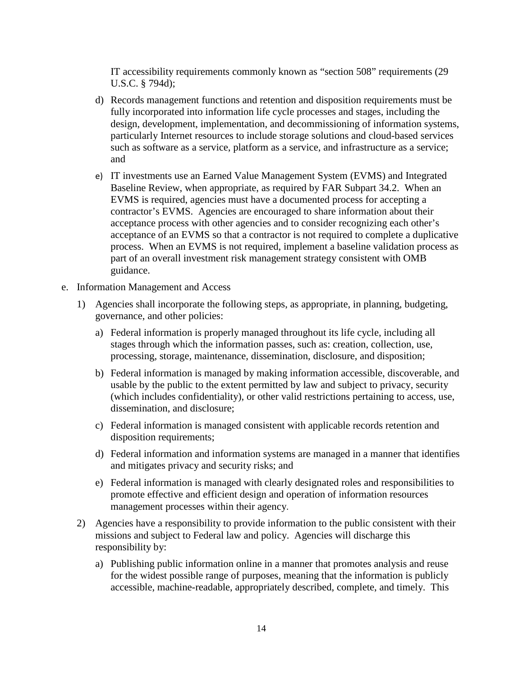IT accessibility requirements commonly known as "section 508" requirements (29 U.S.C. § 794d);

- d) Records management functions and retention and disposition requirements must be fully incorporated into information life cycle processes and stages, including the design, development, implementation, and decommissioning of information systems, particularly Internet resources to include storage solutions and cloud-based services such as software as a service, platform as a service, and infrastructure as a service; and
- e) IT investments use an Earned Value Management System (EVMS) and Integrated Baseline Review, when appropriate, as required by FAR Subpart 34.2. When an EVMS is required, agencies must have a documented process for accepting a contractor's EVMS. Agencies are encouraged to share information about their acceptance process with other agencies and to consider recognizing each other's acceptance of an EVMS so that a contractor is not required to complete a duplicative process. When an EVMS is not required, implement a baseline validation process as part of an overall investment risk management strategy consistent with OMB guidance.
- e. Information Management and Access
	- 1) Agencies shall incorporate the following steps, as appropriate, in planning, budgeting, governance, and other policies:
		- a) Federal information is properly managed throughout its life cycle, including all stages through which the information passes, such as: creation, collection, use, processing, storage, maintenance, dissemination, disclosure, and disposition;
		- b) Federal information is managed by making information accessible, discoverable, and usable by the public to the extent permitted by law and subject to privacy, security (which includes confidentiality), or other valid restrictions pertaining to access, use, dissemination, and disclosure;
		- c) Federal information is managed consistent with applicable records retention and disposition requirements;
		- d) Federal information and information systems are managed in a manner that identifies and mitigates privacy and security risks; and
		- e) Federal information is managed with clearly designated roles and responsibilities to promote effective and efficient design and operation of information resources management processes within their agency.
	- 2) Agencies have a responsibility to provide information to the public consistent with their missions and subject to Federal law and policy. Agencies will discharge this responsibility by:
		- a) Publishing public information online in a manner that promotes analysis and reuse for the widest possible range of purposes, meaning that the information is publicly accessible, machine-readable, appropriately described, complete, and timely. This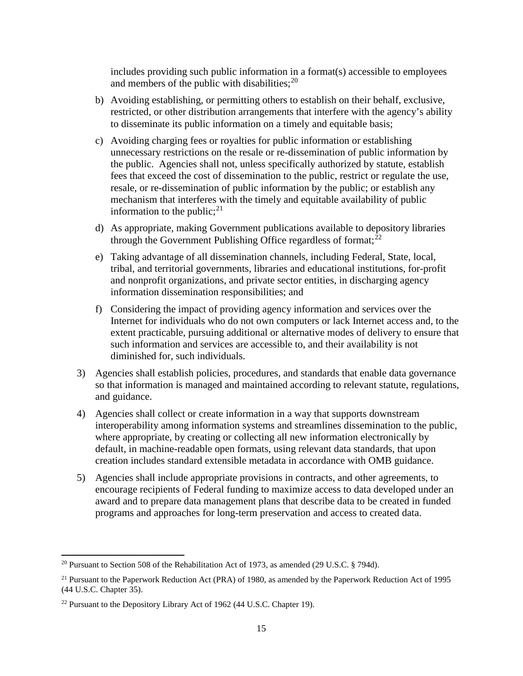includes providing such public information in a format(s) accessible to employees and members of the public with disabilities;<sup>[20](#page-14-0)</sup>

- b) Avoiding establishing, or permitting others to establish on their behalf, exclusive, restricted, or other distribution arrangements that interfere with the agency's ability to disseminate its public information on a timely and equitable basis;
- c) Avoiding charging fees or royalties for public information or establishing unnecessary restrictions on the resale or re-dissemination of public information by the public. Agencies shall not, unless specifically authorized by statute, establish fees that exceed the cost of dissemination to the public, restrict or regulate the use, resale, or re-dissemination of public information by the public; or establish any mechanism that interferes with the timely and equitable availability of public information to the public; $2<sup>1</sup>$
- d) As appropriate, making Government publications available to depository libraries through the Government Publishing Office regardless of format: $^{22}$  $^{22}$  $^{22}$
- e) Taking advantage of all dissemination channels, including Federal, State, local, tribal, and territorial governments, libraries and educational institutions, for-profit and nonprofit organizations, and private sector entities, in discharging agency information dissemination responsibilities; and
- f) Considering the impact of providing agency information and services over the Internet for individuals who do not own computers or lack Internet access and, to the extent practicable, pursuing additional or alternative modes of delivery to ensure that such information and services are accessible to, and their availability is not diminished for, such individuals.
- 3) Agencies shall establish policies, procedures, and standards that enable data governance so that information is managed and maintained according to relevant statute, regulations, and guidance.
- 4) Agencies shall collect or create information in a way that supports downstream interoperability among information systems and streamlines dissemination to the public, where appropriate, by creating or collecting all new information electronically by default, in machine-readable open formats, using relevant data standards, that upon creation includes standard extensible metadata in accordance with OMB guidance.
- 5) Agencies shall include appropriate provisions in contracts, and other agreements, to encourage recipients of Federal funding to maximize access to data developed under an award and to prepare data management plans that describe data to be created in funded programs and approaches for long-term preservation and access to created data.

 $\overline{a}$ 

<span id="page-14-0"></span><sup>&</sup>lt;sup>20</sup> Pursuant to Section 508 of the Rehabilitation Act of 1973, as amended (29 U.S.C.  $\S$  794d).

<span id="page-14-1"></span><sup>&</sup>lt;sup>21</sup> Pursuant to the Paperwork Reduction Act (PRA) of 1980, as amended by the Paperwork Reduction Act of 1995 (44 U.S.C. Chapter 35).

<span id="page-14-2"></span><sup>&</sup>lt;sup>22</sup> Pursuant to the Depository Library Act of 1962 (44 U.S.C. Chapter 19).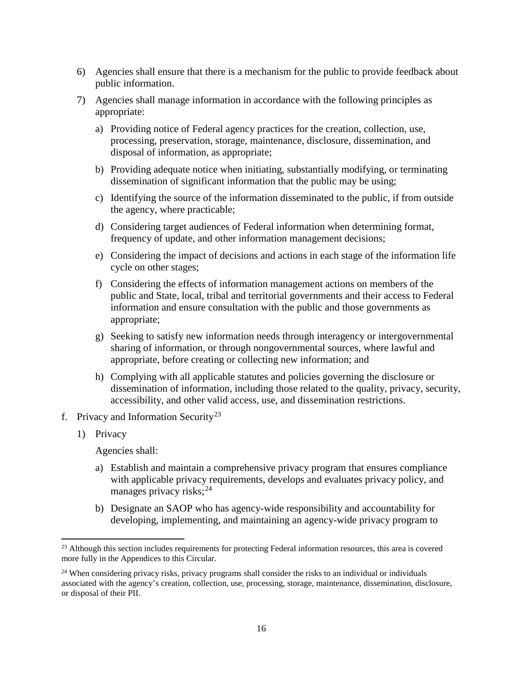- 6) Agencies shall ensure that there is a mechanism for the public to provide feedback about public information.
- 7) Agencies shall manage information in accordance with the following principles as appropriate:
	- a) Providing notice of Federal agency practices for the creation, collection, use, processing, preservation, storage, maintenance, disclosure, dissemination, and disposal of information, as appropriate;
	- b) Providing adequate notice when initiating, substantially modifying, or terminating dissemination of significant information that the public may be using;
	- c) Identifying the source of the information disseminated to the public, if from outside the agency, where practicable;
	- d) Considering target audiences of Federal information when determining format, frequency of update, and other information management decisions;
	- e) Considering the impact of decisions and actions in each stage of the information life cycle on other stages;
	- f) Considering the effects of information management actions on members of the public and State, local, tribal and territorial governments and their access to Federal information and ensure consultation with the public and those governments as appropriate;
	- g) Seeking to satisfy new information needs through interagency or intergovernmental sharing of information, or through nongovernmental sources, where lawful and appropriate, before creating or collecting new information; and
	- h) Complying with all applicable statutes and policies governing the disclosure or dissemination of information, including those related to the quality, privacy, security, accessibility, and other valid access, use, and dissemination restrictions.
- f. Privacy and Information Security<sup>[23](#page-15-0)</sup>
	- 1) Privacy

l

Agencies shall:

- a) Establish and maintain a comprehensive privacy program that ensures compliance with applicable privacy requirements, develops and evaluates privacy policy, and manages privacy risks;  $2^4$
- b) Designate an SAOP who has agency-wide responsibility and accountability for developing, implementing, and maintaining an agency-wide privacy program to

<span id="page-15-0"></span><sup>&</sup>lt;sup>23</sup> Although this section includes requirements for protecting Federal information resources, this area is covered more fully in the Appendices to this Circular.

<span id="page-15-1"></span><sup>&</sup>lt;sup>24</sup> When considering privacy risks, privacy programs shall consider the risks to an individual or individuals associated with the agency's creation, collection, use, processing, storage, maintenance, dissemination, disclosure, or disposal of their PII.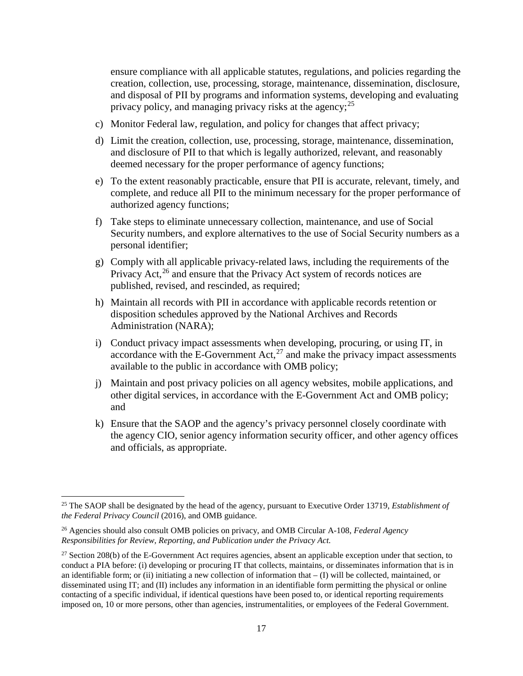ensure compliance with all applicable statutes, regulations, and policies regarding the creation, collection, use, processing, storage, maintenance, dissemination, disclosure, and disposal of PII by programs and information systems, developing and evaluating privacy policy, and managing privacy risks at the agency;<sup>[25](#page-16-0)</sup>

- c) Monitor Federal law, regulation, and policy for changes that affect privacy;
- d) Limit the creation, collection, use, processing, storage, maintenance, dissemination, and disclosure of PII to that which is legally authorized, relevant, and reasonably deemed necessary for the proper performance of agency functions;
- e) To the extent reasonably practicable, ensure that PII is accurate, relevant, timely, and complete, and reduce all PII to the minimum necessary for the proper performance of authorized agency functions;
- f) Take steps to eliminate unnecessary collection, maintenance, and use of Social Security numbers, and explore alternatives to the use of Social Security numbers as a personal identifier;
- g) Comply with all applicable privacy-related laws, including the requirements of the Privacy Act,<sup>[26](#page-16-1)</sup> and ensure that the Privacy Act system of records notices are published, revised, and rescinded, as required;
- h) Maintain all records with PII in accordance with applicable records retention or disposition schedules approved by the National Archives and Records Administration (NARA);
- i) Conduct privacy impact assessments when developing, procuring, or using IT, in accordance with the E-Government  $Act<sub>1</sub><sup>27</sup>$  $Act<sub>1</sub><sup>27</sup>$  $Act<sub>1</sub><sup>27</sup>$  and make the privacy impact assessments available to the public in accordance with OMB policy;
- j) Maintain and post privacy policies on all agency websites, mobile applications, and other digital services, in accordance with the E-Government Act and OMB policy; and
- k) Ensure that the SAOP and the agency's privacy personnel closely coordinate with the agency CIO, senior agency information security officer, and other agency offices and officials, as appropriate.

 $\overline{a}$ 

<span id="page-16-0"></span><sup>25</sup> The SAOP shall be designated by the head of the agency, pursuant to Executive Order 13719, *Establishment of the Federal Privacy Council* (2016), and OMB guidance.

<span id="page-16-1"></span><sup>26</sup> Agencies should also consult OMB policies on privacy, and OMB Circular A-108, *Federal Agency Responsibilities for Review, Reporting, and Publication under the Privacy Act.*

<span id="page-16-2"></span><sup>&</sup>lt;sup>27</sup> Section 208(b) of the E-Government Act requires agencies, absent an applicable exception under that section, to conduct a PIA before: (i) developing or procuring IT that collects, maintains, or disseminates information that is in an identifiable form; or (ii) initiating a new collection of information that  $- (I)$  will be collected, maintained, or disseminated using IT; and (II) includes any information in an identifiable form permitting the physical or online contacting of a specific individual, if identical questions have been posed to, or identical reporting requirements imposed on, 10 or more persons, other than agencies, instrumentalities, or employees of the Federal Government.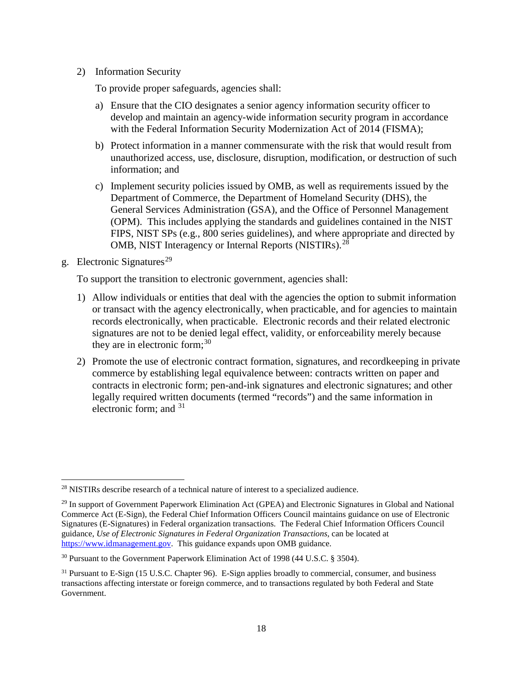#### 2) Information Security

To provide proper safeguards, agencies shall:

- a) Ensure that the CIO designates a senior agency information security officer to develop and maintain an agency-wide information security program in accordance with the Federal Information Security Modernization Act of 2014 (FISMA);
- b) Protect information in a manner commensurate with the risk that would result from unauthorized access, use, disclosure, disruption, modification, or destruction of such information; and
- c) Implement security policies issued by OMB, as well as requirements issued by the Department of Commerce, the Department of Homeland Security (DHS), the General Services Administration (GSA), and the Office of Personnel Management (OPM). This includes applying the standards and guidelines contained in the NIST FIPS, NIST SPs (e.g., 800 series guidelines), and where appropriate and directed by OMB, NIST Interagency or Internal Reports (NISTIRs).<sup>28</sup>
- g. Electronic Signatures<sup>[29](#page-17-1)</sup>

To support the transition to electronic government, agencies shall:

- 1) Allow individuals or entities that deal with the agencies the option to submit information or transact with the agency electronically, when practicable, and for agencies to maintain records electronically, when practicable. Electronic records and their related electronic signatures are not to be denied legal effect, validity, or enforceability merely because they are in electronic form;<sup>[30](#page-17-2)</sup>
- 2) Promote the use of electronic contract formation, signatures, and recordkeeping in private commerce by establishing legal equivalence between: contracts written on paper and contracts in electronic form; pen-and-ink signatures and electronic signatures; and other legally required written documents (termed "records") and the same information in electronic form; and <sup>31</sup>

<span id="page-17-0"></span>l <sup>28</sup> NISTIRs describe research of a technical nature of interest to a specialized audience.

<span id="page-17-1"></span><sup>&</sup>lt;sup>29</sup> In support of Government Paperwork Elimination Act (GPEA) and Electronic Signatures in Global and National Commerce Act (E-Sign), the Federal Chief Information Officers Council maintains guidance on use of Electronic Signatures (E-Signatures) in Federal organization transactions. The Federal Chief Information Officers Council guidance, *Use of Electronic Signatures in Federal Organization Transactions*, can be located at [https://www.idmanagement.gov.](https://www.idmanagement.gov/) This guidance expands upon OMB guidance.

<span id="page-17-2"></span><sup>&</sup>lt;sup>30</sup> Pursuant to the Government Paperwork Elimination Act of 1998 (44 U.S.C. § 3504).

<span id="page-17-3"></span><sup>&</sup>lt;sup>31</sup> Pursuant to E-Sign (15 U.S.C. Chapter 96). E-Sign applies broadly to commercial, consumer, and business transactions affecting interstate or foreign commerce, and to transactions regulated by both Federal and State Government.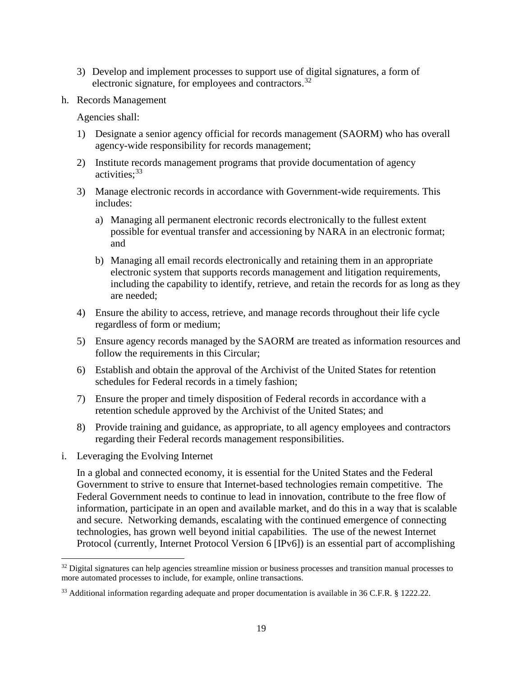- 3) Develop and implement processes to support use of digital signatures, a form of electronic signature, for employees and contractors.<sup>[32](#page-18-0)</sup>
- h. Records Management

Agencies shall:

- 1) Designate a senior agency official for records management (SAORM) who has overall agency-wide responsibility for records management;
- 2) Institute records management programs that provide documentation of agency activities; [33](#page-18-1)
- 3) Manage electronic records in accordance with Government-wide requirements. This includes:
	- a) Managing all permanent electronic records electronically to the fullest extent possible for eventual transfer and accessioning by NARA in an electronic format; and
	- b) Managing all email records electronically and retaining them in an appropriate electronic system that supports records management and litigation requirements, including the capability to identify, retrieve, and retain the records for as long as they are needed;
- 4) Ensure the ability to access, retrieve, and manage records throughout their life cycle regardless of form or medium;
- 5) Ensure agency records managed by the SAORM are treated as information resources and follow the requirements in this Circular;
- 6) Establish and obtain the approval of the Archivist of the United States for retention schedules for Federal records in a timely fashion;
- 7) Ensure the proper and timely disposition of Federal records in accordance with a retention schedule approved by the Archivist of the United States; and
- 8) Provide training and guidance, as appropriate, to all agency employees and contractors regarding their Federal records management responsibilities.
- i. Leveraging the Evolving Internet

 $\overline{a}$ 

In a global and connected economy, it is essential for the United States and the Federal Government to strive to ensure that Internet-based technologies remain competitive. The Federal Government needs to continue to lead in innovation, contribute to the free flow of information, participate in an open and available market, and do this in a way that is scalable and secure. Networking demands, escalating with the continued emergence of connecting technologies, has grown well beyond initial capabilities. The use of the newest Internet Protocol (currently, Internet Protocol Version 6 [IPv6]) is an essential part of accomplishing

<span id="page-18-0"></span><sup>&</sup>lt;sup>32</sup> Digital signatures can help agencies streamline mission or business processes and transition manual processes to more automated processes to include, for example, online transactions.

<span id="page-18-1"></span><sup>&</sup>lt;sup>33</sup> Additional information regarding adequate and proper documentation is available in 36 C.F.R. § 1222.22.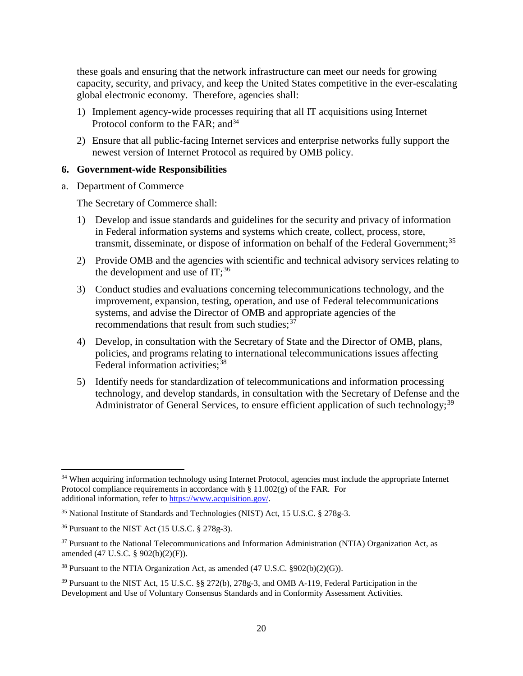these goals and ensuring that the network infrastructure can meet our needs for growing capacity, security, and privacy, and keep the United States competitive in the ever-escalating global electronic economy. Therefore, agencies shall:

- 1) Implement agency-wide processes requiring that all IT acquisitions using Internet Protocol conform to the FAR; and<sup>[34](#page-19-0)</sup>
- 2) Ensure that all public-facing Internet services and enterprise networks fully support the newest version of Internet Protocol as required by OMB policy.

#### **6. Government-wide Responsibilities**

a. Department of Commerce

The Secretary of Commerce shall:

- 1) Develop and issue standards and guidelines for the security and privacy of information in Federal information systems and systems which create, collect, process, store, transmit, disseminate, or dispose of information on behalf of the Federal Government;<sup>35</sup>
- 2) Provide OMB and the agencies with scientific and technical advisory services relating to the development and use of  $IT;^{36}$  $IT;^{36}$  $IT;^{36}$
- 3) Conduct studies and evaluations concerning telecommunications technology, and the improvement, expansion, testing, operation, and use of Federal telecommunications systems, and advise the Director of OMB and appropriate agencies of the recommendations that result from such studies; $37$
- 4) Develop, in consultation with the Secretary of State and the Director of OMB, plans, policies, and programs relating to international telecommunications issues affecting Federal information activities;<sup>[38](#page-19-4)</sup>
- 5) Identify needs for standardization of telecommunications and information processing technology, and develop standards, in consultation with the Secretary of Defense and the Administrator of General Services, to ensure efficient application of such technology;  $39$

l

<span id="page-19-0"></span><sup>&</sup>lt;sup>34</sup> When acquiring information technology using Internet Protocol, agencies must include the appropriate Internet Protocol compliance requirements in accordance with § 11.002(g) of the FAR. For additional information, refer to [https://www.acquisition.gov/.](https://www.acquisition.gov/)

<span id="page-19-1"></span><sup>35</sup> National Institute of Standards and Technologies (NIST) Act, 15 U.S.C. § 278g-3.

<span id="page-19-2"></span><sup>36</sup> Pursuant to the NIST Act (15 U.S.C. § 278g-3).

<span id="page-19-3"></span><sup>&</sup>lt;sup>37</sup> Pursuant to the National Telecommunications and Information Administration (NTIA) Organization Act, as amended (47 U.S.C. § 902(b)(2)(F)).

<span id="page-19-4"></span><sup>38</sup> Pursuant to the NTIA Organization Act, as amended (47 U.S.C. §902(b)(2)(G)).

<span id="page-19-5"></span><sup>39</sup> Pursuant to the NIST Act, 15 U.S.C. §§ 272(b), 278g-3, and OMB A-119, Federal Participation in the Development and Use of Voluntary Consensus Standards and in Conformity Assessment Activities.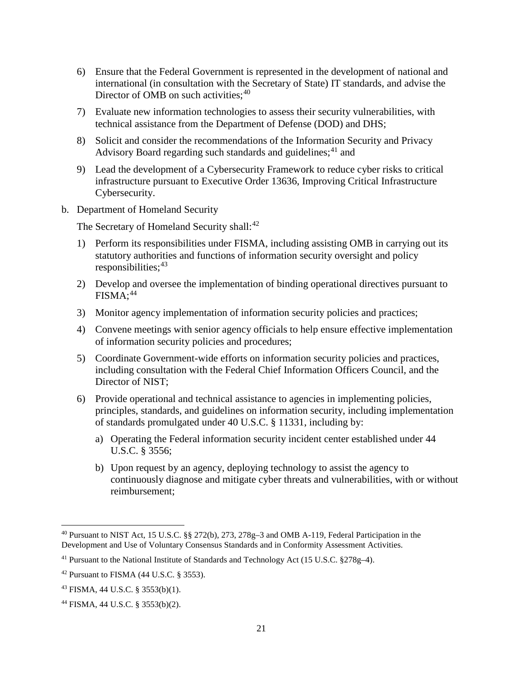- 6) Ensure that the Federal Government is represented in the development of national and international (in consultation with the Secretary of State) IT standards, and advise the Director of OMB on such activities;<sup>[40](#page-20-0)</sup>
- 7) Evaluate new information technologies to assess their security vulnerabilities, with technical assistance from the Department of Defense (DOD) and DHS;
- 8) Solicit and consider the recommendations of the Information Security and Privacy Advisory Board regarding such standards and guidelines:<sup>[41](#page-20-1)</sup> and
- 9) Lead the development of a Cybersecurity Framework to reduce cyber risks to critical infrastructure pursuant to Executive Order 13636, Improving Critical Infrastructure Cybersecurity.
- b. Department of Homeland Security

The Secretary of Homeland Security shall:<sup>[42](#page-20-2)</sup>

- 1) Perform its responsibilities under FISMA, including assisting OMB in carrying out its statutory authorities and functions of information security oversight and policy responsibilities;  $43$
- 2) Develop and oversee the implementation of binding operational directives pursuant to  $FISMA:$ <sup>[44](#page-20-4)</sup>
- 3) Monitor agency implementation of information security policies and practices;
- 4) Convene meetings with senior agency officials to help ensure effective implementation of information security policies and procedures;
- 5) Coordinate Government-wide efforts on information security policies and practices, including consultation with the Federal Chief Information Officers Council, and the Director of NIST;
- 6) Provide operational and technical assistance to agencies in implementing policies, principles, standards, and guidelines on information security, including implementation of standards promulgated under 40 U.S.C. § 11331, including by:
	- a) Operating the Federal information security incident center established under 44 U.S.C. § 3556;
	- b) Upon request by an agency, deploying technology to assist the agency to continuously diagnose and mitigate cyber threats and vulnerabilities, with or without reimbursement;

<span id="page-20-0"></span><sup>40</sup> Pursuant to NIST Act, 15 U.S.C. §§ 272(b), 273, 278g–3 and OMB A-119, Federal Participation in the Development and Use of Voluntary Consensus Standards and in Conformity Assessment Activities.

<span id="page-20-1"></span><sup>41</sup> Pursuant to the National Institute of Standards and Technology Act (15 U.S.C. §278g–4).

<span id="page-20-2"></span><sup>42</sup> Pursuant to FISMA (44 U.S.C. § 3553).

<span id="page-20-3"></span><sup>43</sup> FISMA, 44 U.S.C. § 3553(b)(1).

<span id="page-20-4"></span><sup>44</sup> FISMA, 44 U.S.C. § 3553(b)(2).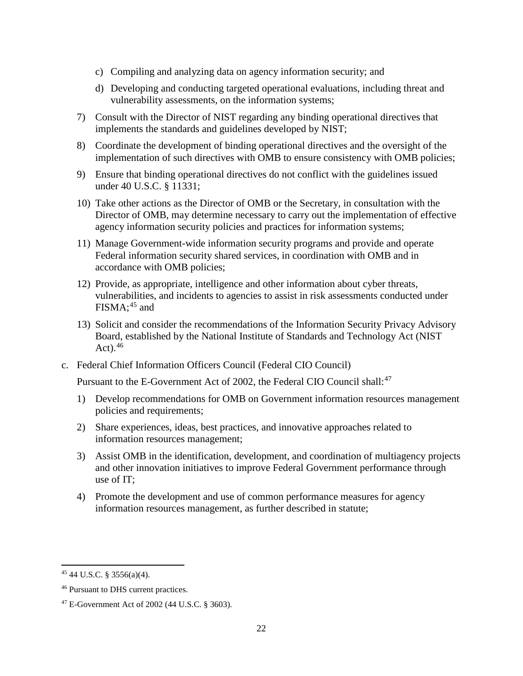- c) Compiling and analyzing data on agency information security; and
- d) Developing and conducting targeted operational evaluations, including threat and vulnerability assessments, on the information systems;
- 7) Consult with the Director of NIST regarding any binding operational directives that implements the standards and guidelines developed by NIST;
- 8) Coordinate the development of binding operational directives and the oversight of the implementation of such directives with OMB to ensure consistency with OMB policies;
- 9) Ensure that binding operational directives do not conflict with the guidelines issued under 40 U.S.C. § 11331;
- 10) Take other actions as the Director of OMB or the Secretary, in consultation with the Director of OMB, may determine necessary to carry out the implementation of effective agency information security policies and practices for information systems;
- 11) Manage Government-wide information security programs and provide and operate Federal information security shared services, in coordination with OMB and in accordance with OMB policies;
- 12) Provide, as appropriate, intelligence and other information about cyber threats, vulnerabilities, and incidents to agencies to assist in risk assessments conducted under FISMA;<sup>[45](#page-21-0)</sup> and
- 13) Solicit and consider the recommendations of the Information Security Privacy Advisory Board, established by the National Institute of Standards and Technology Act (NIST Act). $46$
- c. Federal Chief Information Officers Council (Federal CIO Council)

Pursuant to the E-Government Act of 2002, the Federal CIO Council shall:<sup>[47](#page-21-2)</sup>

- 1) Develop recommendations for OMB on Government information resources management policies and requirements;
- 2) Share experiences, ideas, best practices, and innovative approaches related to information resources management;
- 3) Assist OMB in the identification, development, and coordination of multiagency projects and other innovation initiatives to improve Federal Government performance through use of IT;
- 4) Promote the development and use of common performance measures for agency information resources management, as further described in statute;

<span id="page-21-0"></span><sup>45</sup> 44 U.S.C. § 3556(a)(4).

<span id="page-21-1"></span><sup>&</sup>lt;sup>46</sup> Pursuant to DHS current practices.

<span id="page-21-2"></span><sup>47</sup> E-Government Act of 2002 (44 U.S.C. § 3603).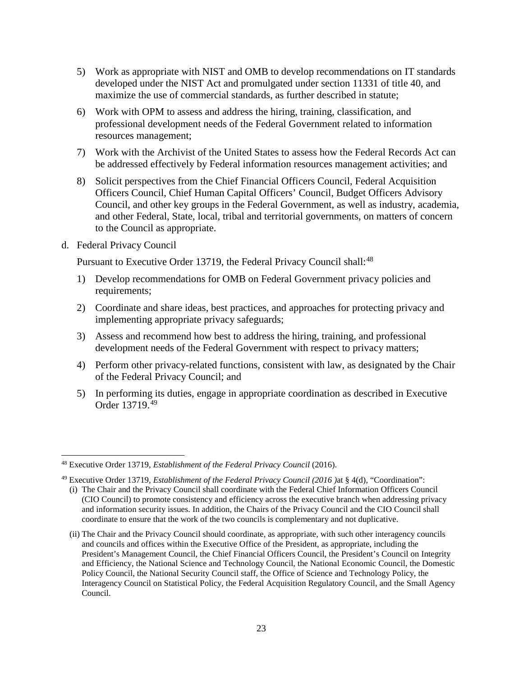- 5) Work as appropriate with NIST and OMB to develop recommendations on IT standards developed under the NIST Act and promulgated under section 11331 of title 40, and maximize the use of commercial standards, as further described in statute;
- 6) Work with OPM to assess and address the hiring, training, classification, and professional development needs of the Federal Government related to information resources management;
- 7) Work with the Archivist of the United States to assess how the Federal Records Act can be addressed effectively by Federal information resources management activities; and
- 8) Solicit perspectives from the Chief Financial Officers Council, Federal Acquisition Officers Council, Chief Human Capital Officers' Council, Budget Officers Advisory Council, and other key groups in the Federal Government, as well as industry, academia, and other Federal, State, local, tribal and territorial governments, on matters of concern to the Council as appropriate.
- d. Federal Privacy Council

 $\overline{a}$ 

Pursuant to Executive Order 13719, the Federal Privacy Council shall:<sup>[48](#page-22-0)</sup>

- 1) Develop recommendations for OMB on Federal Government privacy policies and requirements;
- 2) Coordinate and share ideas, best practices, and approaches for protecting privacy and implementing appropriate privacy safeguards;
- 3) Assess and recommend how best to address the hiring, training, and professional development needs of the Federal Government with respect to privacy matters;
- 4) Perform other privacy-related functions, consistent with law, as designated by the Chair of the Federal Privacy Council; and
- 5) In performing its duties, engage in appropriate coordination as described in Executive Order 13719.[49](#page-22-1)

<span id="page-22-0"></span><sup>48</sup> Executive Order 13719, *Establishment of the Federal Privacy Council* (2016).

<span id="page-22-1"></span><sup>49</sup> Executive Order 13719*, Establishment of the Federal Privacy Council (2016 )*at § 4(d), "Coordination": (i) The Chair and the Privacy Council shall coordinate with the Federal Chief Information Officers Council (CIO Council) to promote consistency and efficiency across the executive branch when addressing privacy and information security issues. In addition, the Chairs of the Privacy Council and the CIO Council shall coordinate to ensure that the work of the two councils is complementary and not duplicative.

<sup>(</sup>ii) The Chair and the Privacy Council should coordinate, as appropriate, with such other interagency councils and councils and offices within the Executive Office of the President, as appropriate, including the President's Management Council, the Chief Financial Officers Council, the President's Council on Integrity and Efficiency, the National Science and Technology Council, the National Economic Council, the Domestic Policy Council, the National Security Council staff, the Office of Science and Technology Policy, the Interagency Council on Statistical Policy, the Federal Acquisition Regulatory Council, and the Small Agency Council.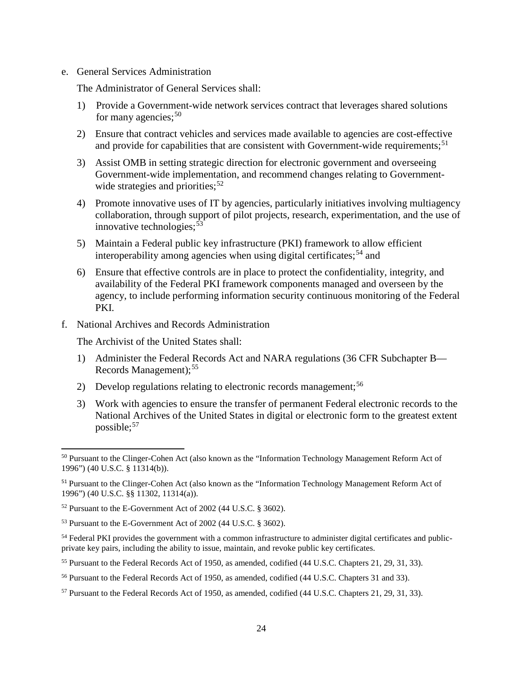### e. General Services Administration

The Administrator of General Services shall:

- 1) Provide a Government-wide network services contract that leverages shared solutions for many agencies;<sup>[50](#page-23-0)</sup>
- 2) Ensure that contract vehicles and services made available to agencies are cost-effective and provide for capabilities that are consistent with Government-wide requirements;<sup>[51](#page-23-1)</sup>
- 3) Assist OMB in setting strategic direction for electronic government and overseeing Government-wide implementation, and recommend changes relating to Government-wide strategies and priorities;<sup>[52](#page-23-2)</sup>
- 4) Promote innovative uses of IT by agencies, particularly initiatives involving multiagency collaboration, through support of pilot projects, research, experimentation, and the use of innovative technologies:  $53$
- 5) Maintain a Federal public key infrastructure (PKI) framework to allow efficient interoperability among agencies when using digital certificates;<sup>[54](#page-23-4)</sup> and
- 6) Ensure that effective controls are in place to protect the confidentiality, integrity, and availability of the Federal PKI framework components managed and overseen by the agency, to include performing information security continuous monitoring of the Federal PKI.

#### f. National Archives and Records Administration

The Archivist of the United States shall:

l

- 1) Administer the Federal Records Act and NARA regulations (36 CFR Subchapter B— Records Management); [55](#page-23-5)
- 2) Develop regulations relating to electronic records management;<sup>[56](#page-23-6)</sup>
- 3) Work with agencies to ensure the transfer of permanent Federal electronic records to the National Archives of the United States in digital or electronic form to the greatest extent possible; $57$

<span id="page-23-0"></span><sup>50</sup> Pursuant to the Clinger-Cohen Act (also known as the "Information Technology Management Reform Act of 1996") (40 U.S.C. § 11314(b)).

<span id="page-23-1"></span><sup>51</sup> Pursuant to the Clinger-Cohen Act (also known as the "Information Technology Management Reform Act of 1996") (40 U.S.C. §§ 11302, 11314(a)).

<span id="page-23-2"></span><sup>52</sup> Pursuant to the E-Government Act of 2002 (44 U.S.C. § 3602).

<span id="page-23-3"></span><sup>53</sup> Pursuant to the E-Government Act of 2002 (44 U.S.C. § 3602).

<span id="page-23-4"></span><sup>&</sup>lt;sup>54</sup> Federal PKI provides the government with a common infrastructure to administer digital certificates and publicprivate key pairs, including the ability to issue, maintain, and revoke public key certificates.

<span id="page-23-5"></span><sup>55</sup> Pursuant to the Federal Records Act of 1950, as amended, codified (44 U.S.C. Chapters 21, 29, 31, 33).

<span id="page-23-6"></span><sup>56</sup> Pursuant to the Federal Records Act of 1950, as amended, codified (44 U.S.C. Chapters 31 and 33).

<span id="page-23-7"></span><sup>57</sup> Pursuant to the Federal Records Act of 1950, as amended, codified (44 U.S.C. Chapters 21, 29, 31, 33).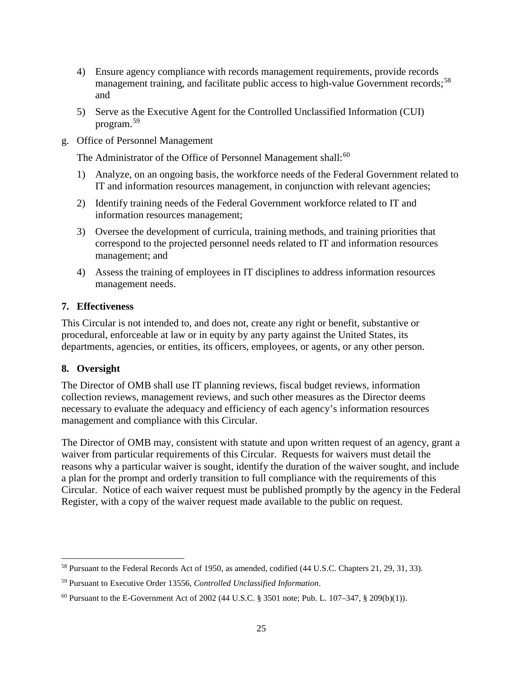- 4) Ensure agency compliance with records management requirements, provide records management training, and facilitate public access to high-value Government records;<sup>[58](#page-24-0)</sup> and
- 5) Serve as the Executive Agent for the Controlled Unclassified Information (CUI) program.[59](#page-24-1)
- g. Office of Personnel Management

The Administrator of the Office of Personnel Management shall:<sup>[60](#page-24-2)</sup>

- 1) Analyze, on an ongoing basis, the workforce needs of the Federal Government related to IT and information resources management, in conjunction with relevant agencies;
- 2) Identify training needs of the Federal Government workforce related to IT and information resources management;
- 3) Oversee the development of curricula, training methods, and training priorities that correspond to the projected personnel needs related to IT and information resources management; and
- 4) Assess the training of employees in IT disciplines to address information resources management needs.

#### **7. Effectiveness**

This Circular is not intended to, and does not, create any right or benefit, substantive or procedural, enforceable at law or in equity by any party against the United States, its departments, agencies, or entities, its officers, employees, or agents, or any other person.

# **8. Oversight**

 $\overline{a}$ 

The Director of OMB shall use IT planning reviews, fiscal budget reviews, information collection reviews, management reviews, and such other measures as the Director deems necessary to evaluate the adequacy and efficiency of each agency's information resources management and compliance with this Circular.

The Director of OMB may, consistent with statute and upon written request of an agency, grant a waiver from particular requirements of this Circular. Requests for waivers must detail the reasons why a particular waiver is sought, identify the duration of the waiver sought, and include a plan for the prompt and orderly transition to full compliance with the requirements of this Circular. Notice of each waiver request must be published promptly by the agency in the Federal Register, with a copy of the waiver request made available to the public on request.

<span id="page-24-0"></span><sup>58</sup> Pursuant to the Federal Records Act of 1950, as amended, codified (44 U.S.C. Chapters 21, 29, 31, 33).

<span id="page-24-1"></span><sup>59</sup> Pursuant to Executive Order 13556, *Controlled Unclassified Information*.

<span id="page-24-2"></span><sup>60</sup> Pursuant to the E-Government Act of 2002 (44 U.S.C. § 3501 note; Pub. L. 107–347, § 209(b)(1)).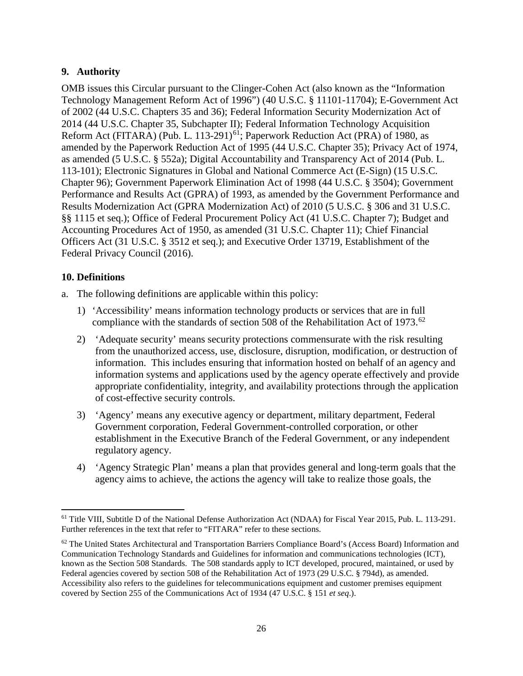# **9. Authority**

OMB issues this Circular pursuant to the Clinger-Cohen Act (also known as the "Information Technology Management Reform Act of 1996") (40 U.S.C. § 11101-11704); E-Government Act of 2002 (44 U.S.C. Chapters 35 and 36); Federal Information Security Modernization Act of 2014 (44 U.S.C. Chapter 35, Subchapter II); Federal Information Technology Acquisition Reform Act (FITARA) (Pub. L. 113-291)<sup>[61](#page-25-0)</sup>; Paperwork Reduction Act (PRA) of 1980, as amended by the Paperwork Reduction Act of 1995 (44 U.S.C. Chapter 35); Privacy Act of 1974, as amended (5 U.S.C. § 552a); Digital Accountability and Transparency Act of 2014 (Pub. L. 113-101); Electronic Signatures in Global and National Commerce Act (E-Sign) (15 U.S.C. Chapter 96); Government Paperwork Elimination Act of 1998 (44 U.S.C. § 3504); Government Performance and Results Act (GPRA) of 1993, as amended by the Government Performance and Results Modernization Act (GPRA Modernization Act) of 2010 (5 U.S.C. § 306 and 31 U.S.C. §§ 1115 et seq.); Office of Federal Procurement Policy Act (41 U.S.C. Chapter 7); Budget and Accounting Procedures Act of 1950, as amended (31 U.S.C. Chapter 11); Chief Financial Officers Act (31 U.S.C. § 3512 et seq.); and Executive Order 13719, Establishment of the Federal Privacy Council (2016).

### **10. Definitions**

- a. The following definitions are applicable within this policy:
	- 1) 'Accessibility' means information technology products or services that are in full compliance with the standards of section 508 of the Rehabilitation Act of 1973.<sup>[62](#page-25-1)</sup>
	- 2) 'Adequate security' means security protections commensurate with the risk resulting from the unauthorized access, use, disclosure, disruption, modification, or destruction of information. This includes ensuring that information hosted on behalf of an agency and information systems and applications used by the agency operate effectively and provide appropriate confidentiality, integrity, and availability protections through the application of cost-effective security controls.
	- 3) 'Agency' means any executive agency or department, military department, Federal Government corporation, Federal Government-controlled corporation, or other establishment in the Executive Branch of the Federal Government, or any independent regulatory agency.
	- 4) 'Agency Strategic Plan' means a plan that provides general and long-term goals that the agency aims to achieve, the actions the agency will take to realize those goals, the

<span id="page-25-0"></span><sup>61</sup> Title VIII, Subtitle D of the National Defense Authorization Act (NDAA) for Fiscal Year 2015, Pub. L. 113-291. Further references in the text that refer to "FITARA" refer to these sections.

<span id="page-25-1"></span> $62$  The United States Architectural and Transportation Barriers Compliance Board's (Access Board) Information and Communication Technology Standards and Guidelines for information and communications technologies (ICT), known as the Section 508 Standards. The 508 standards apply to ICT developed, procured, maintained, or used by Federal agencies covered by section 508 of the Rehabilitation Act of 1973 (29 U.S.C. § 794d), as amended. Accessibility also refers to the guidelines for telecommunications equipment and customer premises equipment covered by Section 255 of the Communications Act of 1934 (47 U.S.C. § 151 *et seq*.).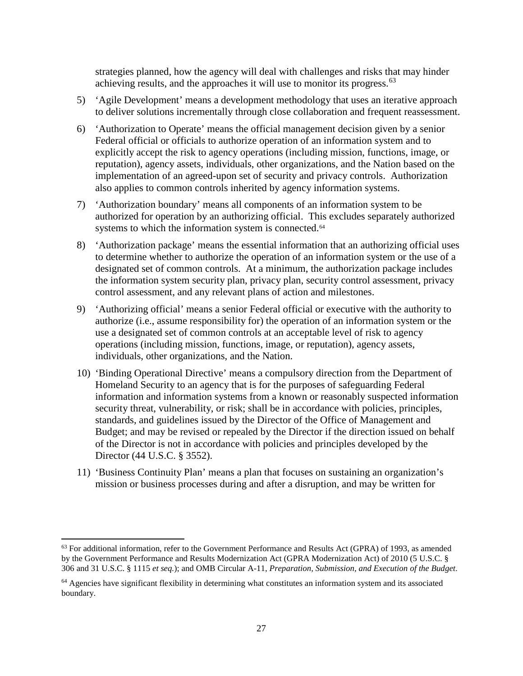strategies planned, how the agency will deal with challenges and risks that may hinder achieving results, and the approaches it will use to monitor its progress.<sup>[63](#page-26-0)</sup>

- 5) 'Agile Development' means a development methodology that uses an iterative approach to deliver solutions incrementally through close collaboration and frequent reassessment.
- 6) 'Authorization to Operate' means the official management decision given by a senior Federal official or officials to authorize operation of an information system and to explicitly accept the risk to agency operations (including mission, functions, image, or reputation), agency assets, individuals, other organizations, and the Nation based on the implementation of an agreed-upon set of security and privacy controls. Authorization also applies to common controls inherited by agency information systems.
- 7) 'Authorization boundary' means all components of an information system to be authorized for operation by an authorizing official. This excludes separately authorized systems to which the information system is connected.<sup>[64](#page-26-1)</sup>
- 8) 'Authorization package' means the essential information that an authorizing official uses to determine whether to authorize the operation of an information system or the use of a designated set of common controls. At a minimum, the authorization package includes the information system security plan, privacy plan, security control assessment, privacy control assessment, and any relevant plans of action and milestones.
- 9) 'Authorizing official' means a senior Federal official or executive with the authority to authorize (i.e., assume responsibility for) the operation of an information system or the use a designated set of common controls at an acceptable level of risk to agency operations (including mission, functions, image, or reputation), agency assets, individuals, other organizations, and the Nation.
- 10) 'Binding Operational Directive' means a compulsory direction from the Department of Homeland Security to an agency that is for the purposes of safeguarding Federal information and information systems from a known or reasonably suspected information security threat, vulnerability, or risk; shall be in accordance with policies, principles, standards, and guidelines issued by the Director of the Office of Management and Budget; and may be revised or repealed by the Director if the direction issued on behalf of the Director is not in accordance with policies and principles developed by the Director (44 U.S.C. § 3552).
- 11) 'Business Continuity Plan' means a plan that focuses on sustaining an organization's mission or business processes during and after a disruption, and may be written for

l

<span id="page-26-0"></span><sup>&</sup>lt;sup>63</sup> For additional information, refer to the Government Performance and Results Act (GPRA) of 1993, as amended by the Government Performance and Results Modernization Act (GPRA Modernization Act) of 2010 (5 U.S.C. § 306 and 31 U.S.C. § 1115 *et seq.*); and OMB Circular A-11, *Preparation, Submission, and Execution of the Budget*.

<span id="page-26-1"></span> $64$  Agencies have significant flexibility in determining what constitutes an information system and its associated boundary.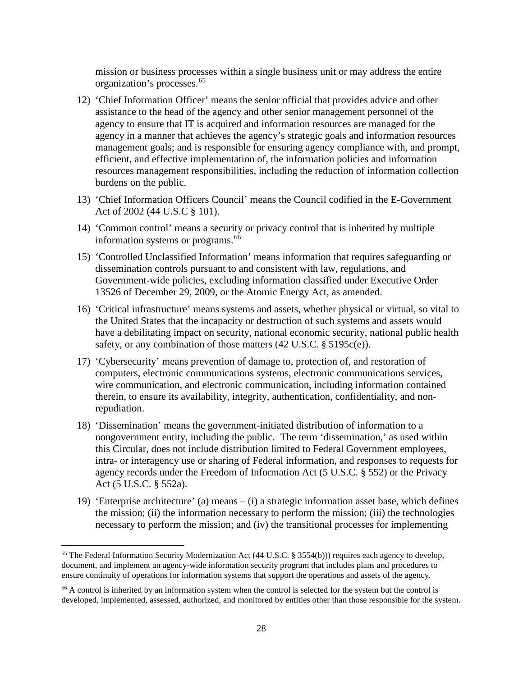mission or business processes within a single business unit or may address the entire organization's processes.[65](#page-27-0)

- 12) 'Chief Information Officer' means the senior official that provides advice and other assistance to the head of the agency and other senior management personnel of the agency to ensure that IT is acquired and information resources are managed for the agency in a manner that achieves the agency's strategic goals and information resources management goals; and is responsible for ensuring agency compliance with, and prompt, efficient, and effective implementation of, the information policies and information resources management responsibilities, including the reduction of information collection burdens on the public.
- 13) 'Chief Information Officers Council' means the Council codified in the E-Government Act of 2002 (44 U.S.C § 101).
- 14) 'Common control' means a security or privacy control that is inherited by multiple information systems or programs. [66](#page-27-1)
- 15) 'Controlled Unclassified Information' means information that requires safeguarding or dissemination controls pursuant to and consistent with law, regulations, and Government-wide policies, excluding information classified under Executive Order 13526 of December 29, 2009, or the Atomic Energy Act, as amended.
- 16) 'Critical infrastructure' means systems and assets, whether physical or virtual, so vital to the United States that the incapacity or destruction of such systems and assets would have a debilitating impact on security, national economic security, national public health safety, or any combination of those matters (42 U.S.C. § 5195c(e)).
- 17) 'Cybersecurity' means prevention of damage to, protection of, and restoration of computers, electronic communications systems, electronic communications services, wire communication, and electronic communication, including information contained therein, to ensure its availability, integrity, authentication, confidentiality, and nonrepudiation.
- 18) 'Dissemination' means the government-initiated distribution of information to a nongovernment entity, including the public. The term 'dissemination,' as used within this Circular, does not include distribution limited to Federal Government employees, intra- or interagency use or sharing of Federal information, and responses to requests for agency records under the Freedom of Information Act (5 U.S.C. § 552) or the Privacy Act (5 U.S.C. § 552a).
- 19) 'Enterprise architecture' (a) means (i) a strategic information asset base, which defines the mission; (ii) the information necessary to perform the mission; (iii) the technologies necessary to perform the mission; and (iv) the transitional processes for implementing

<span id="page-27-0"></span><sup>&</sup>lt;sup>65</sup> The Federal Information Security Modernization Act (44 U.S.C. § 3554(b))) requires each agency to develop, document, and implement an agency-wide information security program that includes plans and procedures to ensure continuity of operations for information systems that support the operations and assets of the agency.

<span id="page-27-1"></span><sup>&</sup>lt;sup>66</sup> A control is inherited by an information system when the control is selected for the system but the control is developed, implemented, assessed, authorized, and monitored by entities other than those responsible for the system.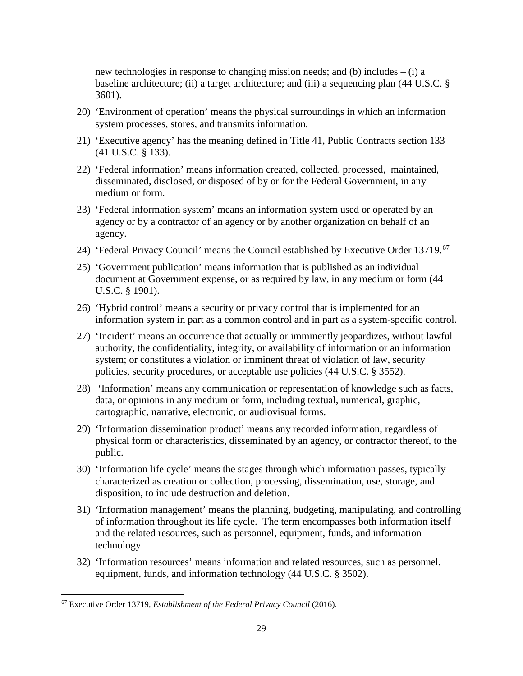new technologies in response to changing mission needs; and (b) includes  $-$  (i) a baseline architecture; (ii) a target architecture; and (iii) a sequencing plan (44 U.S.C. § 3601).

- 20) 'Environment of operation' means the physical surroundings in which an information system processes, stores, and transmits information.
- 21) 'Executive agency' has the meaning defined in Title 41, Public Contracts section 133 (41 U.S.C. § 133).
- 22) 'Federal information' means information created, collected, processed, maintained, disseminated, disclosed, or disposed of by or for the Federal Government, in any medium or form.
- 23) 'Federal information system' means an information system used or operated by an agency or by a contractor of an agency or by another organization on behalf of an agency.
- 24) 'Federal Privacy Council' means the Council established by Executive Order 13719.<sup>[67](#page-28-0)</sup>
- 25) 'Government publication' means information that is published as an individual document at Government expense, or as required by law, in any medium or form (44 U.S.C. § 1901).
- 26) 'Hybrid control' means a security or privacy control that is implemented for an information system in part as a common control and in part as a system-specific control.
- 27) 'Incident' means an occurrence that actually or imminently jeopardizes, without lawful authority, the confidentiality, integrity, or availability of information or an information system; or constitutes a violation or imminent threat of violation of law, security policies, security procedures, or acceptable use policies (44 U.S.C. § 3552).
- 28) 'Information' means any communication or representation of knowledge such as facts, data, or opinions in any medium or form, including textual, numerical, graphic, cartographic, narrative, electronic, or audiovisual forms.
- 29) 'Information dissemination product' means any recorded information, regardless of physical form or characteristics, disseminated by an agency, or contractor thereof, to the public.
- 30) 'Information life cycle' means the stages through which information passes, typically characterized as creation or collection, processing, dissemination, use, storage, and disposition, to include destruction and deletion.
- 31) 'Information management' means the planning, budgeting, manipulating, and controlling of information throughout its life cycle. The term encompasses both information itself and the related resources, such as personnel, equipment, funds, and information technology.
- 32) 'Information resources' means information and related resources, such as personnel, equipment, funds, and information technology (44 U.S.C. § 3502).

 $\overline{a}$ 

<span id="page-28-0"></span><sup>67</sup> Executive Order 13719, *Establishment of the Federal Privacy Council* (2016).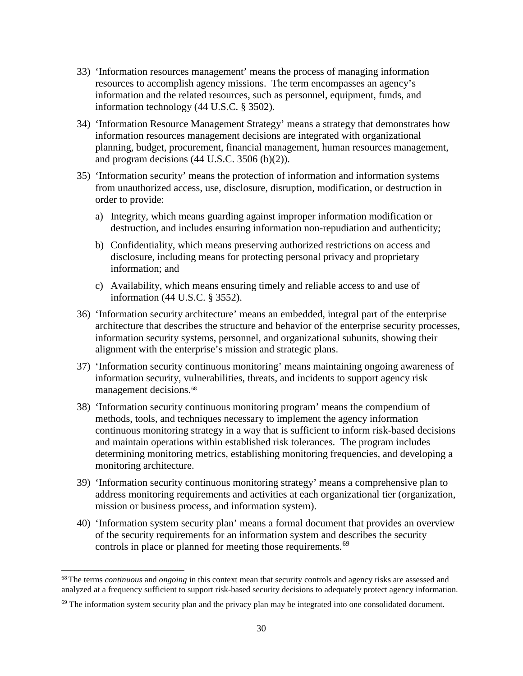- 33) 'Information resources management' means the process of managing information resources to accomplish agency missions. The term encompasses an agency's information and the related resources, such as personnel, equipment, funds, and information technology (44 U.S.C. § 3502).
- 34) 'Information Resource Management Strategy' means a strategy that demonstrates how information resources management decisions are integrated with organizational planning, budget, procurement, financial management, human resources management, and program decisions  $(44 \text{ U.S.C. } 3506 \text{ (b)}(2))$ .
- 35) 'Information security' means the protection of information and information systems from unauthorized access, use, disclosure, disruption, modification, or destruction in order to provide:
	- a) Integrity, which means guarding against improper information modification or destruction, and includes ensuring information non-repudiation and authenticity;
	- b) Confidentiality, which means preserving authorized restrictions on access and disclosure, including means for protecting personal privacy and proprietary information; and
	- c) Availability, which means ensuring timely and reliable access to and use of information (44 U.S.C. § 3552).
- 36) 'Information security architecture' means an embedded, integral part of the enterprise architecture that describes the structure and behavior of the enterprise security processes, information security systems, personnel, and organizational subunits, showing their alignment with the enterprise's mission and strategic plans.
- 37) 'Information security continuous monitoring' means maintaining ongoing awareness of information security, vulnerabilities, threats, and incidents to support agency risk management decisions.<sup>[68](#page-29-0)</sup>
- 38) 'Information security continuous monitoring program' means the compendium of methods, tools, and techniques necessary to implement the agency information continuous monitoring strategy in a way that is sufficient to inform risk-based decisions and maintain operations within established risk tolerances. The program includes determining monitoring metrics, establishing monitoring frequencies, and developing a monitoring architecture.
- 39) 'Information security continuous monitoring strategy' means a comprehensive plan to address monitoring requirements and activities at each organizational tier (organization, mission or business process, and information system).
- 40) 'Information system security plan' means a formal document that provides an overview of the security requirements for an information system and describes the security controls in place or planned for meeting those requirements.<sup>[69](#page-29-1)</sup>

<span id="page-29-0"></span><sup>68</sup> The terms *continuous* and *ongoing* in this context mean that security controls and agency risks are assessed and analyzed at a frequency sufficient to support risk-based security decisions to adequately protect agency information.

<span id="page-29-1"></span><sup>&</sup>lt;sup>69</sup> The information system security plan and the privacy plan may be integrated into one consolidated document.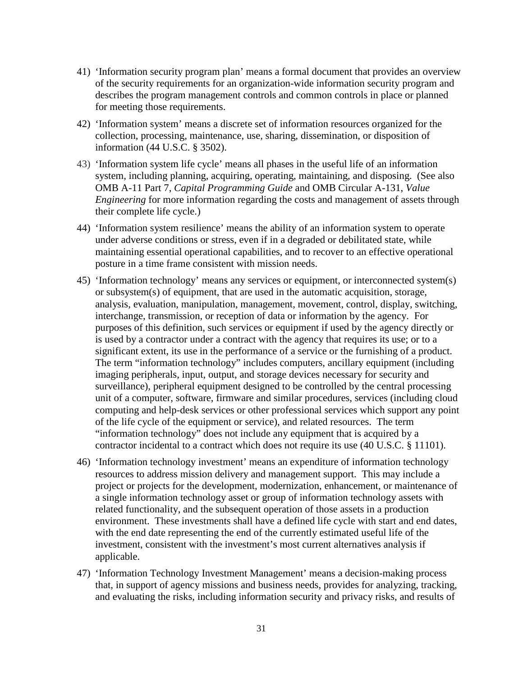- 41) 'Information security program plan' means a formal document that provides an overview of the security requirements for an organization-wide information security program and describes the program management controls and common controls in place or planned for meeting those requirements.
- 42) 'Information system' means a discrete set of information resources organized for the collection, processing, maintenance, use, sharing, dissemination, or disposition of information (44 U.S.C. § 3502).
- 43) 'Information system life cycle' means all phases in the useful life of an information system, including planning, acquiring, operating, maintaining, and disposing. (See also OMB A-11 Part 7, *Capital Programming Guide* and OMB Circular A-131, *Value Engineering* for more information regarding the costs and management of assets through their complete life cycle.)
- 44) 'Information system resilience' means the ability of an information system to operate under adverse conditions or stress, even if in a degraded or debilitated state, while maintaining essential operational capabilities, and to recover to an effective operational posture in a time frame consistent with mission needs.
- 45) 'Information technology' means any services or equipment, or interconnected system(s) or subsystem(s) of equipment, that are used in the automatic acquisition, storage, analysis, evaluation, manipulation, management, movement, control, display, switching, interchange, transmission, or reception of data or information by the agency. For purposes of this definition, such services or equipment if used by the agency directly or is used by a contractor under a contract with the agency that requires its use; or to a significant extent, its use in the performance of a service or the furnishing of a product. The term "information technology" includes computers, ancillary equipment (including imaging peripherals, input, output, and storage devices necessary for security and surveillance), peripheral equipment designed to be controlled by the central processing unit of a computer, software, firmware and similar procedures, services (including cloud computing and help-desk services or other professional services which support any point of the life cycle of the equipment or service), and related resources. The term "information technology" does not include any equipment that is acquired by a contractor incidental to a contract which does not require its use (40 U.S.C. § 11101).
- 46) 'Information technology investment' means an expenditure of information technology resources to address mission delivery and management support. This may include a project or projects for the development, modernization, enhancement, or maintenance of a single information technology asset or group of information technology assets with related functionality, and the subsequent operation of those assets in a production environment. These investments shall have a defined life cycle with start and end dates, with the end date representing the end of the currently estimated useful life of the investment, consistent with the investment's most current alternatives analysis if applicable.
- 47) 'Information Technology Investment Management' means a decision-making process that, in support of agency missions and business needs, provides for analyzing, tracking, and evaluating the risks, including information security and privacy risks, and results of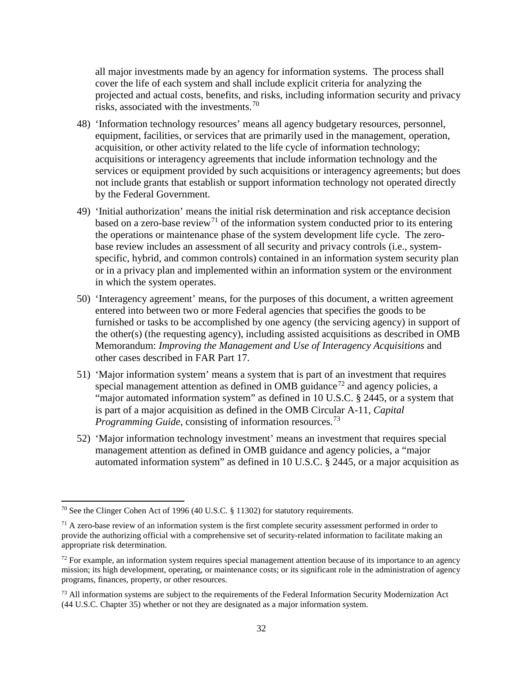all major investments made by an agency for information systems. The process shall cover the life of each system and shall include explicit criteria for analyzing the projected and actual costs, benefits, and risks, including information security and privacy risks, associated with the investments.[70](#page-31-0)

- 48) 'Information technology resources' means all agency budgetary resources, personnel, equipment, facilities, or services that are primarily used in the management, operation, acquisition, or other activity related to the life cycle of information technology; acquisitions or interagency agreements that include information technology and the services or equipment provided by such acquisitions or interagency agreements; but does not include grants that establish or support information technology not operated directly by the Federal Government.
- 49) 'Initial authorization' means the initial risk determination and risk acceptance decision based on a zero-base review<sup>[71](#page-31-1)</sup> of the information system conducted prior to its entering the operations or maintenance phase of the system development life cycle. The zerobase review includes an assessment of all security and privacy controls (i.e., systemspecific, hybrid, and common controls) contained in an information system security plan or in a privacy plan and implemented within an information system or the environment in which the system operates.
- 50) 'Interagency agreement' means, for the purposes of this document, a written agreement entered into between two or more Federal agencies that specifies the goods to be furnished or tasks to be accomplished by one agency (the servicing agency) in support of the other(s) (the requesting agency), including assisted acquisitions as described in OMB Memorandum: *Improving the Management and Use of Interagency Acquisitions* and other cases described in FAR Part 17.
- 51) 'Major information system' means a system that is part of an investment that requires special management attention as defined in OMB guidance<sup>[72](#page-31-2)</sup> and agency policies, a "major automated information system" as defined in 10 U.S.C. § 2445, or a system that is part of a major acquisition as defined in the OMB Circular A-11, *Capital Programming Guide*, consisting of information resources.<sup>[73](#page-31-3)</sup>
- 52) 'Major information technology investment' means an investment that requires special management attention as defined in OMB guidance and agency policies, a "major automated information system" as defined in 10 U.S.C. § 2445, or a major acquisition as

<span id="page-31-0"></span> $70$  See the Clinger Cohen Act of 1996 (40 U.S.C. § 11302) for statutory requirements.

<span id="page-31-1"></span> $71$  A zero-base review of an information system is the first complete security assessment performed in order to provide the authorizing official with a comprehensive set of security-related information to facilitate making an appropriate risk determination.

<span id="page-31-2"></span> $72$  For example, an information system requires special management attention because of its importance to an agency mission; its high development, operating, or maintenance costs; or its significant role in the administration of agency programs, finances, property, or other resources.

<span id="page-31-3"></span> $^{73}$  All information systems are subject to the requirements of the Federal Information Security Modernization Act (44 U.S.C. Chapter 35) whether or not they are designated as a major information system.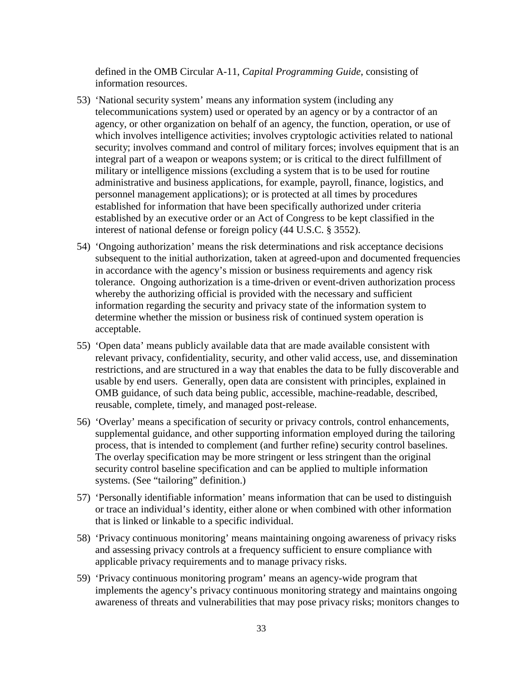defined in the OMB Circular A-11, *Capital Programming Guide*, consisting of information resources.

- 53) 'National security system' means any information system (including any telecommunications system) used or operated by an agency or by a contractor of an agency, or other organization on behalf of an agency, the function, operation, or use of which involves intelligence activities; involves cryptologic activities related to national security; involves command and control of military forces; involves equipment that is an integral part of a weapon or weapons system; or is critical to the direct fulfillment of military or intelligence missions (excluding a system that is to be used for routine administrative and business applications, for example, payroll, finance, logistics, and personnel management applications); or is protected at all times by procedures established for information that have been specifically authorized under criteria established by an executive order or an Act of Congress to be kept classified in the interest of national defense or foreign policy (44 U.S.C. § 3552).
- 54) 'Ongoing authorization' means the risk determinations and risk acceptance decisions subsequent to the initial authorization, taken at agreed-upon and documented frequencies in accordance with the agency's mission or business requirements and agency risk tolerance. Ongoing authorization is a time-driven or event-driven authorization process whereby the authorizing official is provided with the necessary and sufficient information regarding the security and privacy state of the information system to determine whether the mission or business risk of continued system operation is acceptable.
- 55) 'Open data' means publicly available data that are made available consistent with relevant privacy, confidentiality, security, and other valid access, use, and dissemination restrictions, and are structured in a way that enables the data to be fully discoverable and usable by end users. Generally, open data are consistent with principles, explained in OMB guidance, of such data being public, accessible, machine-readable, described, reusable, complete, timely, and managed post-release.
- 56) 'Overlay' means a specification of security or privacy controls, control enhancements, supplemental guidance, and other supporting information employed during the tailoring process, that is intended to complement (and further refine) security control baselines. The overlay specification may be more stringent or less stringent than the original security control baseline specification and can be applied to multiple information systems. (See "tailoring" definition.)
- 57) 'Personally identifiable information' means information that can be used to distinguish or trace an individual's identity, either alone or when combined with other information that is linked or linkable to a specific individual.
- 58) 'Privacy continuous monitoring' means maintaining ongoing awareness of privacy risks and assessing privacy controls at a frequency sufficient to ensure compliance with applicable privacy requirements and to manage privacy risks.
- 59) 'Privacy continuous monitoring program' means an agency-wide program that implements the agency's privacy continuous monitoring strategy and maintains ongoing awareness of threats and vulnerabilities that may pose privacy risks; monitors changes to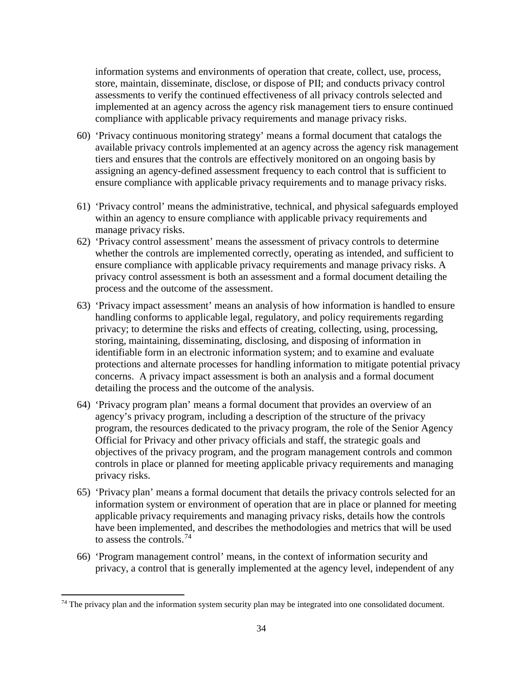information systems and environments of operation that create, collect, use, process, store, maintain, disseminate, disclose, or dispose of PII; and conducts privacy control assessments to verify the continued effectiveness of all privacy controls selected and implemented at an agency across the agency risk management tiers to ensure continued compliance with applicable privacy requirements and manage privacy risks.

- 60) 'Privacy continuous monitoring strategy' means a formal document that catalogs the available privacy controls implemented at an agency across the agency risk management tiers and ensures that the controls are effectively monitored on an ongoing basis by assigning an agency-defined assessment frequency to each control that is sufficient to ensure compliance with applicable privacy requirements and to manage privacy risks.
- 61) 'Privacy control' means the administrative, technical, and physical safeguards employed within an agency to ensure compliance with applicable privacy requirements and manage privacy risks.
- 62) 'Privacy control assessment' means the assessment of privacy controls to determine whether the controls are implemented correctly, operating as intended, and sufficient to ensure compliance with applicable privacy requirements and manage privacy risks. A privacy control assessment is both an assessment and a formal document detailing the process and the outcome of the assessment.
- 63) 'Privacy impact assessment' means an analysis of how information is handled to ensure handling conforms to applicable legal, regulatory, and policy requirements regarding privacy; to determine the risks and effects of creating, collecting, using, processing, storing, maintaining, disseminating, disclosing, and disposing of information in identifiable form in an electronic information system; and to examine and evaluate protections and alternate processes for handling information to mitigate potential privacy concerns. A privacy impact assessment is both an analysis and a formal document detailing the process and the outcome of the analysis.
- 64) 'Privacy program plan' means a formal document that provides an overview of an agency's privacy program, including a description of the structure of the privacy program, the resources dedicated to the privacy program, the role of the Senior Agency Official for Privacy and other privacy officials and staff, the strategic goals and objectives of the privacy program, and the program management controls and common controls in place or planned for meeting applicable privacy requirements and managing privacy risks.
- 65) 'Privacy plan' means a formal document that details the privacy controls selected for an information system or environment of operation that are in place or planned for meeting applicable privacy requirements and managing privacy risks, details how the controls have been implemented, and describes the methodologies and metrics that will be used to assess the controls.[74](#page-33-0)
- 66) 'Program management control' means, in the context of information security and privacy, a control that is generally implemented at the agency level, independent of any

 $\overline{a}$ 

<span id="page-33-0"></span><sup>&</sup>lt;sup>74</sup> The privacy plan and the information system security plan may be integrated into one consolidated document.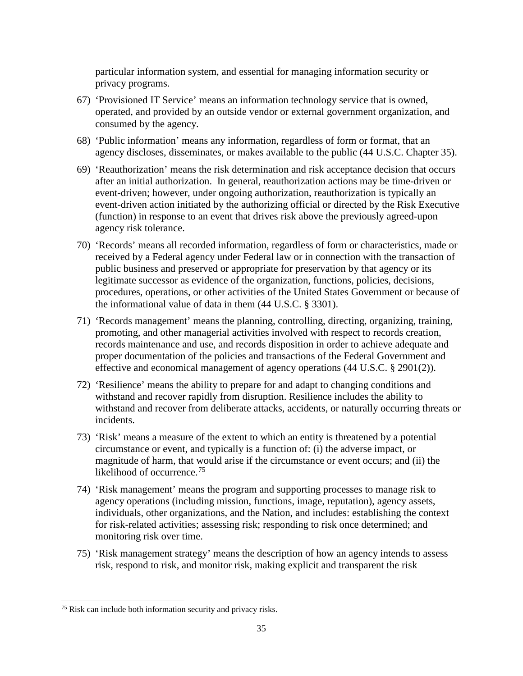particular information system, and essential for managing information security or privacy programs.

- 67) 'Provisioned IT Service' means an information technology service that is owned, operated, and provided by an outside vendor or external government organization, and consumed by the agency.
- 68) 'Public information' means any information, regardless of form or format, that an agency discloses, disseminates, or makes available to the public (44 U.S.C. Chapter 35).
- 69) 'Reauthorization' means the risk determination and risk acceptance decision that occurs after an initial authorization. In general, reauthorization actions may be time-driven or event-driven; however, under ongoing authorization, reauthorization is typically an event-driven action initiated by the authorizing official or directed by the Risk Executive (function) in response to an event that drives risk above the previously agreed-upon agency risk tolerance.
- 70) 'Records' means all recorded information, regardless of form or characteristics, made or received by a Federal agency under Federal law or in connection with the transaction of public business and preserved or appropriate for preservation by that agency or its legitimate successor as evidence of the organization, functions, policies, decisions, procedures, operations, or other activities of the United States Government or because of the informational value of data in them (44 U.S.C. § 3301).
- 71) 'Records management' means the planning, controlling, directing, organizing, training, promoting, and other managerial activities involved with respect to records creation, records maintenance and use, and records disposition in order to achieve adequate and proper documentation of the policies and transactions of the Federal Government and effective and economical management of agency operations (44 U.S.C. § 2901(2)).
- 72) 'Resilience' means the ability to prepare for and adapt to changing conditions and withstand and recover rapidly from disruption. Resilience includes the ability to withstand and recover from deliberate attacks, accidents, or naturally occurring threats or incidents.
- 73) 'Risk' means a measure of the extent to which an entity is threatened by a potential circumstance or event, and typically is a function of: (i) the adverse impact, or magnitude of harm, that would arise if the circumstance or event occurs; and (ii) the likelihood of occurrence.<sup>[75](#page-34-0)</sup>
- 74) 'Risk management' means the program and supporting processes to manage risk to agency operations (including mission, functions, image, reputation), agency assets, individuals, other organizations, and the Nation, and includes: establishing the context for risk-related activities; assessing risk; responding to risk once determined; and monitoring risk over time.
- 75) 'Risk management strategy' means the description of how an agency intends to assess risk, respond to risk, and monitor risk, making explicit and transparent the risk

 $\overline{a}$ 

<span id="page-34-0"></span><sup>75</sup> Risk can include both information security and privacy risks.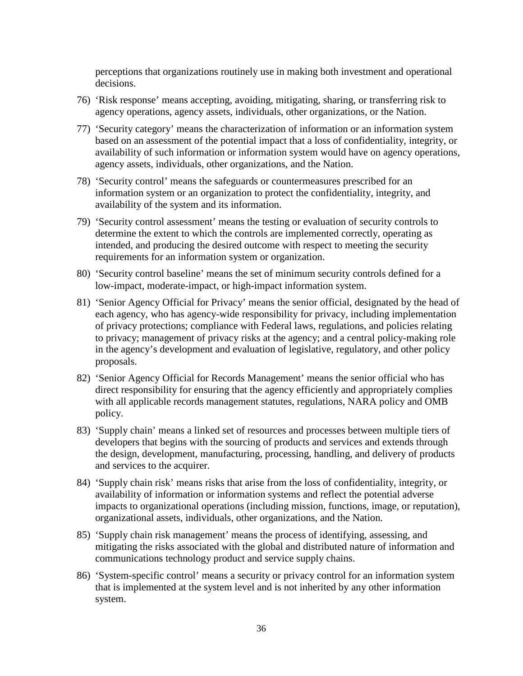perceptions that organizations routinely use in making both investment and operational decisions.

- 76) 'Risk response' means accepting, avoiding, mitigating, sharing, or transferring risk to agency operations, agency assets, individuals, other organizations, or the Nation.
- 77) 'Security category' means the characterization of information or an information system based on an assessment of the potential impact that a loss of confidentiality, integrity, or availability of such information or information system would have on agency operations, agency assets, individuals, other organizations, and the Nation.
- 78) 'Security control' means the safeguards or countermeasures prescribed for an information system or an organization to protect the confidentiality, integrity, and availability of the system and its information.
- 79) 'Security control assessment' means the testing or evaluation of security controls to determine the extent to which the controls are implemented correctly, operating as intended, and producing the desired outcome with respect to meeting the security requirements for an information system or organization.
- 80) 'Security control baseline' means the set of minimum security controls defined for a low-impact, moderate-impact, or high-impact information system.
- 81) 'Senior Agency Official for Privacy' means the senior official, designated by the head of each agency, who has agency-wide responsibility for privacy, including implementation of privacy protections; compliance with Federal laws, regulations, and policies relating to privacy; management of privacy risks at the agency; and a central policy-making role in the agency's development and evaluation of legislative, regulatory, and other policy proposals.
- 82) 'Senior Agency Official for Records Management' means the senior official who has direct responsibility for ensuring that the agency efficiently and appropriately complies with all applicable records management statutes, regulations, NARA policy and OMB policy.
- 83) 'Supply chain' means a linked set of resources and processes between multiple tiers of developers that begins with the sourcing of products and services and extends through the design, development, manufacturing, processing, handling, and delivery of products and services to the acquirer.
- 84) 'Supply chain risk' means risks that arise from the loss of confidentiality, integrity, or availability of information or information systems and reflect the potential adverse impacts to organizational operations (including mission, functions, image, or reputation), organizational assets, individuals, other organizations, and the Nation.
- 85) 'Supply chain risk management' means the process of identifying, assessing, and mitigating the risks associated with the global and distributed nature of information and communications technology product and service supply chains.
- 86) 'System-specific control' means a security or privacy control for an information system that is implemented at the system level and is not inherited by any other information system.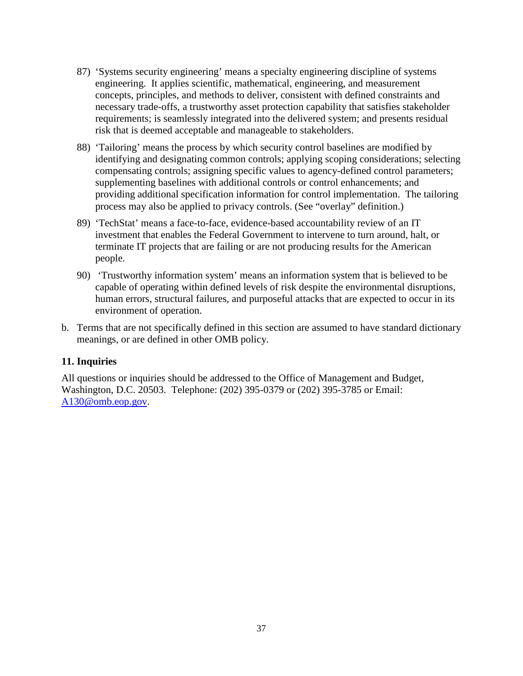- 87) 'Systems security engineering' means a specialty engineering discipline of systems engineering. It applies scientific, mathematical, engineering, and measurement concepts, principles, and methods to deliver, consistent with defined constraints and necessary trade-offs, a trustworthy asset protection capability that satisfies stakeholder requirements; is seamlessly integrated into the delivered system; and presents residual risk that is deemed acceptable and manageable to stakeholders.
- 88) 'Tailoring' means the process by which security control baselines are modified by identifying and designating common controls; applying scoping considerations; selecting compensating controls; assigning specific values to agency-defined control parameters; supplementing baselines with additional controls or control enhancements; and providing additional specification information for control implementation. The tailoring process may also be applied to privacy controls. (See "overlay" definition.)
- 89) 'TechStat' means a face-to-face, evidence-based accountability review of an IT investment that enables the Federal Government to intervene to turn around, halt, or terminate IT projects that are failing or are not producing results for the American people.
- 90) 'Trustworthy information system' means an information system that is believed to be capable of operating within defined levels of risk despite the environmental disruptions, human errors, structural failures, and purposeful attacks that are expected to occur in its environment of operation.
- b. Terms that are not specifically defined in this section are assumed to have standard dictionary meanings, or are defined in other OMB policy.

## **11. Inquiries**

All questions or inquiries should be addressed to the Office of Management and Budget, Washington, D.C. 20503. Telephone: (202) 395-0379 or (202) 395-3785 or Email: [A130@omb.eop.gov.](mailto:A130@omb.eop.gov)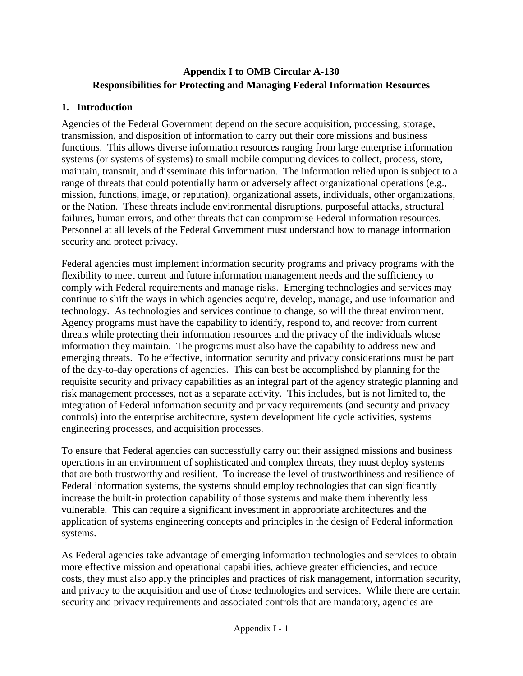# **Appendix I to OMB Circular A-130 Responsibilities for Protecting and Managing Federal Information Resources**

## **1. Introduction**

Agencies of the Federal Government depend on the secure acquisition, processing, storage, transmission, and disposition of information to carry out their core missions and business functions. This allows diverse information resources ranging from large enterprise information systems (or systems of systems) to small mobile computing devices to collect, process, store, maintain, transmit, and disseminate this information. The information relied upon is subject to a range of threats that could potentially harm or adversely affect organizational operations (e.g., mission, functions, image, or reputation), organizational assets, individuals, other organizations, or the Nation. These threats include environmental disruptions, purposeful attacks, structural failures, human errors, and other threats that can compromise Federal information resources. Personnel at all levels of the Federal Government must understand how to manage information security and protect privacy.

Federal agencies must implement information security programs and privacy programs with the flexibility to meet current and future information management needs and the sufficiency to comply with Federal requirements and manage risks. Emerging technologies and services may continue to shift the ways in which agencies acquire, develop, manage, and use information and technology. As technologies and services continue to change, so will the threat environment. Agency programs must have the capability to identify, respond to, and recover from current threats while protecting their information resources and the privacy of the individuals whose information they maintain. The programs must also have the capability to address new and emerging threats. To be effective, information security and privacy considerations must be part of the day-to-day operations of agencies. This can best be accomplished by planning for the requisite security and privacy capabilities as an integral part of the agency strategic planning and risk management processes, not as a separate activity. This includes, but is not limited to, the integration of Federal information security and privacy requirements (and security and privacy controls) into the enterprise architecture, system development life cycle activities, systems engineering processes, and acquisition processes.

To ensure that Federal agencies can successfully carry out their assigned missions and business operations in an environment of sophisticated and complex threats, they must deploy systems that are both trustworthy and resilient. To increase the level of trustworthiness and resilience of Federal information systems, the systems should employ technologies that can significantly increase the built-in protection capability of those systems and make them inherently less vulnerable. This can require a significant investment in appropriate architectures and the application of systems engineering concepts and principles in the design of Federal information systems.

As Federal agencies take advantage of emerging information technologies and services to obtain more effective mission and operational capabilities, achieve greater efficiencies, and reduce costs, they must also apply the principles and practices of risk management, information security, and privacy to the acquisition and use of those technologies and services. While there are certain security and privacy requirements and associated controls that are mandatory, agencies are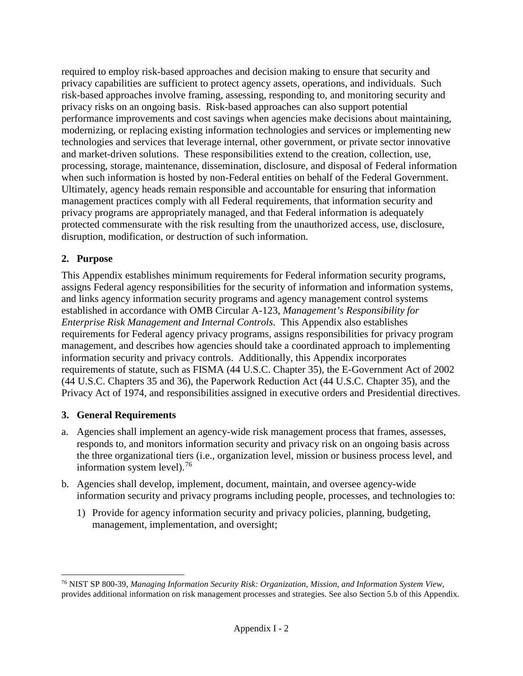required to employ risk-based approaches and decision making to ensure that security and privacy capabilities are sufficient to protect agency assets, operations, and individuals. Such risk-based approaches involve framing, assessing, responding to, and monitoring security and privacy risks on an ongoing basis. Risk-based approaches can also support potential performance improvements and cost savings when agencies make decisions about maintaining, modernizing, or replacing existing information technologies and services or implementing new technologies and services that leverage internal, other government, or private sector innovative and market-driven solutions. These responsibilities extend to the creation, collection, use, processing, storage, maintenance, dissemination, disclosure, and disposal of Federal information when such information is hosted by non-Federal entities on behalf of the Federal Government. Ultimately, agency heads remain responsible and accountable for ensuring that information management practices comply with all Federal requirements, that information security and privacy programs are appropriately managed, and that Federal information is adequately protected commensurate with the risk resulting from the unauthorized access, use, disclosure, disruption, modification, or destruction of such information.

## **2. Purpose**

 $\overline{a}$ 

This Appendix establishes minimum requirements for Federal information security programs, assigns Federal agency responsibilities for the security of information and information systems, and links agency information security programs and agency management control systems established in accordance with OMB Circular A-123, *Management's Responsibility for Enterprise Risk Management and Internal Controls*. This Appendix also establishes requirements for Federal agency privacy programs, assigns responsibilities for privacy program management, and describes how agencies should take a coordinated approach to implementing information security and privacy controls. Additionally, this Appendix incorporates requirements of statute, such as FISMA (44 U.S.C. Chapter 35), the E-Government Act of 2002 (44 U.S.C. Chapters 35 and 36), the Paperwork Reduction Act (44 U.S.C. Chapter 35), and the Privacy Act of 1974, and responsibilities assigned in executive orders and Presidential directives.

# **3. General Requirements**

- a. Agencies shall implement an agency-wide risk management process that frames, assesses, responds to, and monitors information security and privacy risk on an ongoing basis across the three organizational tiers (i.e., organization level, mission or business process level, and information system level). [76](#page-38-0)
- b. Agencies shall develop, implement, document, maintain, and oversee agency-wide information security and privacy programs including people, processes, and technologies to:
	- 1) Provide for agency information security and privacy policies, planning, budgeting, management, implementation, and oversight;

<span id="page-38-0"></span><sup>76</sup> NIST SP 800-39, *Managing Information Security Risk: Organization, Mission, and Information System View,* provides additional information on risk management processes and strategies. See also Section 5.b of this Appendix.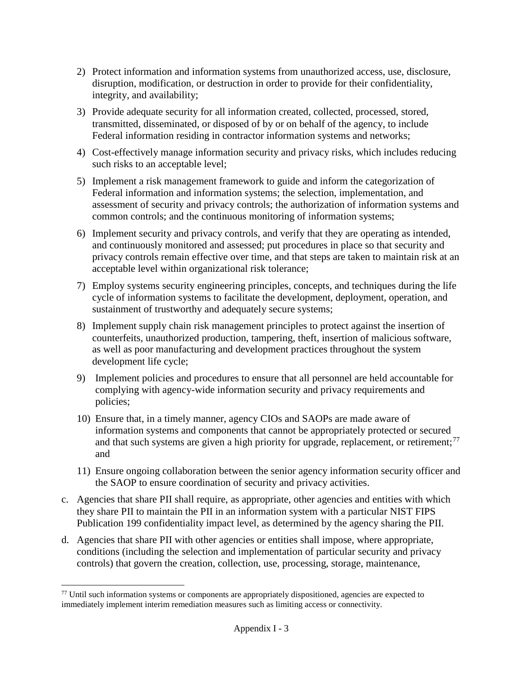- 2) Protect information and information systems from unauthorized access, use, disclosure, disruption, modification, or destruction in order to provide for their confidentiality, integrity, and availability;
- 3) Provide adequate security for all information created, collected, processed, stored, transmitted, disseminated, or disposed of by or on behalf of the agency, to include Federal information residing in contractor information systems and networks;
- 4) Cost-effectively manage information security and privacy risks, which includes reducing such risks to an acceptable level;
- 5) Implement a risk management framework to guide and inform the categorization of Federal information and information systems; the selection, implementation, and assessment of security and privacy controls; the authorization of information systems and common controls; and the continuous monitoring of information systems;
- 6) Implement security and privacy controls, and verify that they are operating as intended, and continuously monitored and assessed; put procedures in place so that security and privacy controls remain effective over time, and that steps are taken to maintain risk at an acceptable level within organizational risk tolerance;
- 7) Employ systems security engineering principles, concepts, and techniques during the life cycle of information systems to facilitate the development, deployment, operation, and sustainment of trustworthy and adequately secure systems;
- 8) Implement supply chain risk management principles to protect against the insertion of counterfeits, unauthorized production, tampering, theft, insertion of malicious software, as well as poor manufacturing and development practices throughout the system development life cycle;
- 9) Implement policies and procedures to ensure that all personnel are held accountable for complying with agency-wide information security and privacy requirements and policies;
- 10) Ensure that, in a timely manner, agency CIOs and SAOPs are made aware of information systems and components that cannot be appropriately protected or secured and that such systems are given a high priority for upgrade, replacement, or retirement; $77$ and
- 11) Ensure ongoing collaboration between the senior agency information security officer and the SAOP to ensure coordination of security and privacy activities.
- c. Agencies that share PII shall require, as appropriate, other agencies and entities with which they share PII to maintain the PII in an information system with a particular NIST FIPS Publication 199 confidentiality impact level, as determined by the agency sharing the PII.
- d. Agencies that share PII with other agencies or entities shall impose, where appropriate, conditions (including the selection and implementation of particular security and privacy controls) that govern the creation, collection, use, processing, storage, maintenance,

l

<span id="page-39-0"></span> $77$  Until such information systems or components are appropriately dispositioned, agencies are expected to immediately implement interim remediation measures such as limiting access or connectivity.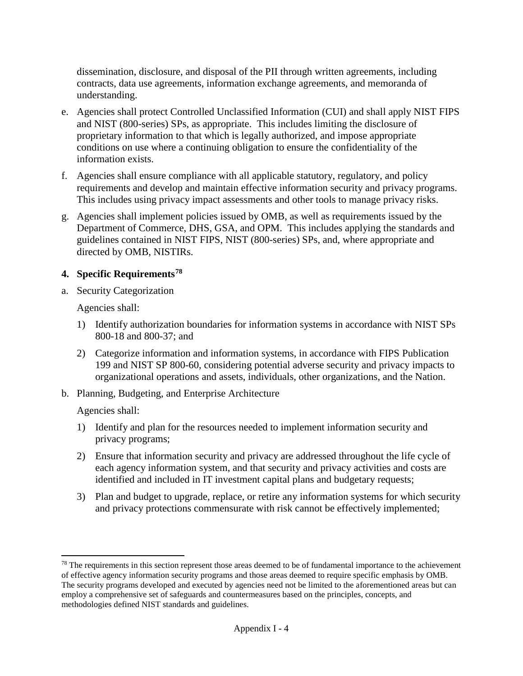dissemination, disclosure, and disposal of the PII through written agreements, including contracts, data use agreements, information exchange agreements, and memoranda of understanding.

- e. Agencies shall protect Controlled Unclassified Information (CUI) and shall apply NIST FIPS and NIST (800-series) SPs, as appropriate. This includes limiting the disclosure of proprietary information to that which is legally authorized, and impose appropriate conditions on use where a continuing obligation to ensure the confidentiality of the information exists.
- f. Agencies shall ensure compliance with all applicable statutory, regulatory, and policy requirements and develop and maintain effective information security and privacy programs. This includes using privacy impact assessments and other tools to manage privacy risks.
- g. Agencies shall implement policies issued by OMB, as well as requirements issued by the Department of Commerce, DHS, GSA, and OPM. This includes applying the standards and guidelines contained in NIST FIPS, NIST (800-series) SPs, and, where appropriate and directed by OMB, NISTIRs.

## **4. Specific Requirements[78](#page-40-0)**

a. Security Categorization

Agencies shall:

- 1) Identify authorization boundaries for information systems in accordance with NIST SPs 800-18 and 800-37; and
- 2) Categorize information and information systems, in accordance with FIPS Publication 199 and NIST SP 800-60, considering potential adverse security and privacy impacts to organizational operations and assets, individuals, other organizations, and the Nation.
- b. Planning, Budgeting, and Enterprise Architecture

Agencies shall:

- 1) Identify and plan for the resources needed to implement information security and privacy programs;
- 2) Ensure that information security and privacy are addressed throughout the life cycle of each agency information system, and that security and privacy activities and costs are identified and included in IT investment capital plans and budgetary requests;
- 3) Plan and budget to upgrade, replace, or retire any information systems for which security and privacy protections commensurate with risk cannot be effectively implemented;

<span id="page-40-0"></span>l  $78$  The requirements in this section represent those areas deemed to be of fundamental importance to the achievement of effective agency information security programs and those areas deemed to require specific emphasis by OMB. The security programs developed and executed by agencies need not be limited to the aforementioned areas but can employ a comprehensive set of safeguards and countermeasures based on the principles, concepts, and methodologies defined NIST standards and guidelines.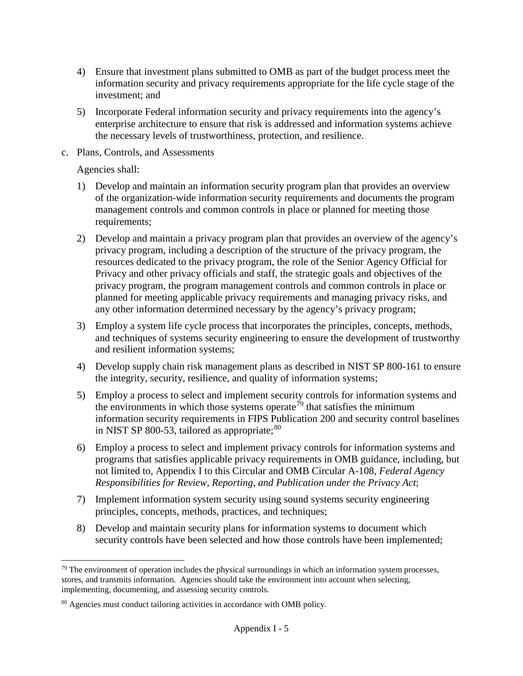- 4) Ensure that investment plans submitted to OMB as part of the budget process meet the information security and privacy requirements appropriate for the life cycle stage of the investment; and
- 5) Incorporate Federal information security and privacy requirements into the agency's enterprise architecture to ensure that risk is addressed and information systems achieve the necessary levels of trustworthiness, protection, and resilience.
- c. Plans, Controls, and Assessments

Agencies shall:

 $\overline{a}$ 

- 1) Develop and maintain an information security program plan that provides an overview of the organization-wide information security requirements and documents the program management controls and common controls in place or planned for meeting those requirements;
- 2) Develop and maintain a privacy program plan that provides an overview of the agency's privacy program, including a description of the structure of the privacy program, the resources dedicated to the privacy program, the role of the Senior Agency Official for Privacy and other privacy officials and staff, the strategic goals and objectives of the privacy program, the program management controls and common controls in place or planned for meeting applicable privacy requirements and managing privacy risks, and any other information determined necessary by the agency's privacy program;
- 3) Employ a system life cycle process that incorporates the principles, concepts, methods, and techniques of systems security engineering to ensure the development of trustworthy and resilient information systems;
- 4) Develop supply chain risk management plans as described in NIST SP 800-161 to ensure the integrity, security, resilience, and quality of information systems;
- 5) Employ a process to select and implement security controls for information systems and the environments in which those systems operate<sup> $\tilde{79}$  $\tilde{79}$  $\tilde{79}$ </sup> that satisfies the minimum information security requirements in FIPS Publication 200 and security control baselines in NIST SP [80](#page-41-1)0-53, tailored as appropriate; $80$
- 6) Employ a process to select and implement privacy controls for information systems and programs that satisfies applicable privacy requirements in OMB guidance, including, but not limited to, Appendix I to this Circular and OMB Circular A-108, *Federal Agency Responsibilities for Review, Reporting, and Publication under the Privacy Act*;
- 7) Implement information system security using sound systems security engineering principles, concepts, methods, practices, and techniques;
- 8) Develop and maintain security plans for information systems to document which security controls have been selected and how those controls have been implemented;

<span id="page-41-0"></span><sup>&</sup>lt;sup>79</sup> The environment of operation includes the physical surroundings in which an information system processes, stores, and transmits information. Agencies should take the environment into account when selecting, implementing, documenting, and assessing security controls.

<span id="page-41-1"></span><sup>80</sup> Agencies must conduct tailoring activities in accordance with OMB policy.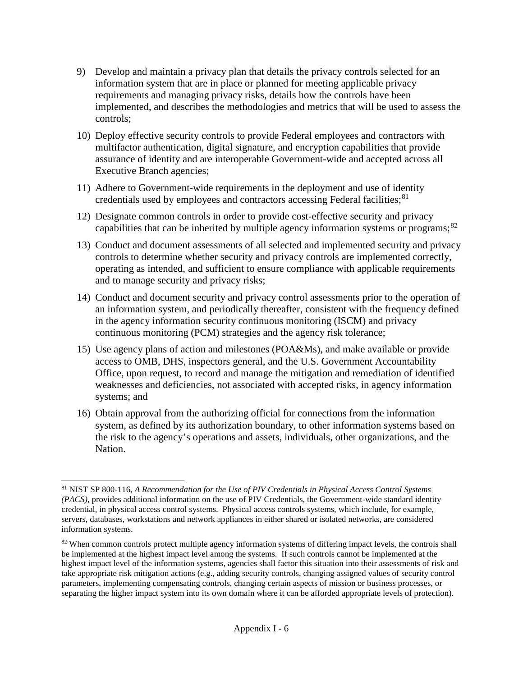- 9) Develop and maintain a privacy plan that details the privacy controls selected for an information system that are in place or planned for meeting applicable privacy requirements and managing privacy risks, details how the controls have been implemented, and describes the methodologies and metrics that will be used to assess the controls;
- 10) Deploy effective security controls to provide Federal employees and contractors with multifactor authentication, digital signature, and encryption capabilities that provide assurance of identity and are interoperable Government-wide and accepted across all Executive Branch agencies;
- 11) Adhere to Government-wide requirements in the deployment and use of identity credentials used by employees and contractors accessing Federal facilities;<sup>[81](#page-42-0)</sup>
- 12) Designate common controls in order to provide cost-effective security and privacy capabilities that can be inherited by multiple agency information systems or programs;<sup>[82](#page-42-1)</sup>
- 13) Conduct and document assessments of all selected and implemented security and privacy controls to determine whether security and privacy controls are implemented correctly, operating as intended, and sufficient to ensure compliance with applicable requirements and to manage security and privacy risks;
- 14) Conduct and document security and privacy control assessments prior to the operation of an information system, and periodically thereafter, consistent with the frequency defined in the agency information security continuous monitoring (ISCM) and privacy continuous monitoring (PCM) strategies and the agency risk tolerance;
- 15) Use agency plans of action and milestones (POA&Ms), and make available or provide access to OMB, DHS, inspectors general, and the U.S. Government Accountability Office, upon request, to record and manage the mitigation and remediation of identified weaknesses and deficiencies, not associated with accepted risks, in agency information systems; and
- 16) Obtain approval from the authorizing official for connections from the information system, as defined by its authorization boundary, to other information systems based on the risk to the agency's operations and assets, individuals, other organizations, and the Nation.

<span id="page-42-0"></span>l <sup>81</sup> NIST SP 800-116, *A Recommendation for the Use of PIV Credentials in Physical Access Control Systems (PACS)*, provides additional information on the use of PIV Credentials, the Government-wide standard identity credential, in physical access control systems. Physical access controls systems, which include, for example, servers, databases, workstations and network appliances in either shared or isolated networks, are considered information systems.

<span id="page-42-1"></span><sup>&</sup>lt;sup>82</sup> When common controls protect multiple agency information systems of differing impact levels, the controls shall be implemented at the highest impact level among the systems. If such controls cannot be implemented at the highest impact level of the information systems, agencies shall factor this situation into their assessments of risk and take appropriate risk mitigation actions (e.g., adding security controls, changing assigned values of security control parameters, implementing compensating controls, changing certain aspects of mission or business processes, or separating the higher impact system into its own domain where it can be afforded appropriate levels of protection).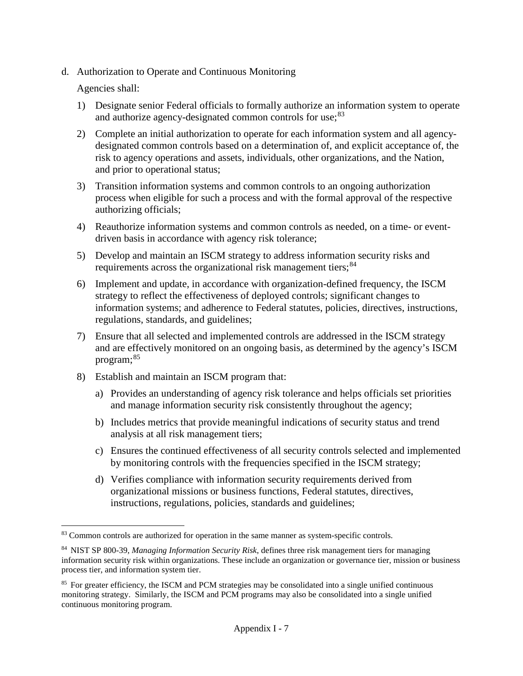d. Authorization to Operate and Continuous Monitoring

Agencies shall:

 $\overline{a}$ 

- 1) Designate senior Federal officials to formally authorize an information system to operate and authorize agency-designated common controls for use;<sup>[83](#page-43-0)</sup>
- 2) Complete an initial authorization to operate for each information system and all agencydesignated common controls based on a determination of, and explicit acceptance of, the risk to agency operations and assets, individuals, other organizations, and the Nation, and prior to operational status;
- 3) Transition information systems and common controls to an ongoing authorization process when eligible for such a process and with the formal approval of the respective authorizing officials;
- 4) Reauthorize information systems and common controls as needed, on a time- or eventdriven basis in accordance with agency risk tolerance;
- 5) Develop and maintain an ISCM strategy to address information security risks and requirements across the organizational risk management tiers;<sup>[84](#page-43-1)</sup>
- 6) Implement and update, in accordance with organization-defined frequency, the ISCM strategy to reflect the effectiveness of deployed controls; significant changes to information systems; and adherence to Federal statutes, policies, directives, instructions, regulations, standards, and guidelines;
- 7) Ensure that all selected and implemented controls are addressed in the ISCM strategy and are effectively monitored on an ongoing basis, as determined by the agency's ISCM program;[85](#page-43-2)
- 8) Establish and maintain an ISCM program that:
	- a) Provides an understanding of agency risk tolerance and helps officials set priorities and manage information security risk consistently throughout the agency;
	- b) Includes metrics that provide meaningful indications of security status and trend analysis at all risk management tiers;
	- c) Ensures the continued effectiveness of all security controls selected and implemented by monitoring controls with the frequencies specified in the ISCM strategy;
	- d) Verifies compliance with information security requirements derived from organizational missions or business functions, Federal statutes, directives, instructions, regulations, policies, standards and guidelines;

<span id="page-43-0"></span><sup>83</sup> Common controls are authorized for operation in the same manner as system-specific controls.

<span id="page-43-1"></span><sup>84</sup> NIST SP 800-39, *Managing Information Security Risk*, defines three risk management tiers for managing information security risk within organizations. These include an organization or governance tier, mission or business process tier, and information system tier.

<span id="page-43-2"></span><sup>&</sup>lt;sup>85</sup> For greater efficiency, the ISCM and PCM strategies may be consolidated into a single unified continuous monitoring strategy. Similarly, the ISCM and PCM programs may also be consolidated into a single unified continuous monitoring program.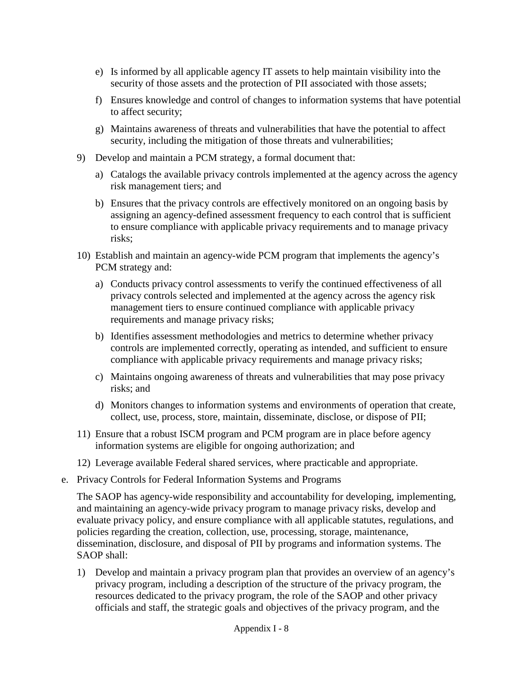- e) Is informed by all applicable agency IT assets to help maintain visibility into the security of those assets and the protection of PII associated with those assets;
- f) Ensures knowledge and control of changes to information systems that have potential to affect security;
- g) Maintains awareness of threats and vulnerabilities that have the potential to affect security, including the mitigation of those threats and vulnerabilities;
- 9) Develop and maintain a PCM strategy, a formal document that:
	- a) Catalogs the available privacy controls implemented at the agency across the agency risk management tiers; and
	- b) Ensures that the privacy controls are effectively monitored on an ongoing basis by assigning an agency-defined assessment frequency to each control that is sufficient to ensure compliance with applicable privacy requirements and to manage privacy risks;
- 10) Establish and maintain an agency-wide PCM program that implements the agency's PCM strategy and:
	- a) Conducts privacy control assessments to verify the continued effectiveness of all privacy controls selected and implemented at the agency across the agency risk management tiers to ensure continued compliance with applicable privacy requirements and manage privacy risks;
	- b) Identifies assessment methodologies and metrics to determine whether privacy controls are implemented correctly, operating as intended, and sufficient to ensure compliance with applicable privacy requirements and manage privacy risks;
	- c) Maintains ongoing awareness of threats and vulnerabilities that may pose privacy risks; and
	- d) Monitors changes to information systems and environments of operation that create, collect, use, process, store, maintain, disseminate, disclose, or dispose of PII;
- 11) Ensure that a robust ISCM program and PCM program are in place before agency information systems are eligible for ongoing authorization; and
- 12) Leverage available Federal shared services, where practicable and appropriate.
- e. Privacy Controls for Federal Information Systems and Programs

The SAOP has agency-wide responsibility and accountability for developing, implementing, and maintaining an agency-wide privacy program to manage privacy risks, develop and evaluate privacy policy, and ensure compliance with all applicable statutes, regulations, and policies regarding the creation, collection, use, processing, storage, maintenance, dissemination, disclosure, and disposal of PII by programs and information systems. The SAOP shall:

1) Develop and maintain a privacy program plan that provides an overview of an agency's privacy program, including a description of the structure of the privacy program, the resources dedicated to the privacy program, the role of the SAOP and other privacy officials and staff, the strategic goals and objectives of the privacy program, and the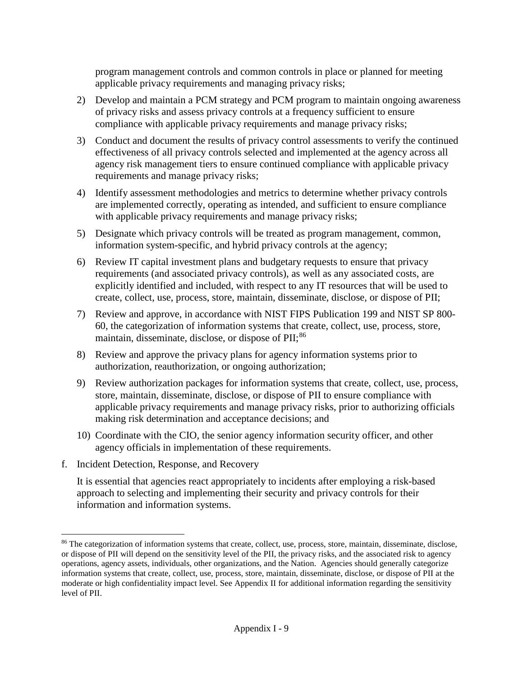program management controls and common controls in place or planned for meeting applicable privacy requirements and managing privacy risks;

- 2) Develop and maintain a PCM strategy and PCM program to maintain ongoing awareness of privacy risks and assess privacy controls at a frequency sufficient to ensure compliance with applicable privacy requirements and manage privacy risks;
- 3) Conduct and document the results of privacy control assessments to verify the continued effectiveness of all privacy controls selected and implemented at the agency across all agency risk management tiers to ensure continued compliance with applicable privacy requirements and manage privacy risks;
- 4) Identify assessment methodologies and metrics to determine whether privacy controls are implemented correctly, operating as intended, and sufficient to ensure compliance with applicable privacy requirements and manage privacy risks;
- 5) Designate which privacy controls will be treated as program management, common, information system-specific, and hybrid privacy controls at the agency;
- 6) Review IT capital investment plans and budgetary requests to ensure that privacy requirements (and associated privacy controls), as well as any associated costs, are explicitly identified and included, with respect to any IT resources that will be used to create, collect, use, process, store, maintain, disseminate, disclose, or dispose of PII;
- 7) Review and approve, in accordance with NIST FIPS Publication 199 and NIST SP 800- 60, the categorization of information systems that create, collect, use, process, store, maintain, disseminate, disclose, or dispose of PII;<sup>[86](#page-45-0)</sup>
- 8) Review and approve the privacy plans for agency information systems prior to authorization, reauthorization, or ongoing authorization;
- 9) Review authorization packages for information systems that create, collect, use, process, store, maintain, disseminate, disclose, or dispose of PII to ensure compliance with applicable privacy requirements and manage privacy risks, prior to authorizing officials making risk determination and acceptance decisions; and
- 10) Coordinate with the CIO, the senior agency information security officer, and other agency officials in implementation of these requirements.
- f. Incident Detection, Response, and Recovery

 $\overline{\phantom{a}}$ 

It is essential that agencies react appropriately to incidents after employing a risk-based approach to selecting and implementing their security and privacy controls for their information and information systems.

<span id="page-45-0"></span><sup>&</sup>lt;sup>86</sup> The categorization of information systems that create, collect, use, process, store, maintain, disseminate, disclose, or dispose of PII will depend on the sensitivity level of the PII, the privacy risks, and the associated risk to agency operations, agency assets, individuals, other organizations, and the Nation. Agencies should generally categorize information systems that create, collect, use, process, store, maintain, disseminate, disclose, or dispose of PII at the moderate or high confidentiality impact level. See Appendix II for additional information regarding the sensitivity level of PII.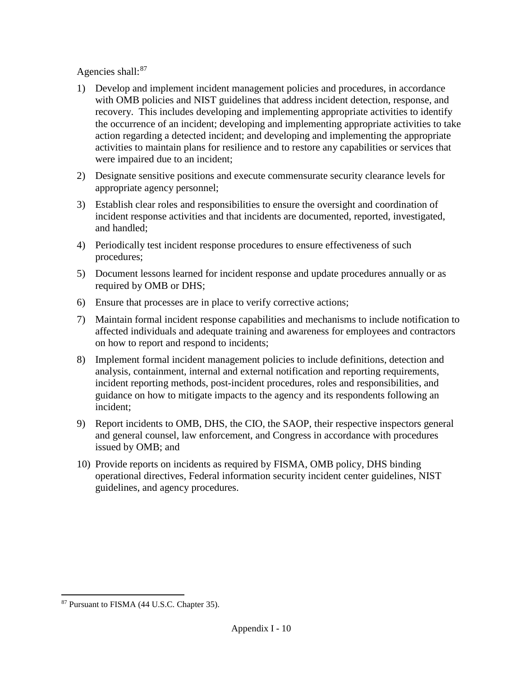# Agencies shall:<sup>[87](#page-46-0)</sup>

- 1) Develop and implement incident management policies and procedures, in accordance with OMB policies and NIST guidelines that address incident detection, response, and recovery. This includes developing and implementing appropriate activities to identify the occurrence of an incident; developing and implementing appropriate activities to take action regarding a detected incident; and developing and implementing the appropriate activities to maintain plans for resilience and to restore any capabilities or services that were impaired due to an incident;
- 2) Designate sensitive positions and execute commensurate security clearance levels for appropriate agency personnel;
- 3) Establish clear roles and responsibilities to ensure the oversight and coordination of incident response activities and that incidents are documented, reported, investigated, and handled;
- 4) Periodically test incident response procedures to ensure effectiveness of such procedures;
- 5) Document lessons learned for incident response and update procedures annually or as required by OMB or DHS;
- 6) Ensure that processes are in place to verify corrective actions;
- 7) Maintain formal incident response capabilities and mechanisms to include notification to affected individuals and adequate training and awareness for employees and contractors on how to report and respond to incidents;
- 8) Implement formal incident management policies to include definitions, detection and analysis, containment, internal and external notification and reporting requirements, incident reporting methods, post-incident procedures, roles and responsibilities, and guidance on how to mitigate impacts to the agency and its respondents following an incident;
- 9) Report incidents to OMB, DHS, the CIO, the SAOP, their respective inspectors general and general counsel, law enforcement, and Congress in accordance with procedures issued by OMB; and
- 10) Provide reports on incidents as required by FISMA, OMB policy, DHS binding operational directives, Federal information security incident center guidelines, NIST guidelines, and agency procedures.

 $\overline{a}$ 

<span id="page-46-0"></span><sup>87</sup> Pursuant to FISMA (44 U.S.C. Chapter 35).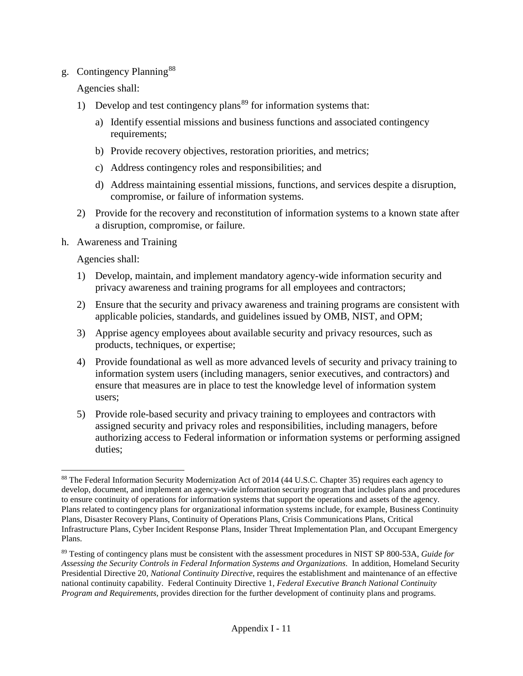## g. Contingency Planning<sup>[88](#page-47-0)</sup>

Agencies shall:

- 1) Develop and test contingency plans<sup>[89](#page-47-1)</sup> for information systems that:
	- a) Identify essential missions and business functions and associated contingency requirements;
	- b) Provide recovery objectives, restoration priorities, and metrics;
	- c) Address contingency roles and responsibilities; and
	- d) Address maintaining essential missions, functions, and services despite a disruption, compromise, or failure of information systems.
- 2) Provide for the recovery and reconstitution of information systems to a known state after a disruption, compromise, or failure.
- h. Awareness and Training

Agencies shall:

- 1) Develop, maintain, and implement mandatory agency-wide information security and privacy awareness and training programs for all employees and contractors;
- 2) Ensure that the security and privacy awareness and training programs are consistent with applicable policies, standards, and guidelines issued by OMB, NIST, and OPM;
- 3) Apprise agency employees about available security and privacy resources, such as products, techniques, or expertise;
- 4) Provide foundational as well as more advanced levels of security and privacy training to information system users (including managers, senior executives, and contractors) and ensure that measures are in place to test the knowledge level of information system users;
- 5) Provide role-based security and privacy training to employees and contractors with assigned security and privacy roles and responsibilities, including managers, before authorizing access to Federal information or information systems or performing assigned duties;

<span id="page-47-0"></span> $\overline{\phantom{a}}$ 88 The Federal Information Security Modernization Act of 2014 (44 U.S.C. Chapter 35) requires each agency to develop, document, and implement an agency-wide information security program that includes plans and procedures to ensure continuity of operations for information systems that support the operations and assets of the agency. Plans related to contingency plans for organizational information systems include, for example, Business Continuity Plans, Disaster Recovery Plans, Continuity of Operations Plans, Crisis Communications Plans, Critical Infrastructure Plans, Cyber Incident Response Plans, Insider Threat Implementation Plan, and Occupant Emergency Plans.

<span id="page-47-1"></span><sup>89</sup> Testing of contingency plans must be consistent with the assessment procedures in NIST SP 800-53A, *Guide for Assessing the Security Controls in Federal Information Systems and Organizations*. In addition, Homeland Security Presidential Directive 20, *National Continuity Directive*, requires the establishment and maintenance of an effective national continuity capability. Federal Continuity Directive 1, *Federal Executive Branch National Continuity Program and Requirements*, provides direction for the further development of continuity plans and programs.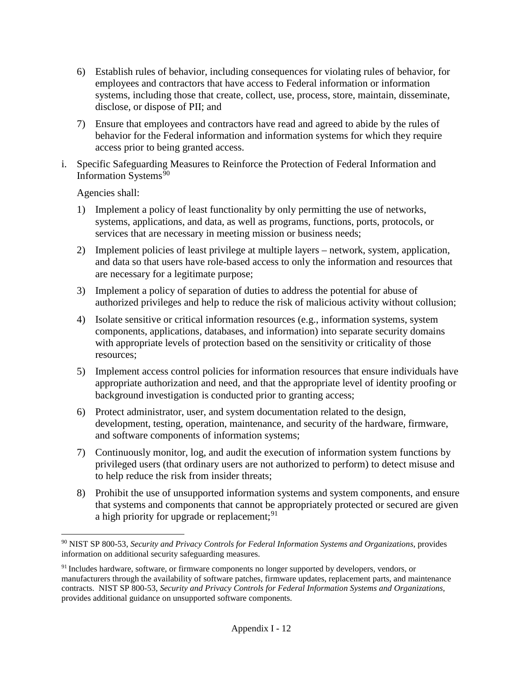- 6) Establish rules of behavior, including consequences for violating rules of behavior, for employees and contractors that have access to Federal information or information systems, including those that create, collect, use, process, store, maintain, disseminate, disclose, or dispose of PII; and
- 7) Ensure that employees and contractors have read and agreed to abide by the rules of behavior for the Federal information and information systems for which they require access prior to being granted access.
- i. Specific Safeguarding Measures to Reinforce the Protection of Federal Information and Information Systems $\overline{90}$  $\overline{90}$  $\overline{90}$

Agencies shall:

 $\overline{\phantom{a}}$ 

- 1) Implement a policy of least functionality by only permitting the use of networks, systems, applications, and data, as well as programs, functions, ports, protocols, or services that are necessary in meeting mission or business needs;
- 2) Implement policies of least privilege at multiple layers network, system, application, and data so that users have role-based access to only the information and resources that are necessary for a legitimate purpose;
- 3) Implement a policy of separation of duties to address the potential for abuse of authorized privileges and help to reduce the risk of malicious activity without collusion;
- 4) Isolate sensitive or critical information resources (e.g., information systems, system components, applications, databases, and information) into separate security domains with appropriate levels of protection based on the sensitivity or criticality of those resources;
- 5) Implement access control policies for information resources that ensure individuals have appropriate authorization and need, and that the appropriate level of identity proofing or background investigation is conducted prior to granting access;
- 6) Protect administrator, user, and system documentation related to the design, development, testing, operation, maintenance, and security of the hardware, firmware, and software components of information systems;
- 7) Continuously monitor, log, and audit the execution of information system functions by privileged users (that ordinary users are not authorized to perform) to detect misuse and to help reduce the risk from insider threats;
- 8) Prohibit the use of unsupported information systems and system components, and ensure that systems and components that cannot be appropriately protected or secured are given a high priority for upgrade or replacement;<sup>[91](#page-48-1)</sup>

<span id="page-48-0"></span><sup>90</sup> NIST SP 800-53, *Security and Privacy Controls for Federal Information Systems and Organizations*, provides information on additional security safeguarding measures.

<span id="page-48-1"></span><sup>&</sup>lt;sup>91</sup> Includes hardware, software, or firmware components no longer supported by developers, vendors, or manufacturers through the availability of software patches, firmware updates, replacement parts, and maintenance contracts. NIST SP 800-53, *Security and Privacy Controls for Federal Information Systems and Organizations*, provides additional guidance on unsupported software components.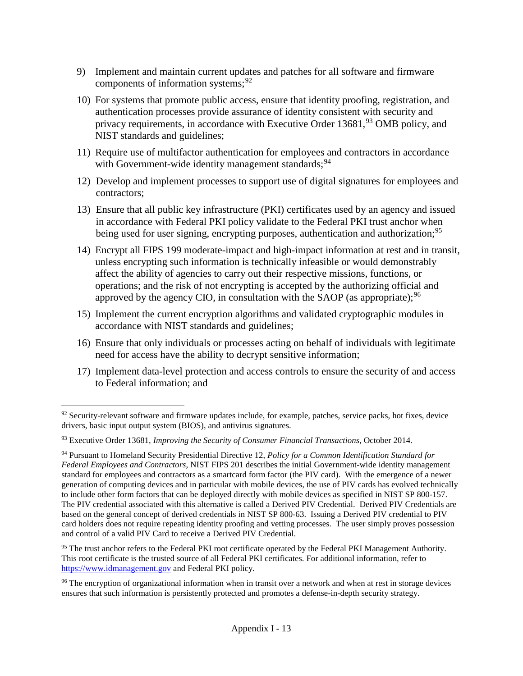- 9) Implement and maintain current updates and patches for all software and firmware components of information systems;  $92$
- 10) For systems that promote public access, ensure that identity proofing, registration, and authentication processes provide assurance of identity consistent with security and privacy requirements, in accordance with Executive Order 13681,<sup>[93](#page-49-1)</sup> OMB policy, and NIST standards and guidelines;
- 11) Require use of multifactor authentication for employees and contractors in accordance with Government-wide identity management standards;<sup>94</sup>
- 12) Develop and implement processes to support use of digital signatures for employees and contractors;
- 13) Ensure that all public key infrastructure (PKI) certificates used by an agency and issued in accordance with Federal PKI policy validate to the Federal PKI trust anchor when being used for user signing, encrypting purposes, authentication and authorization;<sup>95</sup>
- 14) Encrypt all FIPS 199 moderate-impact and high-impact information at rest and in transit, unless encrypting such information is technically infeasible or would demonstrably affect the ability of agencies to carry out their respective missions, functions, or operations; and the risk of not encrypting is accepted by the authorizing official and approved by the agency CIO, in consultation with the SAOP (as appropriate);  $96$
- 15) Implement the current encryption algorithms and validated cryptographic modules in accordance with NIST standards and guidelines;
- 16) Ensure that only individuals or processes acting on behalf of individuals with legitimate need for access have the ability to decrypt sensitive information;
- 17) Implement data-level protection and access controls to ensure the security of and access to Federal information; and

l

<span id="page-49-3"></span><sup>95</sup> The trust anchor refers to the Federal PKI root certificate operated by the Federal PKI Management Authority. This root certificate is the trusted source of all Federal PKI certificates. For additional information, refer to [https://www.idmanagement.gov](https://www.idmanagement.gov/) and Federal PKI policy.

<span id="page-49-4"></span><sup>96</sup> The encryption of organizational information when in transit over a network and when at rest in storage devices ensures that such information is persistently protected and promotes a defense-in-depth security strategy.

<span id="page-49-0"></span> $92$  Security-relevant software and firmware updates include, for example, patches, service packs, hot fixes, device drivers, basic input output system (BIOS), and antivirus signatures.

<span id="page-49-1"></span><sup>93</sup> Executive Order 13681, *Improving the Security of Consumer Financial Transactions*, October 2014.

<span id="page-49-2"></span><sup>94</sup> Pursuant to Homeland Security Presidential Directive 12, *Policy for a Common Identification Standard for Federal Employees and Contractors*, NIST FIPS 201 describes the initial Government-wide identity management standard for employees and contractors as a smartcard form factor (the PIV card). With the emergence of a newer generation of computing devices and in particular with mobile devices, the use of PIV cards has evolved technically to include other form factors that can be deployed directly with mobile devices as specified in NIST SP 800-157. The PIV credential associated with this alternative is called a Derived PIV Credential. Derived PIV Credentials are based on the general concept of derived credentials in NIST SP 800-63. Issuing a Derived PIV credential to PIV card holders does not require repeating identity proofing and vetting processes. The user simply proves possession and control of a valid PIV Card to receive a Derived PIV Credential.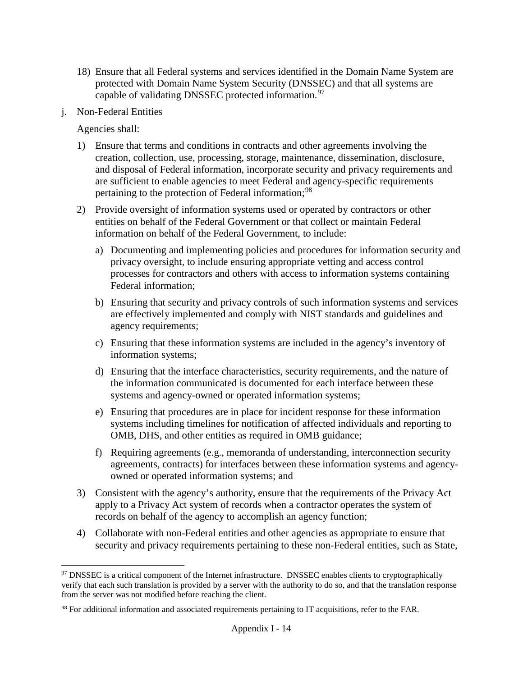- 18) Ensure that all Federal systems and services identified in the Domain Name System are protected with Domain Name System Security (DNSSEC) and that all systems are capable of validating DNSSEC protected information.<sup>[97](#page-50-0)</sup>
- j. Non-Federal Entities

Agencies shall:

 $\overline{a}$ 

- 1) Ensure that terms and conditions in contracts and other agreements involving the creation, collection, use, processing, storage, maintenance, dissemination, disclosure, and disposal of Federal information, incorporate security and privacy requirements and are sufficient to enable agencies to meet Federal and agency-specific requirements pertaining to the protection of Federal information;<sup>[98](#page-50-1)</sup>
- 2) Provide oversight of information systems used or operated by contractors or other entities on behalf of the Federal Government or that collect or maintain Federal information on behalf of the Federal Government, to include:
	- a) Documenting and implementing policies and procedures for information security and privacy oversight, to include ensuring appropriate vetting and access control processes for contractors and others with access to information systems containing Federal information;
	- b) Ensuring that security and privacy controls of such information systems and services are effectively implemented and comply with NIST standards and guidelines and agency requirements;
	- c) Ensuring that these information systems are included in the agency's inventory of information systems;
	- d) Ensuring that the interface characteristics, security requirements, and the nature of the information communicated is documented for each interface between these systems and agency-owned or operated information systems;
	- e) Ensuring that procedures are in place for incident response for these information systems including timelines for notification of affected individuals and reporting to OMB, DHS, and other entities as required in OMB guidance;
	- f) Requiring agreements (e.g., memoranda of understanding, interconnection security agreements, contracts) for interfaces between these information systems and agencyowned or operated information systems; and
- 3) Consistent with the agency's authority, ensure that the requirements of the Privacy Act apply to a Privacy Act system of records when a contractor operates the system of records on behalf of the agency to accomplish an agency function;
- 4) Collaborate with non-Federal entities and other agencies as appropriate to ensure that security and privacy requirements pertaining to these non-Federal entities, such as State,

<span id="page-50-0"></span><sup>&</sup>lt;sup>97</sup> DNSSEC is a critical component of the Internet infrastructure. DNSSEC enables clients to cryptographically verify that each such translation is provided by a server with the authority to do so, and that the translation response from the server was not modified before reaching the client.

<span id="page-50-1"></span><sup>98</sup> For additional information and associated requirements pertaining to IT acquisitions, refer to the FAR.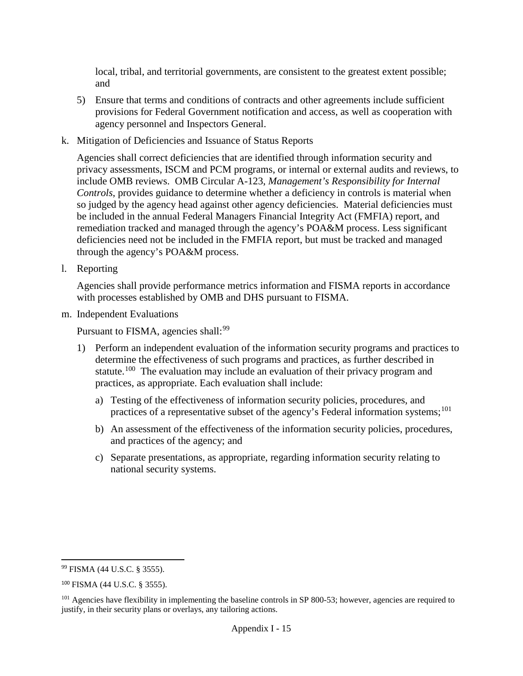local, tribal, and territorial governments, are consistent to the greatest extent possible; and

- 5) Ensure that terms and conditions of contracts and other agreements include sufficient provisions for Federal Government notification and access, as well as cooperation with agency personnel and Inspectors General.
- k. Mitigation of Deficiencies and Issuance of Status Reports

Agencies shall correct deficiencies that are identified through information security and privacy assessments, ISCM and PCM programs, or internal or external audits and reviews, to include OMB reviews. OMB Circular A-123, *Management's Responsibility for Internal Controls*, provides guidance to determine whether a deficiency in controls is material when so judged by the agency head against other agency deficiencies. Material deficiencies must be included in the annual Federal Managers Financial Integrity Act (FMFIA) report, and remediation tracked and managed through the agency's POA&M process. Less significant deficiencies need not be included in the FMFIA report, but must be tracked and managed through the agency's POA&M process.

l. Reporting

Agencies shall provide performance metrics information and FISMA reports in accordance with processes established by OMB and DHS pursuant to FISMA.

m. Independent Evaluations

Pursuant to FISMA, agencies shall:<sup>[99](#page-51-0)</sup>

- 1) Perform an independent evaluation of the information security programs and practices to determine the effectiveness of such programs and practices, as further described in statute.<sup>[100](#page-51-1)</sup> The evaluation may include an evaluation of their privacy program and practices, as appropriate. Each evaluation shall include:
	- a) Testing of the effectiveness of information security policies, procedures, and practices of a representative subset of the agency's Federal information systems;<sup>[101](#page-51-2)</sup>
	- b) An assessment of the effectiveness of the information security policies, procedures, and practices of the agency; and
	- c) Separate presentations, as appropriate, regarding information security relating to national security systems.

 $\overline{a}$ 

<span id="page-51-0"></span><sup>99</sup> FISMA (44 U.S.C. § 3555).

<span id="page-51-1"></span><sup>100</sup> FISMA (44 U.S.C. § 3555).

<span id="page-51-2"></span><sup>&</sup>lt;sup>101</sup> Agencies have flexibility in implementing the baseline controls in SP 800-53; however, agencies are required to justify, in their security plans or overlays, any tailoring actions.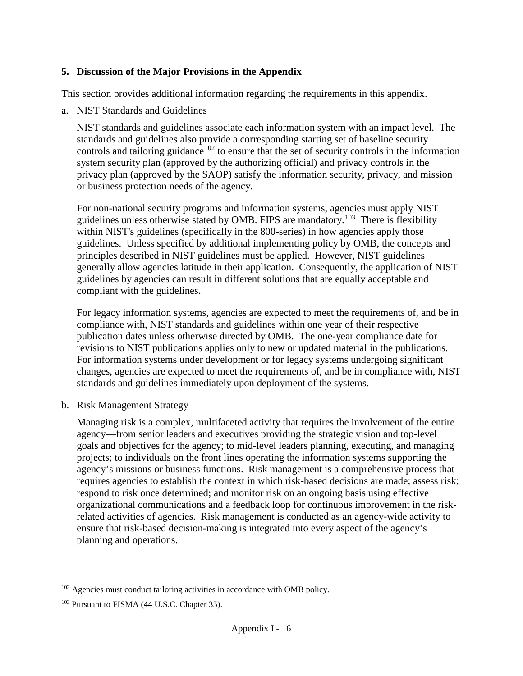## **5. Discussion of the Major Provisions in the Appendix**

This section provides additional information regarding the requirements in this appendix.

a. NIST Standards and Guidelines

NIST standards and guidelines associate each information system with an impact level. The standards and guidelines also provide a corresponding starting set of baseline security controls and tailoring guidance<sup>102</sup> to ensure that the set of security controls in the information system security plan (approved by the authorizing official) and privacy controls in the privacy plan (approved by the SAOP) satisfy the information security, privacy, and mission or business protection needs of the agency.

For non-national security programs and information systems, agencies must apply NIST guidelines unless otherwise stated by OMB. FIPS are mandatory.<sup>[103](#page-52-1)</sup> There is flexibility within NIST's guidelines (specifically in the 800-series) in how agencies apply those guidelines. Unless specified by additional implementing policy by OMB, the concepts and principles described in NIST guidelines must be applied. However, NIST guidelines generally allow agencies latitude in their application. Consequently, the application of NIST guidelines by agencies can result in different solutions that are equally acceptable and compliant with the guidelines.

For legacy information systems, agencies are expected to meet the requirements of, and be in compliance with, NIST standards and guidelines within one year of their respective publication dates unless otherwise directed by OMB. The one-year compliance date for revisions to NIST publications applies only to new or updated material in the publications. For information systems under development or for legacy systems undergoing significant changes, agencies are expected to meet the requirements of, and be in compliance with, NIST standards and guidelines immediately upon deployment of the systems.

b. Risk Management Strategy

Managing risk is a complex, multifaceted activity that requires the involvement of the entire agency—from senior leaders and executives providing the strategic vision and top-level goals and objectives for the agency; to mid-level leaders planning, executing, and managing projects; to individuals on the front lines operating the information systems supporting the agency's missions or business functions. Risk management is a comprehensive process that requires agencies to establish the context in which risk-based decisions are made; assess risk; respond to risk once determined; and monitor risk on an ongoing basis using effective organizational communications and a feedback loop for continuous improvement in the riskrelated activities of agencies. Risk management is conducted as an agency-wide activity to ensure that risk-based decision-making is integrated into every aspect of the agency's planning and operations.

<span id="page-52-0"></span>l <sup>102</sup> Agencies must conduct tailoring activities in accordance with OMB policy.

<span id="page-52-1"></span><sup>&</sup>lt;sup>103</sup> Pursuant to FISMA (44 U.S.C. Chapter 35).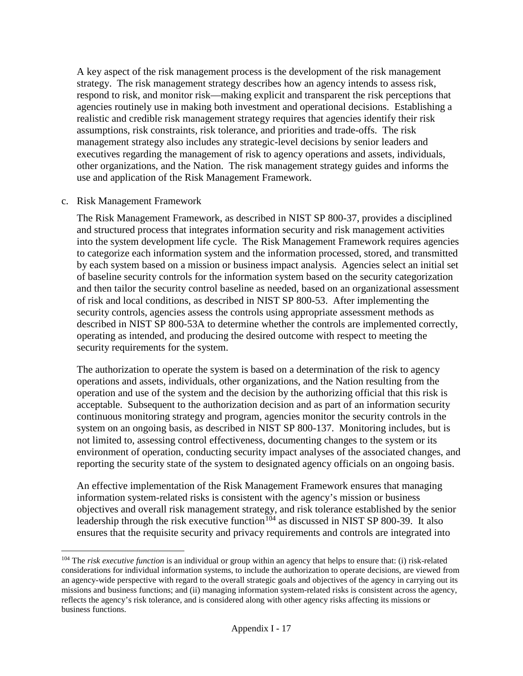A key aspect of the risk management process is the development of the risk management strategy. The risk management strategy describes how an agency intends to assess risk, respond to risk, and monitor risk—making explicit and transparent the risk perceptions that agencies routinely use in making both investment and operational decisions. Establishing a realistic and credible risk management strategy requires that agencies identify their risk assumptions, risk constraints, risk tolerance, and priorities and trade-offs. The risk management strategy also includes any strategic-level decisions by senior leaders and executives regarding the management of risk to agency operations and assets, individuals, other organizations, and the Nation. The risk management strategy guides and informs the use and application of the Risk Management Framework.

#### c. Risk Management Framework

 $\overline{\phantom{a}}$ 

The Risk Management Framework, as described in NIST SP 800-37, provides a disciplined and structured process that integrates information security and risk management activities into the system development life cycle. The Risk Management Framework requires agencies to categorize each information system and the information processed, stored, and transmitted by each system based on a mission or business impact analysis. Agencies select an initial set of baseline security controls for the information system based on the security categorization and then tailor the security control baseline as needed, based on an organizational assessment of risk and local conditions, as described in NIST SP 800-53. After implementing the security controls, agencies assess the controls using appropriate assessment methods as described in NIST SP 800-53A to determine whether the controls are implemented correctly, operating as intended, and producing the desired outcome with respect to meeting the security requirements for the system.

The authorization to operate the system is based on a determination of the risk to agency operations and assets, individuals, other organizations, and the Nation resulting from the operation and use of the system and the decision by the authorizing official that this risk is acceptable. Subsequent to the authorization decision and as part of an information security continuous monitoring strategy and program, agencies monitor the security controls in the system on an ongoing basis, as described in NIST SP 800-137. Monitoring includes, but is not limited to, assessing control effectiveness, documenting changes to the system or its environment of operation, conducting security impact analyses of the associated changes, and reporting the security state of the system to designated agency officials on an ongoing basis.

An effective implementation of the Risk Management Framework ensures that managing information system-related risks is consistent with the agency's mission or business objectives and overall risk management strategy, and risk tolerance established by the senior leadership through the risk executive function<sup> $104$ </sup> as discussed in NIST SP 800-39. It also ensures that the requisite security and privacy requirements and controls are integrated into

<span id="page-53-0"></span><sup>104</sup> The *risk executive function* is an individual or group within an agency that helps to ensure that: (i) risk-related considerations for individual information systems, to include the authorization to operate decisions, are viewed from an agency-wide perspective with regard to the overall strategic goals and objectives of the agency in carrying out its missions and business functions; and (ii) managing information system-related risks is consistent across the agency, reflects the agency's risk tolerance, and is considered along with other agency risks affecting its missions or business functions.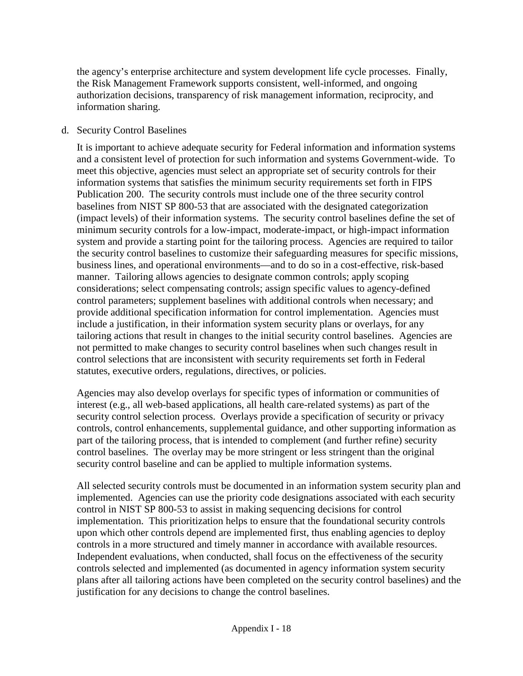the agency's enterprise architecture and system development life cycle processes. Finally, the Risk Management Framework supports consistent, well-informed, and ongoing authorization decisions, transparency of risk management information, reciprocity, and information sharing.

## d. Security Control Baselines

It is important to achieve adequate security for Federal information and information systems and a consistent level of protection for such information and systems Government-wide. To meet this objective, agencies must select an appropriate set of security controls for their information systems that satisfies the minimum security requirements set forth in FIPS Publication 200. The security controls must include one of the three security control baselines from NIST SP 800-53 that are associated with the designated categorization (impact levels) of their information systems. The security control baselines define the set of minimum security controls for a low-impact, moderate-impact, or high-impact information system and provide a starting point for the tailoring process. Agencies are required to tailor the security control baselines to customize their safeguarding measures for specific missions, business lines, and operational environments—and to do so in a cost-effective, risk-based manner. Tailoring allows agencies to designate common controls; apply scoping considerations; select compensating controls; assign specific values to agency-defined control parameters; supplement baselines with additional controls when necessary; and provide additional specification information for control implementation. Agencies must include a justification, in their information system security plans or overlays, for any tailoring actions that result in changes to the initial security control baselines. Agencies are not permitted to make changes to security control baselines when such changes result in control selections that are inconsistent with security requirements set forth in Federal statutes, executive orders, regulations, directives, or policies.

Agencies may also develop overlays for specific types of information or communities of interest (e.g., all web-based applications, all health care-related systems) as part of the security control selection process. Overlays provide a specification of security or privacy controls, control enhancements, supplemental guidance, and other supporting information as part of the tailoring process, that is intended to complement (and further refine) security control baselines. The overlay may be more stringent or less stringent than the original security control baseline and can be applied to multiple information systems.

All selected security controls must be documented in an information system security plan and implemented. Agencies can use the priority code designations associated with each security control in NIST SP 800-53 to assist in making sequencing decisions for control implementation. This prioritization helps to ensure that the foundational security controls upon which other controls depend are implemented first, thus enabling agencies to deploy controls in a more structured and timely manner in accordance with available resources. Independent evaluations, when conducted, shall focus on the effectiveness of the security controls selected and implemented (as documented in agency information system security plans after all tailoring actions have been completed on the security control baselines) and the justification for any decisions to change the control baselines.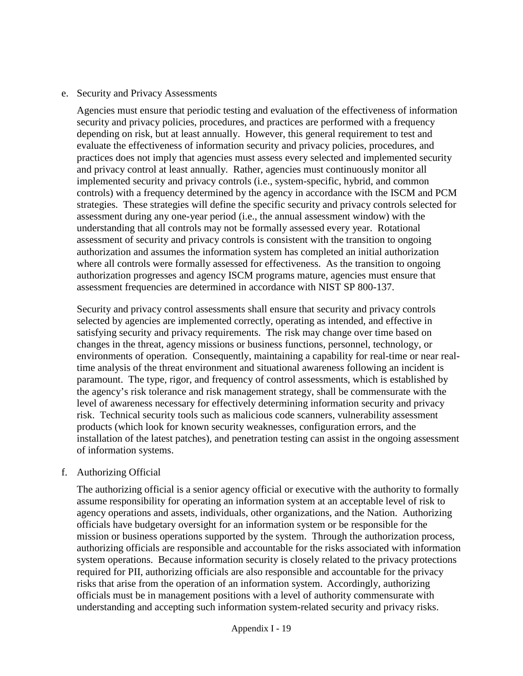#### e. Security and Privacy Assessments

Agencies must ensure that periodic testing and evaluation of the effectiveness of information security and privacy policies, procedures, and practices are performed with a frequency depending on risk, but at least annually. However, this general requirement to test and evaluate the effectiveness of information security and privacy policies, procedures, and practices does not imply that agencies must assess every selected and implemented security and privacy control at least annually. Rather, agencies must continuously monitor all implemented security and privacy controls (i.e., system-specific, hybrid, and common controls) with a frequency determined by the agency in accordance with the ISCM and PCM strategies. These strategies will define the specific security and privacy controls selected for assessment during any one-year period (i.e., the annual assessment window) with the understanding that all controls may not be formally assessed every year. Rotational assessment of security and privacy controls is consistent with the transition to ongoing authorization and assumes the information system has completed an initial authorization where all controls were formally assessed for effectiveness. As the transition to ongoing authorization progresses and agency ISCM programs mature, agencies must ensure that assessment frequencies are determined in accordance with NIST SP 800-137.

Security and privacy control assessments shall ensure that security and privacy controls selected by agencies are implemented correctly, operating as intended, and effective in satisfying security and privacy requirements. The risk may change over time based on changes in the threat, agency missions or business functions, personnel, technology, or environments of operation. Consequently, maintaining a capability for real-time or near realtime analysis of the threat environment and situational awareness following an incident is paramount. The type, rigor, and frequency of control assessments, which is established by the agency's risk tolerance and risk management strategy, shall be commensurate with the level of awareness necessary for effectively determining information security and privacy risk. Technical security tools such as malicious code scanners, vulnerability assessment products (which look for known security weaknesses, configuration errors, and the installation of the latest patches), and penetration testing can assist in the ongoing assessment of information systems.

#### f. Authorizing Official

The authorizing official is a senior agency official or executive with the authority to formally assume responsibility for operating an information system at an acceptable level of risk to agency operations and assets, individuals, other organizations, and the Nation. Authorizing officials have budgetary oversight for an information system or be responsible for the mission or business operations supported by the system. Through the authorization process, authorizing officials are responsible and accountable for the risks associated with information system operations. Because information security is closely related to the privacy protections required for PII, authorizing officials are also responsible and accountable for the privacy risks that arise from the operation of an information system. Accordingly, authorizing officials must be in management positions with a level of authority commensurate with understanding and accepting such information system-related security and privacy risks.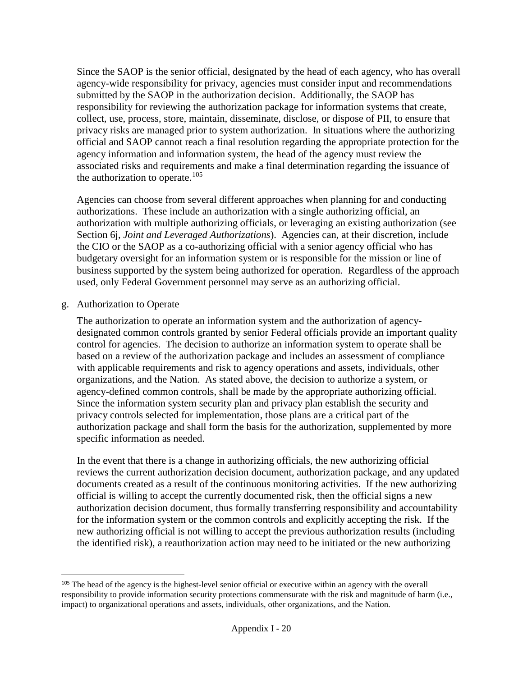Since the SAOP is the senior official, designated by the head of each agency, who has overall agency-wide responsibility for privacy, agencies must consider input and recommendations submitted by the SAOP in the authorization decision. Additionally, the SAOP has responsibility for reviewing the authorization package for information systems that create, collect, use, process, store, maintain, disseminate, disclose, or dispose of PII, to ensure that privacy risks are managed prior to system authorization. In situations where the authorizing official and SAOP cannot reach a final resolution regarding the appropriate protection for the agency information and information system, the head of the agency must review the associated risks and requirements and make a final determination regarding the issuance of the authorization to operate.<sup>[105](#page-56-0)</sup>

Agencies can choose from several different approaches when planning for and conducting authorizations. These include an authorization with a single authorizing official, an authorization with multiple authorizing officials, or leveraging an existing authorization (see Section 6j, *Joint and Leveraged Authorizations*). Agencies can, at their discretion, include the CIO or the SAOP as a co-authorizing official with a senior agency official who has budgetary oversight for an information system or is responsible for the mission or line of business supported by the system being authorized for operation. Regardless of the approach used, only Federal Government personnel may serve as an authorizing official.

### g. Authorization to Operate

The authorization to operate an information system and the authorization of agencydesignated common controls granted by senior Federal officials provide an important quality control for agencies. The decision to authorize an information system to operate shall be based on a review of the authorization package and includes an assessment of compliance with applicable requirements and risk to agency operations and assets, individuals, other organizations, and the Nation. As stated above, the decision to authorize a system, or agency-defined common controls, shall be made by the appropriate authorizing official. Since the information system security plan and privacy plan establish the security and privacy controls selected for implementation, those plans are a critical part of the authorization package and shall form the basis for the authorization, supplemented by more specific information as needed.

In the event that there is a change in authorizing officials, the new authorizing official reviews the current authorization decision document, authorization package, and any updated documents created as a result of the continuous monitoring activities. If the new authorizing official is willing to accept the currently documented risk, then the official signs a new authorization decision document, thus formally transferring responsibility and accountability for the information system or the common controls and explicitly accepting the risk. If the new authorizing official is not willing to accept the previous authorization results (including the identified risk), a reauthorization action may need to be initiated or the new authorizing

<span id="page-56-0"></span><sup>&</sup>lt;sup>105</sup> The head of the agency is the highest-level senior official or executive within an agency with the overall responsibility to provide information security protections commensurate with the risk and magnitude of harm (i.e., impact) to organizational operations and assets, individuals, other organizations, and the Nation.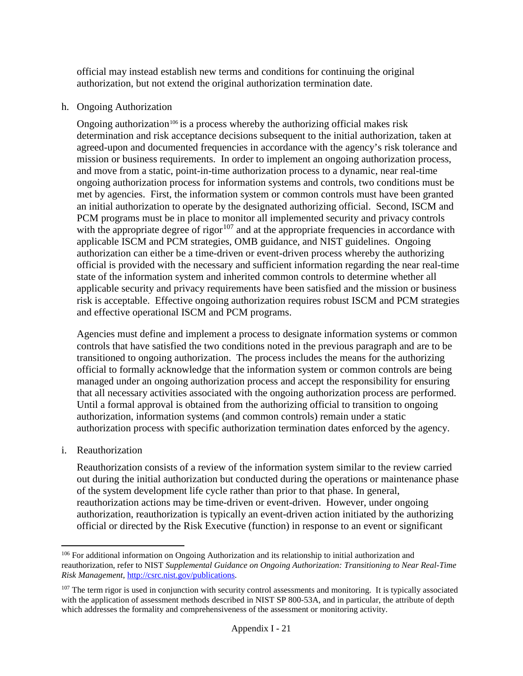official may instead establish new terms and conditions for continuing the original authorization, but not extend the original authorization termination date.

### h. Ongoing Authorization

Ongoing authorization<sup>[106](#page-57-0)</sup> is a process whereby the authorizing official makes risk determination and risk acceptance decisions subsequent to the initial authorization, taken at agreed-upon and documented frequencies in accordance with the agency's risk tolerance and mission or business requirements. In order to implement an ongoing authorization process, and move from a static, point-in-time authorization process to a dynamic, near real-time ongoing authorization process for information systems and controls, two conditions must be met by agencies. First, the information system or common controls must have been granted an initial authorization to operate by the designated authorizing official. Second, ISCM and PCM programs must be in place to monitor all implemented security and privacy controls with the appropriate degree of rigor $107$  and at the appropriate frequencies in accordance with applicable ISCM and PCM strategies, OMB guidance, and NIST guidelines. Ongoing authorization can either be a time-driven or event-driven process whereby the authorizing official is provided with the necessary and sufficient information regarding the near real-time state of the information system and inherited common controls to determine whether all applicable security and privacy requirements have been satisfied and the mission or business risk is acceptable. Effective ongoing authorization requires robust ISCM and PCM strategies and effective operational ISCM and PCM programs.

Agencies must define and implement a process to designate information systems or common controls that have satisfied the two conditions noted in the previous paragraph and are to be transitioned to ongoing authorization. The process includes the means for the authorizing official to formally acknowledge that the information system or common controls are being managed under an ongoing authorization process and accept the responsibility for ensuring that all necessary activities associated with the ongoing authorization process are performed. Until a formal approval is obtained from the authorizing official to transition to ongoing authorization, information systems (and common controls) remain under a static authorization process with specific authorization termination dates enforced by the agency.

i. Reauthorization

 $\overline{\phantom{a}}$ 

Reauthorization consists of a review of the information system similar to the review carried out during the initial authorization but conducted during the operations or maintenance phase of the system development life cycle rather than prior to that phase. In general, reauthorization actions may be time-driven or event-driven. However, under ongoing authorization, reauthorization is typically an event-driven action initiated by the authorizing official or directed by the Risk Executive (function) in response to an event or significant

<span id="page-57-0"></span><sup>&</sup>lt;sup>106</sup> For additional information on Ongoing Authorization and its relationship to initial authorization and reauthorization, refer to NIST *Supplemental Guidance on Ongoing Authorization: Transitioning to Near Real-Time Risk Management,* [http://csrc.nist.gov/publications.](http://csrc.nist.gov/publications)

<span id="page-57-1"></span><sup>&</sup>lt;sup>107</sup> The term rigor is used in conjunction with security control assessments and monitoring. It is typically associated with the application of assessment methods described in NIST SP 800-53A, and in particular, the attribute of depth which addresses the formality and comprehensiveness of the assessment or monitoring activity.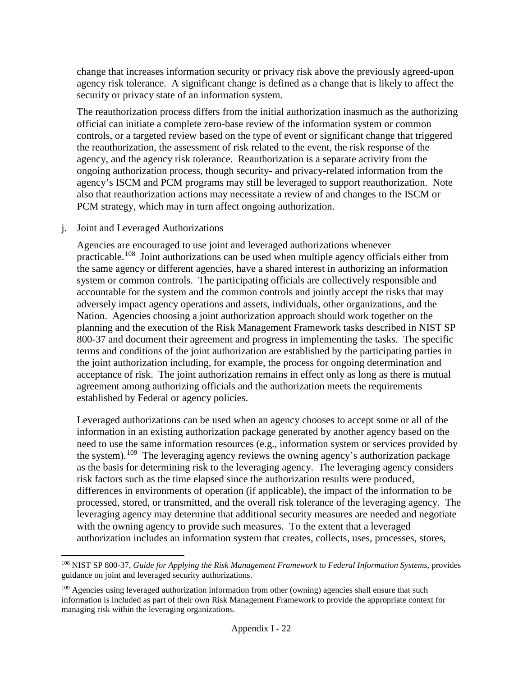change that increases information security or privacy risk above the previously agreed-upon agency risk tolerance. A significant change is defined as a change that is likely to affect the security or privacy state of an information system.

The reauthorization process differs from the initial authorization inasmuch as the authorizing official can initiate a complete zero-base review of the information system or common controls, or a targeted review based on the type of event or significant change that triggered the reauthorization, the assessment of risk related to the event, the risk response of the agency, and the agency risk tolerance. Reauthorization is a separate activity from the ongoing authorization process, though security- and privacy-related information from the agency's ISCM and PCM programs may still be leveraged to support reauthorization. Note also that reauthorization actions may necessitate a review of and changes to the ISCM or PCM strategy, which may in turn affect ongoing authorization.

j. Joint and Leveraged Authorizations

l

Agencies are encouraged to use joint and leveraged authorizations whenever practicable.<sup>[108](#page-58-0)</sup> Joint authorizations can be used when multiple agency officials either from the same agency or different agencies, have a shared interest in authorizing an information system or common controls. The participating officials are collectively responsible and accountable for the system and the common controls and jointly accept the risks that may adversely impact agency operations and assets, individuals, other organizations, and the Nation. Agencies choosing a joint authorization approach should work together on the planning and the execution of the Risk Management Framework tasks described in NIST SP 800-37 and document their agreement and progress in implementing the tasks. The specific terms and conditions of the joint authorization are established by the participating parties in the joint authorization including, for example, the process for ongoing determination and acceptance of risk. The joint authorization remains in effect only as long as there is mutual agreement among authorizing officials and the authorization meets the requirements established by Federal or agency policies.

Leveraged authorizations can be used when an agency chooses to accept some or all of the information in an existing authorization package generated by another agency based on the need to use the same information resources (e.g., information system or services provided by the system).<sup>[109](#page-58-1)</sup> The leveraging agency reviews the owning agency's authorization package as the basis for determining risk to the leveraging agency. The leveraging agency considers risk factors such as the time elapsed since the authorization results were produced, differences in environments of operation (if applicable), the impact of the information to be processed, stored, or transmitted, and the overall risk tolerance of the leveraging agency. The leveraging agency may determine that additional security measures are needed and negotiate with the owning agency to provide such measures. To the extent that a leveraged authorization includes an information system that creates, collects, uses, processes, stores,

<span id="page-58-0"></span><sup>108</sup> NIST SP 800-37, *Guide for Applying the Risk Management Framework to Federal Information Systems*, provides guidance on joint and leveraged security authorizations.

<span id="page-58-1"></span><sup>&</sup>lt;sup>109</sup> Agencies using leveraged authorization information from other (owning) agencies shall ensure that such information is included as part of their own Risk Management Framework to provide the appropriate context for managing risk within the leveraging organizations.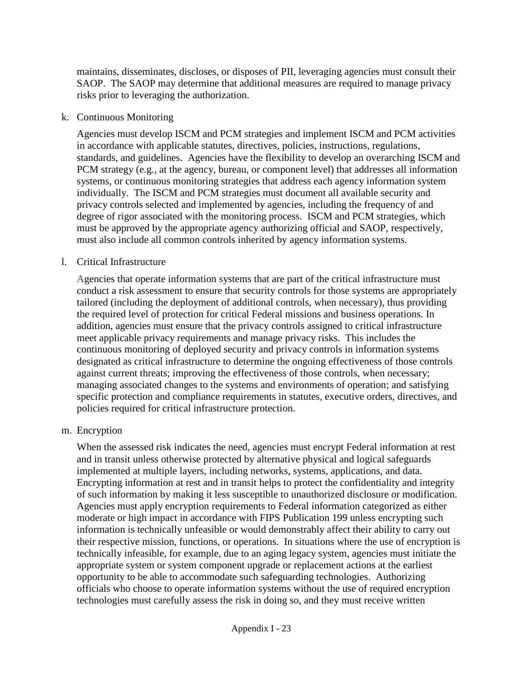maintains, disseminates, discloses, or disposes of PII, leveraging agencies must consult their SAOP. The SAOP may determine that additional measures are required to manage privacy risks prior to leveraging the authorization.

#### k. Continuous Monitoring

Agencies must develop ISCM and PCM strategies and implement ISCM and PCM activities in accordance with applicable statutes, directives, policies, instructions, regulations, standards, and guidelines. Agencies have the flexibility to develop an overarching ISCM and PCM strategy (e.g., at the agency, bureau, or component level) that addresses all information systems, or continuous monitoring strategies that address each agency information system individually. The ISCM and PCM strategies must document all available security and privacy controls selected and implemented by agencies, including the frequency of and degree of rigor associated with the monitoring process. ISCM and PCM strategies, which must be approved by the appropriate agency authorizing official and SAOP, respectively, must also include all common controls inherited by agency information systems.

#### l. Critical Infrastructure

Agencies that operate information systems that are part of the critical infrastructure must conduct a risk assessment to ensure that security controls for those systems are appropriately tailored (including the deployment of additional controls, when necessary), thus providing the required level of protection for critical Federal missions and business operations. In addition, agencies must ensure that the privacy controls assigned to critical infrastructure meet applicable privacy requirements and manage privacy risks. This includes the continuous monitoring of deployed security and privacy controls in information systems designated as critical infrastructure to determine the ongoing effectiveness of those controls against current threats; improving the effectiveness of those controls, when necessary; managing associated changes to the systems and environments of operation; and satisfying specific protection and compliance requirements in statutes, executive orders, directives, and policies required for critical infrastructure protection.

#### m. Encryption

When the assessed risk indicates the need, agencies must encrypt Federal information at rest and in transit unless otherwise protected by alternative physical and logical safeguards implemented at multiple layers, including networks, systems, applications, and data. Encrypting information at rest and in transit helps to protect the confidentiality and integrity of such information by making it less susceptible to unauthorized disclosure or modification. Agencies must apply encryption requirements to Federal information categorized as either moderate or high impact in accordance with FIPS Publication 199 unless encrypting such information is technically unfeasible or would demonstrably affect their ability to carry out their respective mission, functions, or operations. In situations where the use of encryption is technically infeasible, for example, due to an aging legacy system, agencies must initiate the appropriate system or system component upgrade or replacement actions at the earliest opportunity to be able to accommodate such safeguarding technologies. Authorizing officials who choose to operate information systems without the use of required encryption technologies must carefully assess the risk in doing so, and they must receive written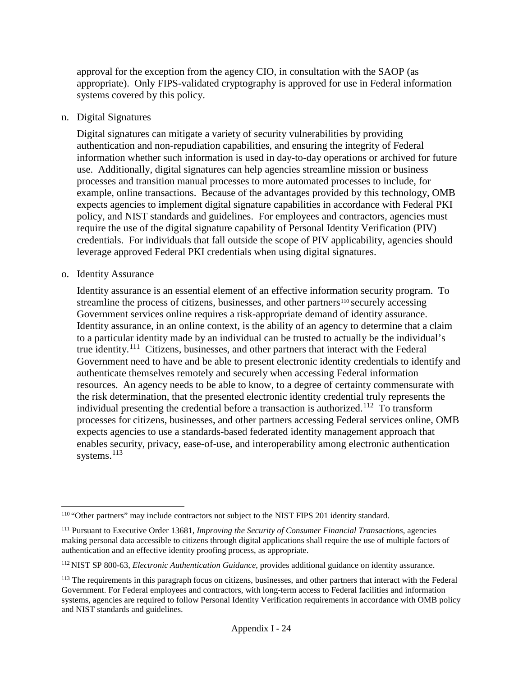approval for the exception from the agency CIO, in consultation with the SAOP (as appropriate). Only FIPS-validated cryptography is approved for use in Federal information systems covered by this policy.

#### n. Digital Signatures

Digital signatures can mitigate a variety of security vulnerabilities by providing authentication and non-repudiation capabilities, and ensuring the integrity of Federal information whether such information is used in day-to-day operations or archived for future use. Additionally, digital signatures can help agencies streamline mission or business processes and transition manual processes to more automated processes to include, for example, online transactions. Because of the advantages provided by this technology, OMB expects agencies to implement digital signature capabilities in accordance with Federal PKI policy, and NIST standards and guidelines. For employees and contractors, agencies must require the use of the digital signature capability of Personal Identity Verification (PIV) credentials. For individuals that fall outside the scope of PIV applicability, agencies should leverage approved Federal PKI credentials when using digital signatures.

#### o. Identity Assurance

Identity assurance is an essential element of an effective information security program. To streamline the process of citizens, businesses, and other partners<sup>[110](#page-60-0)</sup> securely accessing Government services online requires a risk-appropriate demand of identity assurance. Identity assurance, in an online context, is the ability of an agency to determine that a claim to a particular identity made by an individual can be trusted to actually be the individual's true identity.<sup>[111](#page-60-1)</sup> Citizens, businesses, and other partners that interact with the Federal Government need to have and be able to present electronic identity credentials to identify and authenticate themselves remotely and securely when accessing Federal information resources. An agency needs to be able to know, to a degree of certainty commensurate with the risk determination, that the presented electronic identity credential truly represents the individual presenting the credential before a transaction is authorized.<sup>[112](#page-60-2)</sup> To transform processes for citizens, businesses, and other partners accessing Federal services online, OMB expects agencies to use a standards-based federated identity management approach that enables security, privacy, ease-of-use, and interoperability among electronic authentication systems.<sup>[113](#page-60-3)</sup>

<span id="page-60-0"></span> $\overline{\phantom{a}}$ <sup>110</sup> "Other partners" may include contractors not subject to the NIST FIPS 201 identity standard.

<span id="page-60-1"></span><sup>111</sup> Pursuant to Executive Order 13681, *Improving the Security of Consumer Financial Transactions,* agencies making personal data accessible to citizens through digital applications shall require the use of multiple factors of authentication and an effective identity proofing process, as appropriate.

<span id="page-60-2"></span><sup>112</sup> NIST SP 800-63, *Electronic Authentication Guidance*, provides additional guidance on identity assurance.

<span id="page-60-3"></span><sup>&</sup>lt;sup>113</sup> The requirements in this paragraph focus on citizens, businesses, and other partners that interact with the Federal Government. For Federal employees and contractors, with long-term access to Federal facilities and information systems, agencies are required to follow Personal Identity Verification requirements in accordance with OMB policy and NIST standards and guidelines.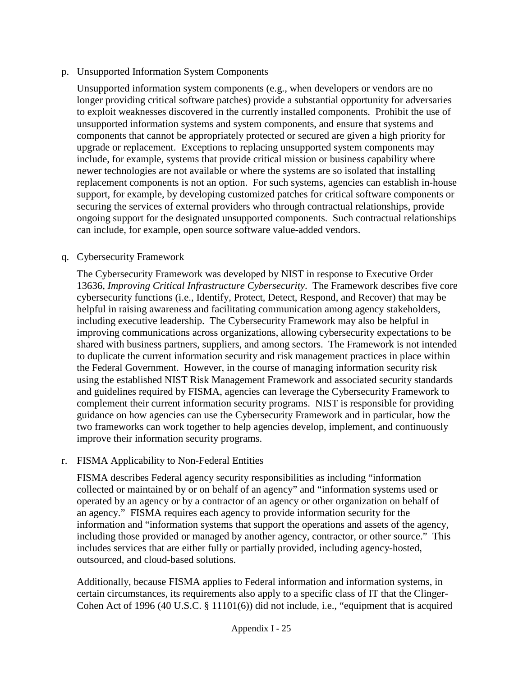## p. Unsupported Information System Components

Unsupported information system components (e.g., when developers or vendors are no longer providing critical software patches) provide a substantial opportunity for adversaries to exploit weaknesses discovered in the currently installed components. Prohibit the use of unsupported information systems and system components, and ensure that systems and components that cannot be appropriately protected or secured are given a high priority for upgrade or replacement. Exceptions to replacing unsupported system components may include, for example, systems that provide critical mission or business capability where newer technologies are not available or where the systems are so isolated that installing replacement components is not an option. For such systems, agencies can establish in-house support, for example, by developing customized patches for critical software components or securing the services of external providers who through contractual relationships, provide ongoing support for the designated unsupported components. Such contractual relationships can include, for example, open source software value-added vendors.

## q. Cybersecurity Framework

The Cybersecurity Framework was developed by NIST in response to Executive Order 13636, *Improving Critical Infrastructure Cybersecurity*. The Framework describes five core cybersecurity functions (i.e., Identify, Protect, Detect, Respond, and Recover) that may be helpful in raising awareness and facilitating communication among agency stakeholders, including executive leadership. The Cybersecurity Framework may also be helpful in improving communications across organizations, allowing cybersecurity expectations to be shared with business partners, suppliers, and among sectors. The Framework is not intended to duplicate the current information security and risk management practices in place within the Federal Government. However, in the course of managing information security risk using the established NIST Risk Management Framework and associated security standards and guidelines required by FISMA, agencies can leverage the Cybersecurity Framework to complement their current information security programs. NIST is responsible for providing guidance on how agencies can use the Cybersecurity Framework and in particular, how the two frameworks can work together to help agencies develop, implement, and continuously improve their information security programs.

# r. FISMA Applicability to Non-Federal Entities

FISMA describes Federal agency security responsibilities as including "information collected or maintained by or on behalf of an agency" and "information systems used or operated by an agency or by a contractor of an agency or other organization on behalf of an agency." FISMA requires each agency to provide information security for the information and "information systems that support the operations and assets of the agency, including those provided or managed by another agency, contractor, or other source." This includes services that are either fully or partially provided, including agency-hosted, outsourced, and cloud-based solutions.

Additionally, because FISMA applies to Federal information and information systems, in certain circumstances, its requirements also apply to a specific class of IT that the Clinger-Cohen Act of 1996 (40 U.S.C. § 11101(6)) did not include, i.e., "equipment that is acquired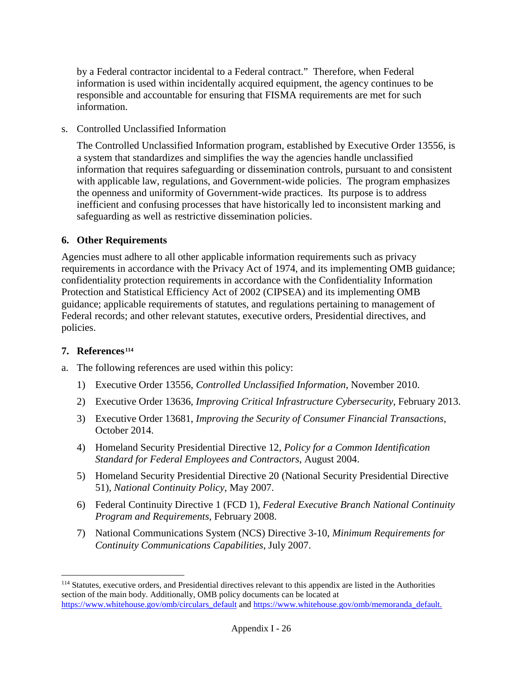by a Federal contractor incidental to a Federal contract." Therefore, when Federal information is used within incidentally acquired equipment, the agency continues to be responsible and accountable for ensuring that FISMA requirements are met for such information.

s. Controlled Unclassified Information

The Controlled Unclassified Information program, established by [Executive Order 13556, i](http://www.gpo.gov/fdsys/pkg/FR-2010-11-09/pdf/2010-28360.pdf)s a system that standardizes and simplifies the way the agencies handle unclassified information that requires safeguarding or dissemination controls, pursuant to and consistent with applicable law, regulations, and Government-wide policies. The program emphasizes the openness and uniformity of Government-wide practices. Its purpose is to address inefficient and confusing processes that have historically led to inconsistent marking and safeguarding as well as restrictive dissemination policies.

## **6. Other Requirements**

Agencies must adhere to all other applicable information requirements such as privacy requirements in accordance with the Privacy Act of 1974, and its implementing OMB guidance; confidentiality protection requirements in accordance with the Confidentiality Information Protection and Statistical Efficiency Act of 2002 (CIPSEA) and its implementing OMB guidance; applicable requirements of statutes, and regulations pertaining to management of Federal records; and other relevant statutes, executive orders, Presidential directives, and policies.

## **7. References[114](#page-62-0)**

 $\overline{\phantom{a}}$ 

- a. The following references are used within this policy:
	- 1) Executive Order 13556, *Controlled Unclassified Information*, November 2010.
	- 2) Executive Order 13636, *Improving Critical Infrastructure Cybersecurity*, February 2013.
	- 3) Executive Order 13681, *Improving the Security of Consumer Financial Transactions*, October 2014.
	- 4) Homeland Security Presidential Directive 12, *Policy for a Common Identification Standard for Federal Employees and Contractors*, August 2004.
	- 5) Homeland Security Presidential Directive 20 (National Security Presidential Directive 51), *National Continuity Policy*, May 2007.
	- 6) Federal Continuity Directive 1 (FCD 1), *Federal Executive Branch National Continuity Program and Requirements*, February 2008.
	- 7) National Communications System (NCS) Directive 3-10, *Minimum Requirements for Continuity Communications Capabilities*, July 2007.

<span id="page-62-0"></span><sup>&</sup>lt;sup>114</sup> Statutes, executive orders, and Presidential directives relevant to this appendix are listed in the Authorities section of the main body. Additionally, OMB policy documents can be located at [https://www.whitehouse.gov/omb/circulars\\_default](https://www.whitehouse.gov/omb/circulars_default) and [https://www.whitehouse.gov/omb/memoranda\\_default.](https://www.whitehouse.gov/omb/memoranda_default)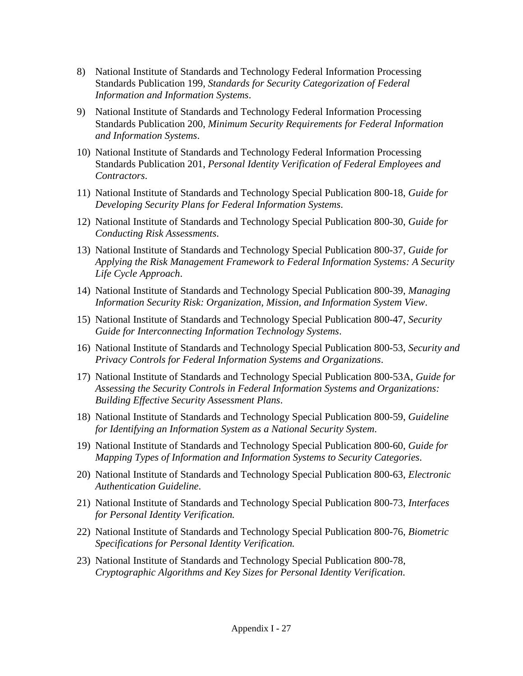- 8) National Institute of Standards and Technology Federal Information Processing Standards Publication 199, *Standards for Security Categorization of Federal Information and Information Systems*.
- 9) National Institute of Standards and Technology Federal Information Processing Standards Publication 200, *Minimum Security Requirements for Federal Information and Information Systems*.
- 10) National Institute of Standards and Technology Federal Information Processing Standards Publication 201, *Personal Identity Verification of Federal Employees and Contractors*.
- 11) National Institute of Standards and Technology Special Publication 800-18, *Guide for Developing Security Plans for Federal Information Systems*.
- 12) National Institute of Standards and Technology Special Publication 800-30, *Guide for Conducting Risk Assessments*.
- 13) National Institute of Standards and Technology Special Publication 800-37, *Guide for Applying the Risk Management Framework to Federal Information Systems: A Security Life Cycle Approach*.
- 14) National Institute of Standards and Technology Special Publication 800-39, *Managing Information Security Risk: Organization, Mission, and Information System View*.
- 15) National Institute of Standards and Technology Special Publication 800-47, *Security Guide for Interconnecting Information Technology Systems*.
- 16) National Institute of Standards and Technology Special Publication 800-53, *Security and Privacy Controls for Federal Information Systems and Organizations*.
- 17) National Institute of Standards and Technology Special Publication 800-53A, *Guide for Assessing the Security Controls in Federal Information Systems and Organizations: Building Effective Security Assessment Plans*.
- 18) National Institute of Standards and Technology Special Publication 800-59, *Guideline for Identifying an Information System as a National Security System*.
- 19) National Institute of Standards and Technology Special Publication 800-60, *Guide for Mapping Types of Information and Information Systems to Security Categories*.
- 20) National Institute of Standards and Technology Special Publication 800-63, *Electronic Authentication Guideline*.
- 21) National Institute of Standards and Technology Special Publication 800-73, *Interfaces for Personal Identity Verification.*
- 22) National Institute of Standards and Technology Special Publication 800-76, *Biometric Specifications for Personal Identity Verification.*
- 23) National Institute of Standards and Technology Special Publication 800-78, *Cryptographic Algorithms and Key Sizes for Personal Identity Verification*.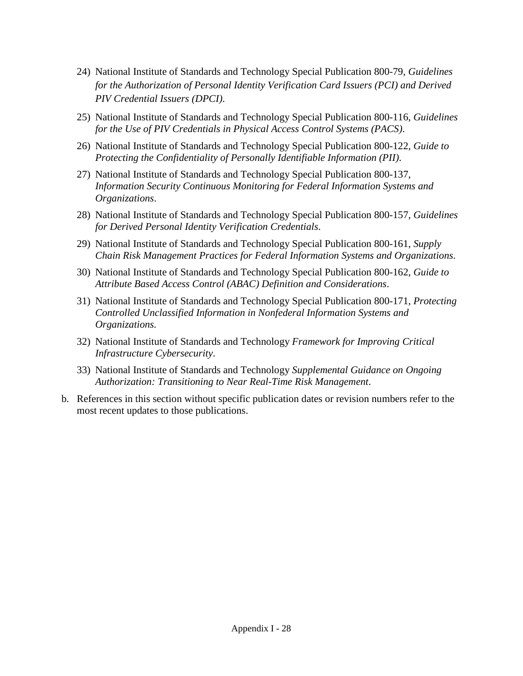- 24) National Institute of Standards and Technology Special Publication 800-79, *Guidelines for the Authorization of Personal Identity Verification Card Issuers (PCI) and Derived PIV Credential Issuers (DPCI)*.
- 25) National Institute of Standards and Technology Special Publication 800-116, *Guidelines for the Use of PIV Credentials in Physical Access Control Systems (PACS)*.
- 26) National Institute of Standards and Technology Special Publication 800-122, *Guide to Protecting the Confidentiality of Personally Identifiable Information (PII)*.
- 27) National Institute of Standards and Technology Special Publication 800-137, *Information Security Continuous Monitoring for Federal Information Systems and Organizations*.
- 28) National Institute of Standards and Technology Special Publication 800-157, *Guidelines for Derived Personal Identity Verification Credentials*.
- 29) National Institute of Standards and Technology Special Publication 800-161, *Supply Chain Risk Management Practices for Federal Information Systems and Organizations*.
- 30) National Institute of Standards and Technology Special Publication 800-162, *Guide to Attribute Based Access Control (ABAC) Definition and Considerations*.
- 31) National Institute of Standards and Technology Special Publication 800-171, *Protecting Controlled Unclassified Information in Nonfederal Information Systems and Organizations.*
- 32) National Institute of Standards and Technology *Framework for Improving Critical Infrastructure Cybersecurity*.
- 33) National Institute of Standards and Technology *Supplemental Guidance on Ongoing Authorization: Transitioning to Near Real-Time Risk Management*.
- b. References in this section without specific publication dates or revision numbers refer to the most recent updates to those publications.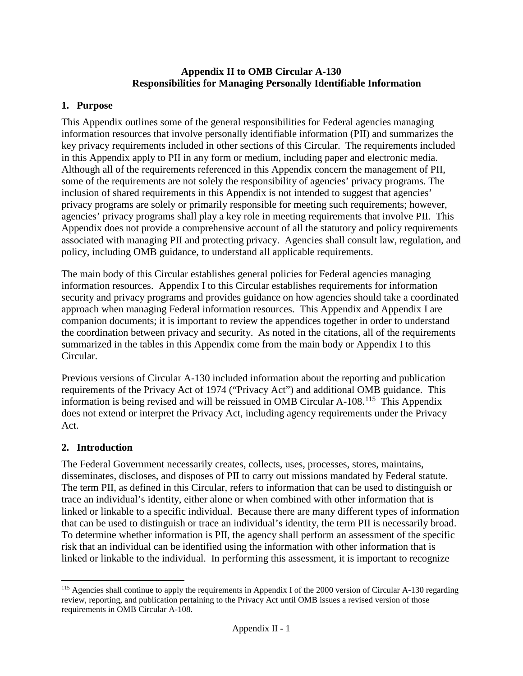# **Appendix II to OMB Circular A-130 Responsibilities for Managing Personally Identifiable Information**

# **1. Purpose**

This Appendix outlines some of the general responsibilities for Federal agencies managing information resources that involve personally identifiable information (PII) and summarizes the key privacy requirements included in other sections of this Circular. The requirements included in this Appendix apply to PII in any form or medium, including paper and electronic media. Although all of the requirements referenced in this Appendix concern the management of PII, some of the requirements are not solely the responsibility of agencies' privacy programs. The inclusion of shared requirements in this Appendix is not intended to suggest that agencies' privacy programs are solely or primarily responsible for meeting such requirements; however, agencies' privacy programs shall play a key role in meeting requirements that involve PII. This Appendix does not provide a comprehensive account of all the statutory and policy requirements associated with managing PII and protecting privacy. Agencies shall consult law, regulation, and policy, including OMB guidance, to understand all applicable requirements.

The main body of this Circular establishes general policies for Federal agencies managing information resources. Appendix I to this Circular establishes requirements for information security and privacy programs and provides guidance on how agencies should take a coordinated approach when managing Federal information resources. This Appendix and Appendix I are companion documents; it is important to review the appendices together in order to understand the coordination between privacy and security. As noted in the citations, all of the requirements summarized in the tables in this Appendix come from the main body or Appendix I to this Circular.

Previous versions of Circular A-130 included information about the reporting and publication requirements of the Privacy Act of 1974 ("Privacy Act") and additional OMB guidance. This information is being revised and will be reissued in OMB Circular  $A-108$ <sup>[115](#page-65-0)</sup>. This Appendix does not extend or interpret the Privacy Act, including agency requirements under the Privacy Act.

# **2. Introduction**

The Federal Government necessarily creates, collects, uses, processes, stores, maintains, disseminates, discloses, and disposes of PII to carry out missions mandated by Federal statute. The term PII, as defined in this Circular, refers to information that can be used to distinguish or trace an individual's identity, either alone or when combined with other information that is linked or linkable to a specific individual. Because there are many different types of information that can be used to distinguish or trace an individual's identity, the term PII is necessarily broad. To determine whether information is PII, the agency shall perform an assessment of the specific risk that an individual can be identified using the information with other information that is linked or linkable to the individual. In performing this assessment, it is important to recognize

<span id="page-65-0"></span> $\overline{\phantom{a}}$ <sup>115</sup> Agencies shall continue to apply the requirements in Appendix I of the 2000 version of Circular A-130 regarding review, reporting, and publication pertaining to the Privacy Act until OMB issues a revised version of those requirements in OMB Circular A-108.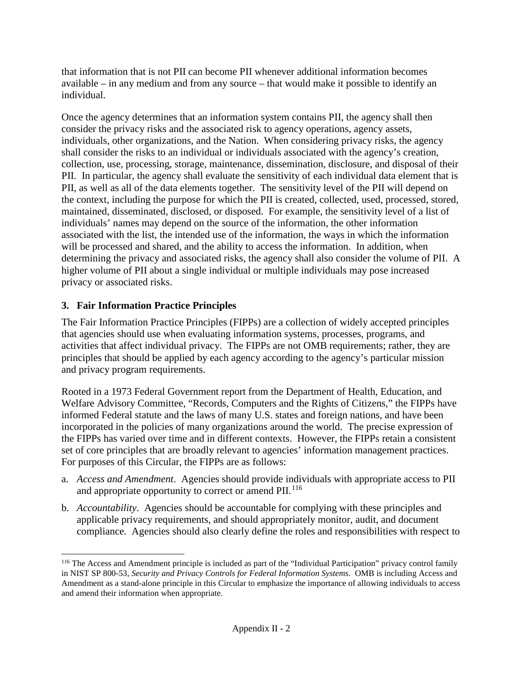that information that is not PII can become PII whenever additional information becomes available – in any medium and from any source – that would make it possible to identify an individual.

Once the agency determines that an information system contains PII, the agency shall then consider the privacy risks and the associated risk to agency operations, agency assets, individuals, other organizations, and the Nation. When considering privacy risks, the agency shall consider the risks to an individual or individuals associated with the agency's creation, collection, use, processing, storage, maintenance, dissemination, disclosure, and disposal of their PII. In particular, the agency shall evaluate the sensitivity of each individual data element that is PII, as well as all of the data elements together. The sensitivity level of the PII will depend on the context, including the purpose for which the PII is created, collected, used, processed, stored, maintained, disseminated, disclosed, or disposed. For example, the sensitivity level of a list of individuals' names may depend on the source of the information, the other information associated with the list, the intended use of the information, the ways in which the information will be processed and shared, and the ability to access the information. In addition, when determining the privacy and associated risks, the agency shall also consider the volume of PII. A higher volume of PII about a single individual or multiple individuals may pose increased privacy or associated risks.

## **3. Fair Information Practice Principles**

l

The Fair Information Practice Principles (FIPPs) are a collection of widely accepted principles that agencies should use when evaluating information systems, processes, programs, and activities that affect individual privacy. The FIPPs are not OMB requirements; rather, they are principles that should be applied by each agency according to the agency's particular mission and privacy program requirements.

Rooted in a 1973 Federal Government report from the Department of Health, Education, and Welfare Advisory Committee, "Records, Computers and the Rights of Citizens," the FIPPs have informed Federal statute and the laws of many U.S. states and foreign nations, and have been incorporated in the policies of many organizations around the world. The precise expression of the FIPPs has varied over time and in different contexts. However, the FIPPs retain a consistent set of core principles that are broadly relevant to agencies' information management practices. For purposes of this Circular, the FIPPs are as follows:

- a. *Access and Amendment*. Agencies should provide individuals with appropriate access to PII and appropriate opportunity to correct or amend PII.<sup>[116](#page-66-0)</sup>
- b. *Accountability*. Agencies should be accountable for complying with these principles and applicable privacy requirements, and should appropriately monitor, audit, and document compliance. Agencies should also clearly define the roles and responsibilities with respect to

<span id="page-66-0"></span><sup>&</sup>lt;sup>116</sup> The Access and Amendment principle is included as part of the "Individual Participation" privacy control family in NIST SP 800-53, *Security and Privacy Controls for Federal Information Systems*. OMB is including Access and Amendment as a stand-alone principle in this Circular to emphasize the importance of allowing individuals to access and amend their information when appropriate.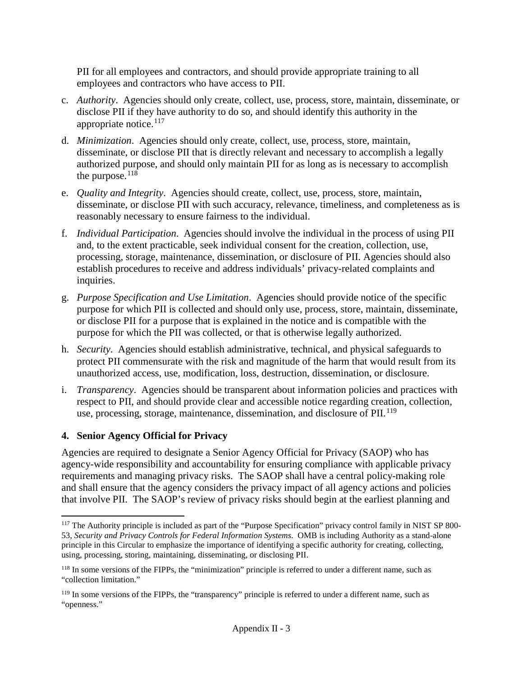PII for all employees and contractors, and should provide appropriate training to all employees and contractors who have access to PII.

- c. *Authority*. Agencies should only create, collect, use, process, store, maintain, disseminate, or disclose PII if they have authority to do so, and should identify this authority in the appropriate notice. $117$
- d. *Minimization*. Agencies should only create, collect, use, process, store, maintain, disseminate, or disclose PII that is directly relevant and necessary to accomplish a legally authorized purpose, and should only maintain PII for as long as is necessary to accomplish the purpose.  $118$
- e. *Quality and Integrity*. Agencies should create, collect, use, process, store, maintain, disseminate, or disclose PII with such accuracy, relevance, timeliness, and completeness as is reasonably necessary to ensure fairness to the individual.
- f. *Individual Participation*. Agencies should involve the individual in the process of using PII and, to the extent practicable, seek individual consent for the creation, collection, use, processing, storage, maintenance, dissemination, or disclosure of PII. Agencies should also establish procedures to receive and address individuals' privacy-related complaints and inquiries.
- g. *Purpose Specification and Use Limitation*. Agencies should provide notice of the specific purpose for which PII is collected and should only use, process, store, maintain, disseminate, or disclose PII for a purpose that is explained in the notice and is compatible with the purpose for which the PII was collected, or that is otherwise legally authorized.
- h. *Security*. Agencies should establish administrative, technical, and physical safeguards to protect PII commensurate with the risk and magnitude of the harm that would result from its unauthorized access, use, modification, loss, destruction, dissemination, or disclosure.
- i. *Transparency*. Agencies should be transparent about information policies and practices with respect to PII, and should provide clear and accessible notice regarding creation, collection, use, processing, storage, maintenance, dissemination, and disclosure of PII.<sup>[119](#page-67-2)</sup>

# **4. Senior Agency Official for Privacy**

Agencies are required to designate a Senior Agency Official for Privacy (SAOP) who has agency-wide responsibility and accountability for ensuring compliance with applicable privacy requirements and managing privacy risks. The SAOP shall have a central policy-making role and shall ensure that the agency considers the privacy impact of all agency actions and policies that involve PII. The SAOP's review of privacy risks should begin at the earliest planning and

<span id="page-67-0"></span>l  $117$  The Authority principle is included as part of the "Purpose Specification" privacy control family in NIST SP 800-53, *Security and Privacy Controls for Federal Information Systems*. OMB is including Authority as a stand-alone principle in this Circular to emphasize the importance of identifying a specific authority for creating, collecting, using, processing, storing, maintaining, disseminating, or disclosing PII.

<span id="page-67-1"></span><sup>118</sup> In some versions of the FIPPs, the "minimization" principle is referred to under a different name, such as "collection limitation."

<span id="page-67-2"></span><sup>&</sup>lt;sup>119</sup> In some versions of the FIPPs, the "transparency" principle is referred to under a different name, such as "openness."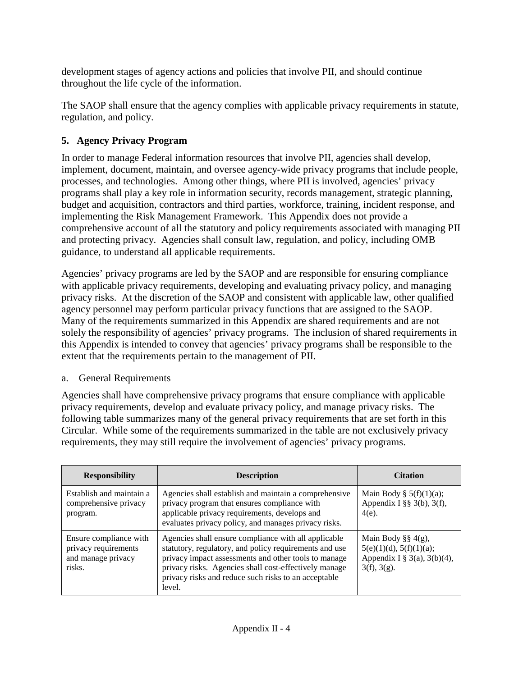development stages of agency actions and policies that involve PII, and should continue throughout the life cycle of the information.

The SAOP shall ensure that the agency complies with applicable privacy requirements in statute, regulation, and policy.

# **5. Agency Privacy Program**

In order to manage Federal information resources that involve PII, agencies shall develop, implement, document, maintain, and oversee agency-wide privacy programs that include people, processes, and technologies. Among other things, where PII is involved, agencies' privacy programs shall play a key role in information security, records management, strategic planning, budget and acquisition, contractors and third parties, workforce, training, incident response, and implementing the Risk Management Framework. This Appendix does not provide a comprehensive account of all the statutory and policy requirements associated with managing PII and protecting privacy. Agencies shall consult law, regulation, and policy, including OMB guidance, to understand all applicable requirements.

Agencies' privacy programs are led by the SAOP and are responsible for ensuring compliance with applicable privacy requirements, developing and evaluating privacy policy, and managing privacy risks. At the discretion of the SAOP and consistent with applicable law, other qualified agency personnel may perform particular privacy functions that are assigned to the SAOP. Many of the requirements summarized in this Appendix are shared requirements and are not solely the responsibility of agencies' privacy programs. The inclusion of shared requirements in this Appendix is intended to convey that agencies' privacy programs shall be responsible to the extent that the requirements pertain to the management of PII.

a. General Requirements

Agencies shall have comprehensive privacy programs that ensure compliance with applicable privacy requirements, develop and evaluate privacy policy, and manage privacy risks. The following table summarizes many of the general privacy requirements that are set forth in this Circular. While some of the requirements summarized in the table are not exclusively privacy requirements, they may still require the involvement of agencies' privacy programs.

| <b>Responsibility</b>                                                          | <b>Description</b>                                                                                                                                                                                                                                                                                | <b>Citation</b>                                                                                          |
|--------------------------------------------------------------------------------|---------------------------------------------------------------------------------------------------------------------------------------------------------------------------------------------------------------------------------------------------------------------------------------------------|----------------------------------------------------------------------------------------------------------|
| Establish and maintain a<br>comprehensive privacy<br>program.                  | Agencies shall establish and maintain a comprehensive<br>privacy program that ensures compliance with<br>applicable privacy requirements, develops and<br>evaluates privacy policy, and manages privacy risks.                                                                                    | Main Body § $5(f)(1)(a)$ ;<br>Appendix I $\S$ § 3(b), 3(f),<br>$4(e)$ .                                  |
| Ensure compliance with<br>privacy requirements<br>and manage privacy<br>risks. | Agencies shall ensure compliance with all applicable<br>statutory, regulatory, and policy requirements and use<br>privacy impact assessments and other tools to manage<br>privacy risks. Agencies shall cost-effectively manage<br>privacy risks and reduce such risks to an acceptable<br>level. | Main Body $\S$ § 4(g),<br>$5(e)(1)(d)$ , $5(f)(1)(a)$ ;<br>Appendix I $\S$ 3(a), 3(b)(4),<br>3(f), 3(g). |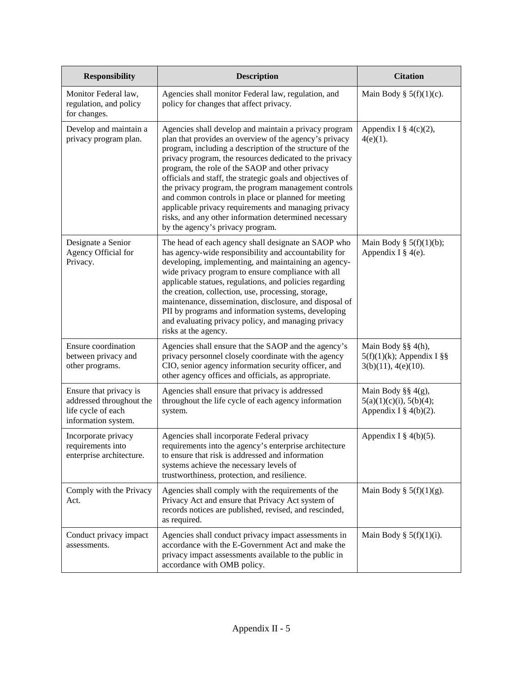| <b>Responsibility</b>                                                                           | <b>Description</b>                                                                                                                                                                                                                                                                                                                                                                                                                                                                                                                                                                                                          | <b>Citation</b>                                                                 |
|-------------------------------------------------------------------------------------------------|-----------------------------------------------------------------------------------------------------------------------------------------------------------------------------------------------------------------------------------------------------------------------------------------------------------------------------------------------------------------------------------------------------------------------------------------------------------------------------------------------------------------------------------------------------------------------------------------------------------------------------|---------------------------------------------------------------------------------|
| Monitor Federal law,<br>regulation, and policy<br>for changes.                                  | Agencies shall monitor Federal law, regulation, and<br>policy for changes that affect privacy.                                                                                                                                                                                                                                                                                                                                                                                                                                                                                                                              | Main Body § $5(f)(1)(c)$ .                                                      |
| Develop and maintain a<br>privacy program plan.                                                 | Agencies shall develop and maintain a privacy program<br>plan that provides an overview of the agency's privacy<br>program, including a description of the structure of the<br>privacy program, the resources dedicated to the privacy<br>program, the role of the SAOP and other privacy<br>officials and staff, the strategic goals and objectives of<br>the privacy program, the program management controls<br>and common controls in place or planned for meeting<br>applicable privacy requirements and managing privacy<br>risks, and any other information determined necessary<br>by the agency's privacy program. | Appendix I $\S$ 4(c)(2),<br>$4(e)(1)$ .                                         |
| Designate a Senior<br>Agency Official for<br>Privacy.                                           | The head of each agency shall designate an SAOP who<br>has agency-wide responsibility and accountability for<br>developing, implementing, and maintaining an agency-<br>wide privacy program to ensure compliance with all<br>applicable statues, regulations, and policies regarding<br>the creation, collection, use, processing, storage,<br>maintenance, dissemination, disclosure, and disposal of<br>PII by programs and information systems, developing<br>and evaluating privacy policy, and managing privacy<br>risks at the agency.                                                                               | Main Body § $5(f)(1)(b)$ ;<br>Appendix I $\S$ 4(e).                             |
| Ensure coordination<br>between privacy and<br>other programs.                                   | Agencies shall ensure that the SAOP and the agency's<br>privacy personnel closely coordinate with the agency<br>CIO, senior agency information security officer, and<br>other agency offices and officials, as appropriate.                                                                                                                                                                                                                                                                                                                                                                                                 | Main Body §§ 4(h),<br>$5(f)(1)(k)$ ; Appendix I §§<br>3(b)(11), 4(e)(10).       |
| Ensure that privacy is<br>addressed throughout the<br>life cycle of each<br>information system. | Agencies shall ensure that privacy is addressed<br>throughout the life cycle of each agency information<br>system.                                                                                                                                                                                                                                                                                                                                                                                                                                                                                                          | Main Body §§ 4(g),<br>$5(a)(1)(c)(i)$ , $5(b)(4)$ ;<br>Appendix I $\S$ 4(b)(2). |
| Incorporate privacy<br>requirements into<br>enterprise architecture.                            | Agencies shall incorporate Federal privacy<br>requirements into the agency's enterprise architecture<br>to ensure that risk is addressed and information<br>systems achieve the necessary levels of<br>trustworthiness, protection, and resilience.                                                                                                                                                                                                                                                                                                                                                                         | Appendix I $\S$ 4(b)(5).                                                        |
| Comply with the Privacy<br>Act.                                                                 | Agencies shall comply with the requirements of the<br>Privacy Act and ensure that Privacy Act system of<br>records notices are published, revised, and rescinded,<br>as required.                                                                                                                                                                                                                                                                                                                                                                                                                                           | Main Body § $5(f)(1)(g)$ .                                                      |
| Conduct privacy impact<br>assessments.                                                          | Agencies shall conduct privacy impact assessments in<br>accordance with the E-Government Act and make the<br>privacy impact assessments available to the public in<br>accordance with OMB policy.                                                                                                                                                                                                                                                                                                                                                                                                                           | Main Body § $5(f)(1)(i)$ .                                                      |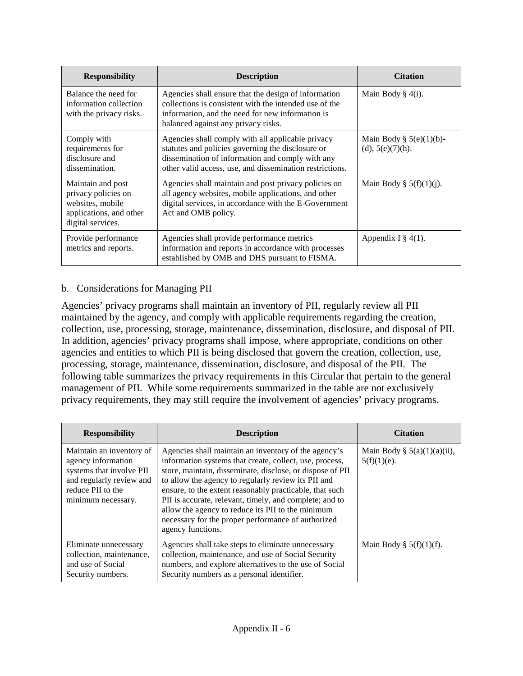| <b>Responsibility</b>                                                                                        | <b>Description</b>                                                                                                                                                                                                     | <b>Citation</b>                                |
|--------------------------------------------------------------------------------------------------------------|------------------------------------------------------------------------------------------------------------------------------------------------------------------------------------------------------------------------|------------------------------------------------|
| Balance the need for<br>information collection<br>with the privacy risks.                                    | Agencies shall ensure that the design of information<br>collections is consistent with the intended use of the<br>information, and the need for new information is<br>balanced against any privacy risks.              | Main Body § $4(i)$ .                           |
| Comply with<br>requirements for<br>disclosure and<br>dissemination.                                          | Agencies shall comply with all applicable privacy<br>statutes and policies governing the disclosure or<br>dissemination of information and comply with any<br>other valid access, use, and dissemination restrictions. | Main Body $\S$ 5(e)(1)(b)-<br>(d), 5(e)(7)(h). |
| Maintain and post<br>privacy policies on<br>websites, mobile<br>applications, and other<br>digital services. | Agencies shall maintain and post privacy policies on<br>all agency websites, mobile applications, and other<br>digital services, in accordance with the E-Government<br>Act and OMB policy.                            | Main Body § $5(f)(1)(j)$ .                     |
| Provide performance<br>metrics and reports.                                                                  | Agencies shall provide performance metrics<br>information and reports in accordance with processes<br>established by OMB and DHS pursuant to FISMA.                                                                    | Appendix I $\S$ 4(1).                          |

## b. Considerations for Managing PII

Agencies' privacy programs shall maintain an inventory of PII, regularly review all PII maintained by the agency, and comply with applicable requirements regarding the creation, collection, use, processing, storage, maintenance, dissemination, disclosure, and disposal of PII. In addition, agencies' privacy programs shall impose, where appropriate, conditions on other agencies and entities to which PII is being disclosed that govern the creation, collection, use, processing, storage, maintenance, dissemination, disclosure, and disposal of the PII. The following table summarizes the privacy requirements in this Circular that pertain to the general management of PII. While some requirements summarized in the table are not exclusively privacy requirements, they may still require the involvement of agencies' privacy programs.

| <b>Responsibility</b>                                                                                                                             | <b>Description</b>                                                                                                                                                                                                                                                                                                                                                                                                                                                                        | <b>Citation</b>                                  |
|---------------------------------------------------------------------------------------------------------------------------------------------------|-------------------------------------------------------------------------------------------------------------------------------------------------------------------------------------------------------------------------------------------------------------------------------------------------------------------------------------------------------------------------------------------------------------------------------------------------------------------------------------------|--------------------------------------------------|
| Maintain an inventory of<br>agency information<br>systems that involve PII<br>and regularly review and<br>reduce PII to the<br>minimum necessary. | Agencies shall maintain an inventory of the agency's<br>information systems that create, collect, use, process,<br>store, maintain, disseminate, disclose, or dispose of PII<br>to allow the agency to regularly review its PII and<br>ensure, to the extent reasonably practicable, that such<br>PII is accurate, relevant, timely, and complete; and to<br>allow the agency to reduce its PII to the minimum<br>necessary for the proper performance of authorized<br>agency functions. | Main Body § $5(a)(1)(a)(ii)$ ,<br>$5(f)(1)(e)$ . |
| Eliminate unnecessary<br>collection, maintenance,<br>and use of Social<br>Security numbers.                                                       | Agencies shall take steps to eliminate unnecessary<br>collection, maintenance, and use of Social Security<br>numbers, and explore alternatives to the use of Social<br>Security numbers as a personal identifier.                                                                                                                                                                                                                                                                         | Main Body § $5(f)(1)(f)$ .                       |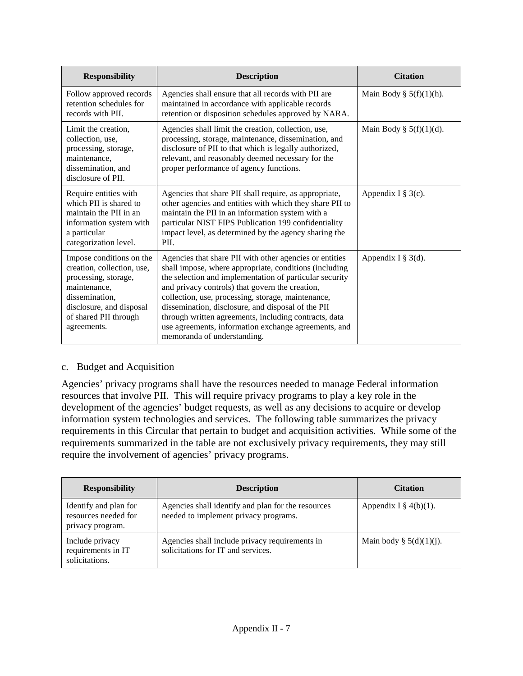| <b>Responsibility</b>                                                                                                                                                                | <b>Description</b>                                                                                                                                                                                                                                                                                                                                                                                                                                                                          | <b>Citation</b>            |
|--------------------------------------------------------------------------------------------------------------------------------------------------------------------------------------|---------------------------------------------------------------------------------------------------------------------------------------------------------------------------------------------------------------------------------------------------------------------------------------------------------------------------------------------------------------------------------------------------------------------------------------------------------------------------------------------|----------------------------|
| Follow approved records<br>retention schedules for<br>records with PII.                                                                                                              | Agencies shall ensure that all records with PII are<br>maintained in accordance with applicable records<br>retention or disposition schedules approved by NARA.                                                                                                                                                                                                                                                                                                                             | Main Body § $5(f)(1)(h)$ . |
| Limit the creation,<br>collection, use,<br>processing, storage,<br>maintenance,<br>dissemination, and<br>disclosure of PII.                                                          | Agencies shall limit the creation, collection, use,<br>processing, storage, maintenance, dissemination, and<br>disclosure of PII to that which is legally authorized,<br>relevant, and reasonably deemed necessary for the<br>proper performance of agency functions.                                                                                                                                                                                                                       | Main Body § $5(f)(1)(d)$ . |
| Require entities with<br>which PII is shared to<br>maintain the PII in an<br>information system with<br>a particular<br>categorization level.                                        | Agencies that share PII shall require, as appropriate,<br>other agencies and entities with which they share PII to<br>maintain the PII in an information system with a<br>particular NIST FIPS Publication 199 confidentiality<br>impact level, as determined by the agency sharing the<br>PII.                                                                                                                                                                                             | Appendix I $\S$ 3(c).      |
| Impose conditions on the<br>creation, collection, use,<br>processing, storage,<br>maintenance.<br>dissemination.<br>disclosure, and disposal<br>of shared PII through<br>agreements. | Agencies that share PII with other agencies or entities<br>shall impose, where appropriate, conditions (including<br>the selection and implementation of particular security<br>and privacy controls) that govern the creation,<br>collection, use, processing, storage, maintenance,<br>dissemination, disclosure, and disposal of the PII<br>through written agreements, including contracts, data<br>use agreements, information exchange agreements, and<br>memoranda of understanding. | Appendix I $\S$ 3(d).      |

## c. Budget and Acquisition

Agencies' privacy programs shall have the resources needed to manage Federal information resources that involve PII. This will require privacy programs to play a key role in the development of the agencies' budget requests, as well as any decisions to acquire or develop information system technologies and services. The following table summarizes the privacy requirements in this Circular that pertain to budget and acquisition activities. While some of the requirements summarized in the table are not exclusively privacy requirements, they may still require the involvement of agencies' privacy programs.

| <b>Responsibility</b>                                             | <b>Description</b>                                                                          | <b>Citation</b>            |
|-------------------------------------------------------------------|---------------------------------------------------------------------------------------------|----------------------------|
| Identify and plan for<br>resources needed for<br>privacy program. | Agencies shall identify and plan for the resources<br>needed to implement privacy programs. | Appendix I $\S$ 4(b)(1).   |
| Include privacy<br>requirements in IT<br>solicitations.           | Agencies shall include privacy requirements in<br>solicitations for IT and services.        | Main body § $5(d)(1)(i)$ . |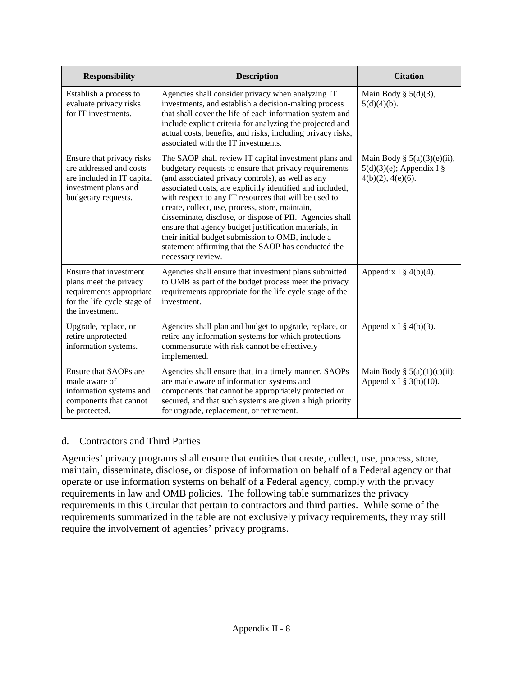| <b>Responsibility</b>                                                                                                             | <b>Description</b>                                                                                                                                                                                                                                                                                                                                                                                                                                                                                                                                                                                  | <b>Citation</b>                                                                    |
|-----------------------------------------------------------------------------------------------------------------------------------|-----------------------------------------------------------------------------------------------------------------------------------------------------------------------------------------------------------------------------------------------------------------------------------------------------------------------------------------------------------------------------------------------------------------------------------------------------------------------------------------------------------------------------------------------------------------------------------------------------|------------------------------------------------------------------------------------|
| Establish a process to<br>evaluate privacy risks<br>for IT investments.                                                           | Agencies shall consider privacy when analyzing IT<br>investments, and establish a decision-making process<br>that shall cover the life of each information system and<br>include explicit criteria for analyzing the projected and<br>actual costs, benefits, and risks, including privacy risks,<br>associated with the IT investments.                                                                                                                                                                                                                                                            | Main Body § $5(d)(3)$ ,<br>$5(d)(4)(b)$ .                                          |
| Ensure that privacy risks<br>are addressed and costs<br>are included in IT capital<br>investment plans and<br>budgetary requests. | The SAOP shall review IT capital investment plans and<br>budgetary requests to ensure that privacy requirements<br>(and associated privacy controls), as well as any<br>associated costs, are explicitly identified and included,<br>with respect to any IT resources that will be used to<br>create, collect, use, process, store, maintain,<br>disseminate, disclose, or dispose of PII. Agencies shall<br>ensure that agency budget justification materials, in<br>their initial budget submission to OMB, include a<br>statement affirming that the SAOP has conducted the<br>necessary review. | Main Body § $5(a)(3)(e)(ii)$ ,<br>$5(d)(3)(e)$ ; Appendix I §<br>4(b)(2), 4(e)(6). |
| Ensure that investment<br>plans meet the privacy<br>requirements appropriate<br>for the life cycle stage of<br>the investment.    | Agencies shall ensure that investment plans submitted<br>to OMB as part of the budget process meet the privacy<br>requirements appropriate for the life cycle stage of the<br>investment.                                                                                                                                                                                                                                                                                                                                                                                                           | Appendix I $\S$ 4(b)(4).                                                           |
| Upgrade, replace, or<br>retire unprotected<br>information systems.                                                                | Agencies shall plan and budget to upgrade, replace, or<br>retire any information systems for which protections<br>commensurate with risk cannot be effectively<br>implemented.                                                                                                                                                                                                                                                                                                                                                                                                                      | Appendix I $\S$ 4(b)(3).                                                           |
| Ensure that SAOPs are<br>made aware of<br>information systems and<br>components that cannot<br>be protected.                      | Agencies shall ensure that, in a timely manner, SAOPs<br>are made aware of information systems and<br>components that cannot be appropriately protected or<br>secured, and that such systems are given a high priority<br>for upgrade, replacement, or retirement.                                                                                                                                                                                                                                                                                                                                  | Main Body § $5(a)(1)(c)(ii)$ ;<br>Appendix I $\S$ 3(b)(10).                        |

### d. Contractors and Third Parties

Agencies' privacy programs shall ensure that entities that create, collect, use, process, store, maintain, disseminate, disclose, or dispose of information on behalf of a Federal agency or that operate or use information systems on behalf of a Federal agency, comply with the privacy requirements in law and OMB policies. The following table summarizes the privacy requirements in this Circular that pertain to contractors and third parties. While some of the requirements summarized in the table are not exclusively privacy requirements, they may still require the involvement of agencies' privacy programs.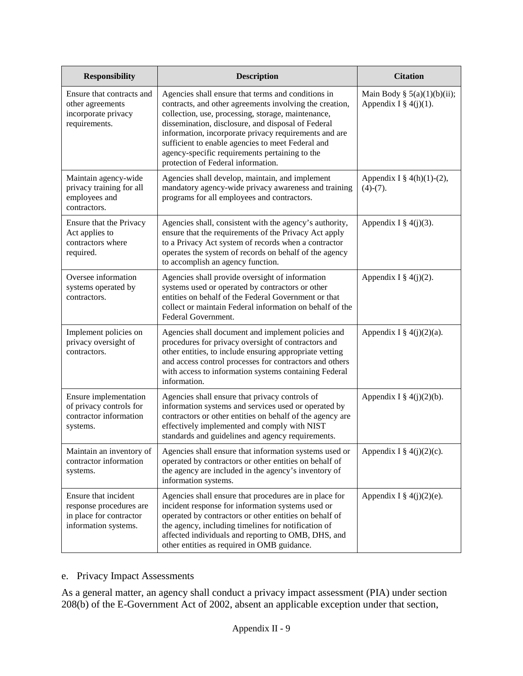| <b>Responsibility</b>                                                                              | <b>Description</b>                                                                                                                                                                                                                                                                                                                                                                                                              | <b>Citation</b>                                            |
|----------------------------------------------------------------------------------------------------|---------------------------------------------------------------------------------------------------------------------------------------------------------------------------------------------------------------------------------------------------------------------------------------------------------------------------------------------------------------------------------------------------------------------------------|------------------------------------------------------------|
| Ensure that contracts and<br>other agreements<br>incorporate privacy<br>requirements.              | Agencies shall ensure that terms and conditions in<br>contracts, and other agreements involving the creation,<br>collection, use, processing, storage, maintenance,<br>dissemination, disclosure, and disposal of Federal<br>information, incorporate privacy requirements and are<br>sufficient to enable agencies to meet Federal and<br>agency-specific requirements pertaining to the<br>protection of Federal information. | Main Body § $5(a)(1)(b)(ii)$ ;<br>Appendix I $\S$ 4(j)(1). |
| Maintain agency-wide<br>privacy training for all<br>employees and<br>contractors.                  | Agencies shall develop, maintain, and implement<br>mandatory agency-wide privacy awareness and training<br>programs for all employees and contractors.                                                                                                                                                                                                                                                                          | Appendix I $\S$ 4(h)(1)-(2),<br>$(4)-(7)$ .                |
| Ensure that the Privacy<br>Act applies to<br>contractors where<br>required.                        | Agencies shall, consistent with the agency's authority,<br>ensure that the requirements of the Privacy Act apply<br>to a Privacy Act system of records when a contractor<br>operates the system of records on behalf of the agency<br>to accomplish an agency function.                                                                                                                                                         | Appendix I $\S$ 4(j)(3).                                   |
| Oversee information<br>systems operated by<br>contractors.                                         | Agencies shall provide oversight of information<br>systems used or operated by contractors or other<br>entities on behalf of the Federal Government or that<br>collect or maintain Federal information on behalf of the<br>Federal Government.                                                                                                                                                                                  | Appendix I $\S$ 4(j)(2).                                   |
| Implement policies on<br>privacy oversight of<br>contractors.                                      | Agencies shall document and implement policies and<br>procedures for privacy oversight of contractors and<br>other entities, to include ensuring appropriate vetting<br>and access control processes for contractors and others<br>with access to information systems containing Federal<br>information.                                                                                                                        | Appendix I $\S$ 4(j)(2)(a).                                |
| <b>Ensure</b> implementation<br>of privacy controls for<br>contractor information<br>systems.      | Agencies shall ensure that privacy controls of<br>information systems and services used or operated by<br>contractors or other entities on behalf of the agency are<br>effectively implemented and comply with NIST<br>standards and guidelines and agency requirements.                                                                                                                                                        | Appendix I $\S$ 4(j)(2)(b).                                |
| Maintain an inventory of<br>contractor information<br>systems.                                     | Agencies shall ensure that information systems used or<br>operated by contractors or other entities on behalf of<br>the agency are included in the agency's inventory of<br>information systems.                                                                                                                                                                                                                                | Appendix I $\S$ 4(j)(2)(c).                                |
| Ensure that incident<br>response procedures are<br>in place for contractor<br>information systems. | Agencies shall ensure that procedures are in place for<br>incident response for information systems used or<br>operated by contractors or other entities on behalf of<br>the agency, including timelines for notification of<br>affected individuals and reporting to OMB, DHS, and<br>other entities as required in OMB guidance.                                                                                              | Appendix I $\S$ 4(j)(2)(e).                                |

## e. Privacy Impact Assessments

As a general matter, an agency shall conduct a privacy impact assessment (PIA) under section 208(b) of the E-Government Act of 2002, absent an applicable exception under that section,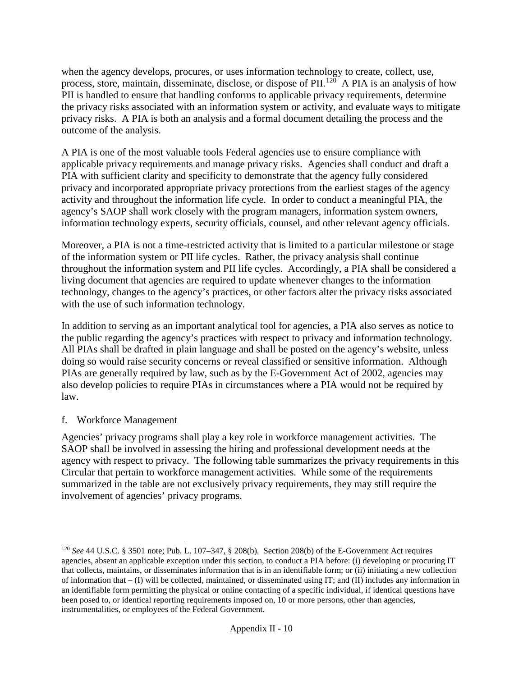when the agency develops, procures, or uses information technology to create, collect, use, process, store, maintain, disseminate, disclose, or dispose of PII.<sup>[120](#page-74-0)</sup> A PIA is an analysis of how PII is handled to ensure that handling conforms to applicable privacy requirements, determine the privacy risks associated with an information system or activity, and evaluate ways to mitigate privacy risks. A PIA is both an analysis and a formal document detailing the process and the outcome of the analysis.

A PIA is one of the most valuable tools Federal agencies use to ensure compliance with applicable privacy requirements and manage privacy risks. Agencies shall conduct and draft a PIA with sufficient clarity and specificity to demonstrate that the agency fully considered privacy and incorporated appropriate privacy protections from the earliest stages of the agency activity and throughout the information life cycle. In order to conduct a meaningful PIA, the agency's SAOP shall work closely with the program managers, information system owners, information technology experts, security officials, counsel, and other relevant agency officials.

Moreover, a PIA is not a time-restricted activity that is limited to a particular milestone or stage of the information system or PII life cycles. Rather, the privacy analysis shall continue throughout the information system and PII life cycles. Accordingly, a PIA shall be considered a living document that agencies are required to update whenever changes to the information technology, changes to the agency's practices, or other factors alter the privacy risks associated with the use of such information technology.

In addition to serving as an important analytical tool for agencies, a PIA also serves as notice to the public regarding the agency's practices with respect to privacy and information technology. All PIAs shall be drafted in plain language and shall be posted on the agency's website, unless doing so would raise security concerns or reveal classified or sensitive information. Although PIAs are generally required by law, such as by the E-Government Act of 2002, agencies may also develop policies to require PIAs in circumstances where a PIA would not be required by law.

#### f. Workforce Management

Agencies' privacy programs shall play a key role in workforce management activities. The SAOP shall be involved in assessing the hiring and professional development needs at the agency with respect to privacy. The following table summarizes the privacy requirements in this Circular that pertain to workforce management activities. While some of the requirements summarized in the table are not exclusively privacy requirements, they may still require the involvement of agencies' privacy programs.

<span id="page-74-0"></span> $\overline{a}$ <sup>120</sup> *See* 44 U.S.C. § 3501 note; Pub. L. 107–347, § 208(b). Section 208(b) of the E-Government Act requires agencies, absent an applicable exception under this section, to conduct a PIA before: (i) developing or procuring IT that collects, maintains, or disseminates information that is in an identifiable form; or (ii) initiating a new collection of information that – (I) will be collected, maintained, or disseminated using IT; and (II) includes any information in an identifiable form permitting the physical or online contacting of a specific individual, if identical questions have been posed to, or identical reporting requirements imposed on, 10 or more persons, other than agencies, instrumentalities, or employees of the Federal Government.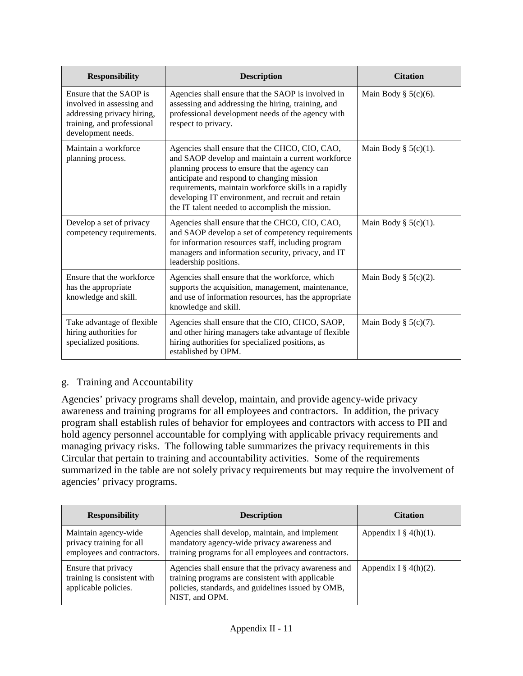| <b>Responsibility</b>                                                                                                                  | <b>Description</b>                                                                                                                                                                                                                                                                                                                                                  | <b>Citation</b>         |
|----------------------------------------------------------------------------------------------------------------------------------------|---------------------------------------------------------------------------------------------------------------------------------------------------------------------------------------------------------------------------------------------------------------------------------------------------------------------------------------------------------------------|-------------------------|
| Ensure that the SAOP is<br>involved in assessing and<br>addressing privacy hiring,<br>training, and professional<br>development needs. | Agencies shall ensure that the SAOP is involved in<br>assessing and addressing the hiring, training, and<br>professional development needs of the agency with<br>respect to privacy.                                                                                                                                                                                | Main Body § $5(c)(6)$ . |
| Maintain a workforce<br>planning process.                                                                                              | Agencies shall ensure that the CHCO, CIO, CAO,<br>and SAOP develop and maintain a current workforce<br>planning process to ensure that the agency can<br>anticipate and respond to changing mission<br>requirements, maintain workforce skills in a rapidly<br>developing IT environment, and recruit and retain<br>the IT talent needed to accomplish the mission. | Main Body § $5(c)(1)$ . |
| Develop a set of privacy<br>competency requirements.                                                                                   | Agencies shall ensure that the CHCO, CIO, CAO,<br>and SAOP develop a set of competency requirements<br>for information resources staff, including program<br>managers and information security, privacy, and IT<br>leadership positions.                                                                                                                            | Main Body § $5(c)(1)$ . |
| Ensure that the workforce<br>has the appropriate.<br>knowledge and skill.                                                              | Agencies shall ensure that the workforce, which<br>supports the acquisition, management, maintenance,<br>and use of information resources, has the appropriate<br>knowledge and skill.                                                                                                                                                                              | Main Body § $5(c)(2)$ . |
| Take advantage of flexible<br>hiring authorities for<br>specialized positions.                                                         | Agencies shall ensure that the CIO, CHCO, SAOP,<br>and other hiring managers take advantage of flexible<br>hiring authorities for specialized positions, as<br>established by OPM.                                                                                                                                                                                  | Main Body § $5(c)(7)$ . |

### g. Training and Accountability

Agencies' privacy programs shall develop, maintain, and provide agency-wide privacy awareness and training programs for all employees and contractors. In addition, the privacy program shall establish rules of behavior for employees and contractors with access to PII and hold agency personnel accountable for complying with applicable privacy requirements and managing privacy risks. The following table summarizes the privacy requirements in this Circular that pertain to training and accountability activities. Some of the requirements summarized in the table are not solely privacy requirements but may require the involvement of agencies' privacy programs.

| <b>Responsibility</b>                                                          | <b>Description</b>                                                                                                                                                               | <b>Citation</b>          |
|--------------------------------------------------------------------------------|----------------------------------------------------------------------------------------------------------------------------------------------------------------------------------|--------------------------|
| Maintain agency-wide<br>privacy training for all<br>employees and contractors. | Agencies shall develop, maintain, and implement<br>mandatory agency-wide privacy awareness and<br>training programs for all employees and contractors.                           | Appendix I $\S$ 4(h)(1). |
| Ensure that privacy<br>training is consistent with<br>applicable policies.     | Agencies shall ensure that the privacy awareness and<br>training programs are consistent with applicable<br>policies, standards, and guidelines issued by OMB,<br>NIST, and OPM. | Appendix I $\S$ 4(h)(2). |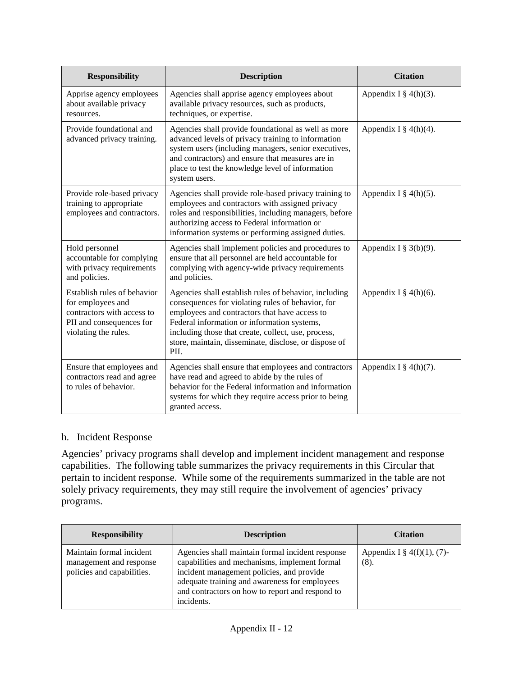| <b>Responsibility</b>                                                                                                              | <b>Description</b>                                                                                                                                                                                                                                                                                                                 | <b>Citation</b>          |
|------------------------------------------------------------------------------------------------------------------------------------|------------------------------------------------------------------------------------------------------------------------------------------------------------------------------------------------------------------------------------------------------------------------------------------------------------------------------------|--------------------------|
| Apprise agency employees<br>about available privacy<br>resources.                                                                  | Agencies shall apprise agency employees about<br>available privacy resources, such as products,<br>techniques, or expertise.                                                                                                                                                                                                       | Appendix I $\S$ 4(h)(3). |
| Provide foundational and<br>advanced privacy training.                                                                             | Agencies shall provide foundational as well as more<br>advanced levels of privacy training to information<br>system users (including managers, senior executives,<br>and contractors) and ensure that measures are in<br>place to test the knowledge level of information<br>system users.                                         | Appendix I $\S$ 4(h)(4). |
| Provide role-based privacy<br>training to appropriate<br>employees and contractors.                                                | Agencies shall provide role-based privacy training to<br>employees and contractors with assigned privacy<br>roles and responsibilities, including managers, before<br>authorizing access to Federal information or<br>information systems or performing assigned duties.                                                           | Appendix I $\S$ 4(h)(5). |
| Hold personnel<br>accountable for complying<br>with privacy requirements<br>and policies.                                          | Agencies shall implement policies and procedures to<br>ensure that all personnel are held accountable for<br>complying with agency-wide privacy requirements<br>and policies.                                                                                                                                                      | Appendix I $\S$ 3(b)(9). |
| Establish rules of behavior<br>for employees and<br>contractors with access to<br>PII and consequences for<br>violating the rules. | Agencies shall establish rules of behavior, including<br>consequences for violating rules of behavior, for<br>employees and contractors that have access to<br>Federal information or information systems,<br>including those that create, collect, use, process,<br>store, maintain, disseminate, disclose, or dispose of<br>PII. | Appendix I $\S$ 4(h)(6). |
| Ensure that employees and<br>contractors read and agree<br>to rules of behavior.                                                   | Agencies shall ensure that employees and contractors<br>have read and agreed to abide by the rules of<br>behavior for the Federal information and information<br>systems for which they require access prior to being<br>granted access.                                                                                           | Appendix I $\S$ 4(h)(7). |

### h. Incident Response

Agencies' privacy programs shall develop and implement incident management and response capabilities. The following table summarizes the privacy requirements in this Circular that pertain to incident response. While some of the requirements summarized in the table are not solely privacy requirements, they may still require the involvement of agencies' privacy programs.

| <b>Responsibility</b>                                                             | <b>Description</b>                                                                                                                                                                                                                                               | <b>Citation</b>                       |
|-----------------------------------------------------------------------------------|------------------------------------------------------------------------------------------------------------------------------------------------------------------------------------------------------------------------------------------------------------------|---------------------------------------|
| Maintain formal incident<br>management and response<br>policies and capabilities. | Agencies shall maintain formal incident response<br>capabilities and mechanisms, implement formal<br>incident management policies, and provide<br>adequate training and awareness for employees<br>and contractors on how to report and respond to<br>incidents. | Appendix I $\S$ 4(f)(1), (7)-<br>(8). |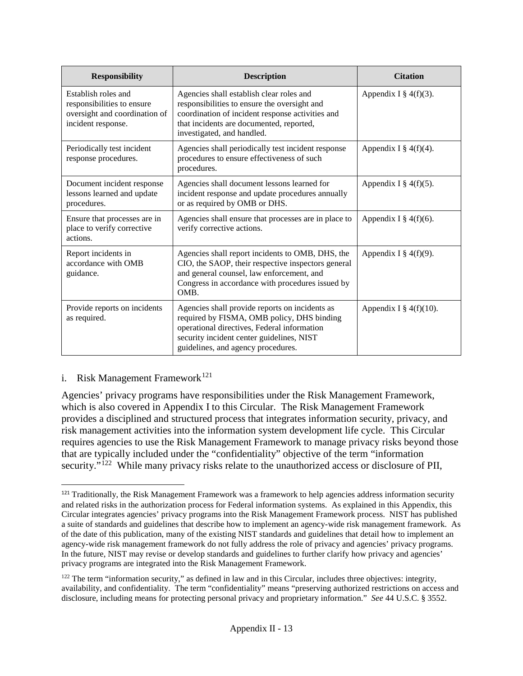| <b>Responsibility</b>                                                                                    | <b>Description</b>                                                                                                                                                                                                             | <b>Citation</b>           |
|----------------------------------------------------------------------------------------------------------|--------------------------------------------------------------------------------------------------------------------------------------------------------------------------------------------------------------------------------|---------------------------|
| Establish roles and<br>responsibilities to ensure<br>oversight and coordination of<br>incident response. | Agencies shall establish clear roles and<br>responsibilities to ensure the oversight and<br>coordination of incident response activities and<br>that incidents are documented, reported,<br>investigated, and handled.         | Appendix I $\S$ 4(f)(3).  |
| Periodically test incident<br>response procedures.                                                       | Agencies shall periodically test incident response<br>procedures to ensure effectiveness of such<br>procedures.                                                                                                                | Appendix I $\S$ 4(f)(4).  |
| Document incident response<br>lessons learned and update<br>procedures.                                  | Agencies shall document lessons learned for<br>incident response and update procedures annually<br>or as required by OMB or DHS.                                                                                               | Appendix I $\S$ 4(f)(5).  |
| Ensure that processes are in<br>place to verify corrective<br>actions.                                   | Agencies shall ensure that processes are in place to<br>verify corrective actions.                                                                                                                                             | Appendix I $\S$ 4(f)(6).  |
| Report incidents in<br>accordance with OMB<br>guidance.                                                  | Agencies shall report incidents to OMB, DHS, the<br>CIO, the SAOP, their respective inspectors general<br>and general counsel, law enforcement, and<br>Congress in accordance with procedures issued by<br>OMB.                | Appendix I $\S$ 4(f)(9).  |
| Provide reports on incidents<br>as required.                                                             | Agencies shall provide reports on incidents as<br>required by FISMA, OMB policy, DHS binding<br>operational directives, Federal information<br>security incident center guidelines, NIST<br>guidelines, and agency procedures. | Appendix I $\S$ 4(f)(10). |

#### i. Risk Management Framework<sup>[121](#page-77-0)</sup>

Agencies' privacy programs have responsibilities under the Risk Management Framework, which is also covered in Appendix I to this Circular. The Risk Management Framework provides a disciplined and structured process that integrates information security, privacy, and risk management activities into the information system development life cycle. This Circular requires agencies to use the Risk Management Framework to manage privacy risks beyond those that are typically included under the "confidentiality" objective of the term "information security."<sup>[122](#page-77-1)</sup> While many privacy risks relate to the unauthorized access or disclosure of PII,

<span id="page-77-0"></span><sup>&</sup>lt;sup>121</sup> Traditionally, the Risk Management Framework was a framework to help agencies address information security and related risks in the authorization process for Federal information systems. As explained in this Appendix, this Circular integrates agencies' privacy programs into the Risk Management Framework process. NIST has published a suite of standards and guidelines that describe how to implement an agency-wide risk management framework. As of the date of this publication, many of the existing NIST standards and guidelines that detail how to implement an agency-wide risk management framework do not fully address the role of privacy and agencies' privacy programs. In the future, NIST may revise or develop standards and guidelines to further clarify how privacy and agencies' privacy programs are integrated into the Risk Management Framework.

<span id="page-77-1"></span> $122$  The term "information security," as defined in law and in this Circular, includes three objectives: integrity, availability, and confidentiality. The term "confidentiality" means "preserving authorized restrictions on access and disclosure, including means for protecting personal privacy and proprietary information." *See* 44 U.S.C. § 3552.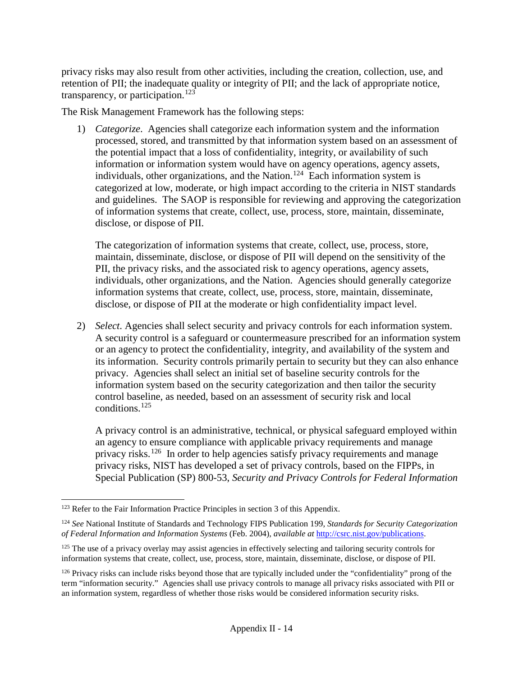privacy risks may also result from other activities, including the creation, collection, use, and retention of PII; the inadequate quality or integrity of PII; and the lack of appropriate notice, transparency, or participation.<sup>[123](#page-78-0)</sup>

The Risk Management Framework has the following steps:

1) *Categorize*. Agencies shall categorize each information system and the information processed, stored, and transmitted by that information system based on an assessment of the potential impact that a loss of confidentiality, integrity, or availability of such information or information system would have on agency operations, agency assets, individuals, other organizations, and the Nation.<sup>[124](#page-78-1)</sup> Each information system is categorized at low, moderate, or high impact according to the criteria in NIST standards and guidelines. The SAOP is responsible for reviewing and approving the categorization of information systems that create, collect, use, process, store, maintain, disseminate, disclose, or dispose of PII.

The categorization of information systems that create, collect, use, process, store, maintain, disseminate, disclose, or dispose of PII will depend on the sensitivity of the PII, the privacy risks, and the associated risk to agency operations, agency assets, individuals, other organizations, and the Nation. Agencies should generally categorize information systems that create, collect, use, process, store, maintain, disseminate, disclose, or dispose of PII at the moderate or high confidentiality impact level.

2) *Select*. Agencies shall select security and privacy controls for each information system. A security control is a safeguard or countermeasure prescribed for an information system or an agency to protect the confidentiality, integrity, and availability of the system and its information. Security controls primarily pertain to security but they can also enhance privacy. Agencies shall select an initial set of baseline security controls for the information system based on the security categorization and then tailor the security control baseline, as needed, based on an assessment of security risk and local conditions.[125](#page-78-2)

A privacy control is an administrative, technical, or physical safeguard employed within an agency to ensure compliance with applicable privacy requirements and manage privacy risks.[126](#page-78-3) In order to help agencies satisfy privacy requirements and manage privacy risks, NIST has developed a set of privacy controls, based on the FIPPs, in Special Publication (SP) 800-53, *Security and Privacy Controls for Federal Information* 

 $\overline{\phantom{a}}$ 

<span id="page-78-0"></span><sup>&</sup>lt;sup>123</sup> Refer to the Fair Information Practice Principles in section 3 of this Appendix.

<span id="page-78-1"></span><sup>124</sup> *See* National Institute of Standards and Technology FIPS Publication 199, *Standards for Security Categorization of Federal Information and Information Systems* (Feb. 2004), *available at* [http://csrc.nist.gov/publications.](http://csrc.nist.gov/publications)

<span id="page-78-2"></span> $125$  The use of a privacy overlay may assist agencies in effectively selecting and tailoring security controls for information systems that create, collect, use, process, store, maintain, disseminate, disclose, or dispose of PII.

<span id="page-78-3"></span><sup>&</sup>lt;sup>126</sup> Privacy risks can include risks beyond those that are typically included under the "confidentiality" prong of the term "information security." Agencies shall use privacy controls to manage all privacy risks associated with PII or an information system, regardless of whether those risks would be considered information security risks.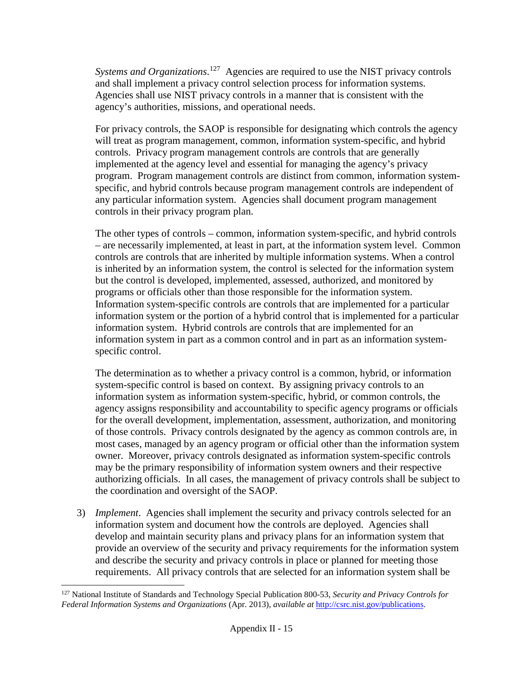Systems and Organizations.<sup>[127](#page-79-0)</sup> Agencies are required to use the NIST privacy controls and shall implement a privacy control selection process for information systems. Agencies shall use NIST privacy controls in a manner that is consistent with the agency's authorities, missions, and operational needs.

For privacy controls, the SAOP is responsible for designating which controls the agency will treat as program management, common, information system-specific, and hybrid controls. Privacy program management controls are controls that are generally implemented at the agency level and essential for managing the agency's privacy program. Program management controls are distinct from common, information systemspecific, and hybrid controls because program management controls are independent of any particular information system. Agencies shall document program management controls in their privacy program plan.

The other types of controls – common, information system-specific, and hybrid controls – are necessarily implemented, at least in part, at the information system level. Common controls are controls that are inherited by multiple information systems. When a control is inherited by an information system, the control is selected for the information system but the control is developed, implemented, assessed, authorized, and monitored by programs or officials other than those responsible for the information system. Information system-specific controls are controls that are implemented for a particular information system or the portion of a hybrid control that is implemented for a particular information system. Hybrid controls are controls that are implemented for an information system in part as a common control and in part as an information systemspecific control.

The determination as to whether a privacy control is a common, hybrid, or information system-specific control is based on context. By assigning privacy controls to an information system as information system-specific, hybrid, or common controls, the agency assigns responsibility and accountability to specific agency programs or officials for the overall development, implementation, assessment, authorization, and monitoring of those controls. Privacy controls designated by the agency as common controls are, in most cases, managed by an agency program or official other than the information system owner. Moreover, privacy controls designated as information system-specific controls may be the primary responsibility of information system owners and their respective authorizing officials. In all cases, the management of privacy controls shall be subject to the coordination and oversight of the SAOP.

3) *Implement*. Agencies shall implement the security and privacy controls selected for an information system and document how the controls are deployed. Agencies shall develop and maintain security plans and privacy plans for an information system that provide an overview of the security and privacy requirements for the information system and describe the security and privacy controls in place or planned for meeting those requirements. All privacy controls that are selected for an information system shall be

l

<span id="page-79-0"></span><sup>127</sup> National Institute of Standards and Technology Special Publication 800-53, *Security and Privacy Controls for Federal Information Systems and Organizations* (Apr. 2013), *available at* [http://csrc.nist.gov/publications.](http://csrc.nist.gov/publications)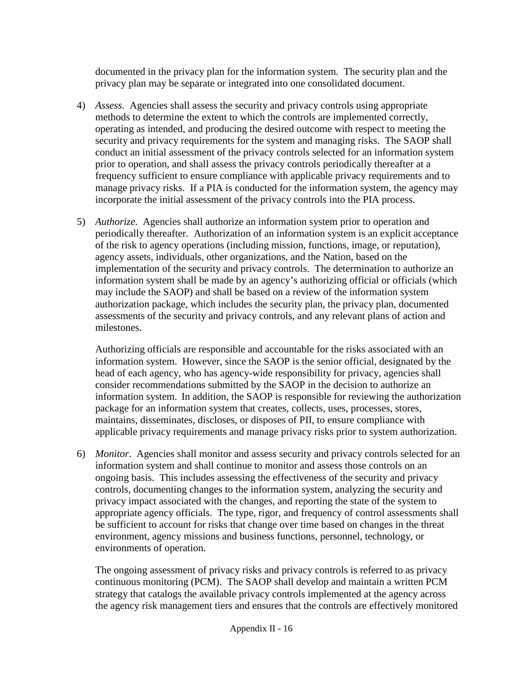documented in the privacy plan for the information system. The security plan and the privacy plan may be separate or integrated into one consolidated document.

- 4) *Assess*. Agencies shall assess the security and privacy controls using appropriate methods to determine the extent to which the controls are implemented correctly, operating as intended, and producing the desired outcome with respect to meeting the security and privacy requirements for the system and managing risks. The SAOP shall conduct an initial assessment of the privacy controls selected for an information system prior to operation, and shall assess the privacy controls periodically thereafter at a frequency sufficient to ensure compliance with applicable privacy requirements and to manage privacy risks. If a PIA is conducted for the information system, the agency may incorporate the initial assessment of the privacy controls into the PIA process.
- 5) *Authorize*. Agencies shall authorize an information system prior to operation and periodically thereafter. Authorization of an information system is an explicit acceptance of the risk to agency operations (including mission, functions, image, or reputation), agency assets, individuals, other organizations, and the Nation, based on the implementation of the security and privacy controls. The determination to authorize an information system shall be made by an agency's authorizing official or officials (which may include the SAOP) and shall be based on a review of the information system authorization package, which includes the security plan, the privacy plan, documented assessments of the security and privacy controls, and any relevant plans of action and milestones.

Authorizing officials are responsible and accountable for the risks associated with an information system. However, since the SAOP is the senior official, designated by the head of each agency, who has agency-wide responsibility for privacy, agencies shall consider recommendations submitted by the SAOP in the decision to authorize an information system. In addition, the SAOP is responsible for reviewing the authorization package for an information system that creates, collects, uses, processes, stores, maintains, disseminates, discloses, or disposes of PII, to ensure compliance with applicable privacy requirements and manage privacy risks prior to system authorization.

6) *Monitor*. Agencies shall monitor and assess security and privacy controls selected for an information system and shall continue to monitor and assess those controls on an ongoing basis. This includes assessing the effectiveness of the security and privacy controls, documenting changes to the information system, analyzing the security and privacy impact associated with the changes, and reporting the state of the system to appropriate agency officials. The type, rigor, and frequency of control assessments shall be sufficient to account for risks that change over time based on changes in the threat environment, agency missions and business functions, personnel, technology, or environments of operation.

The ongoing assessment of privacy risks and privacy controls is referred to as privacy continuous monitoring (PCM). The SAOP shall develop and maintain a written PCM strategy that catalogs the available privacy controls implemented at the agency across the agency risk management tiers and ensures that the controls are effectively monitored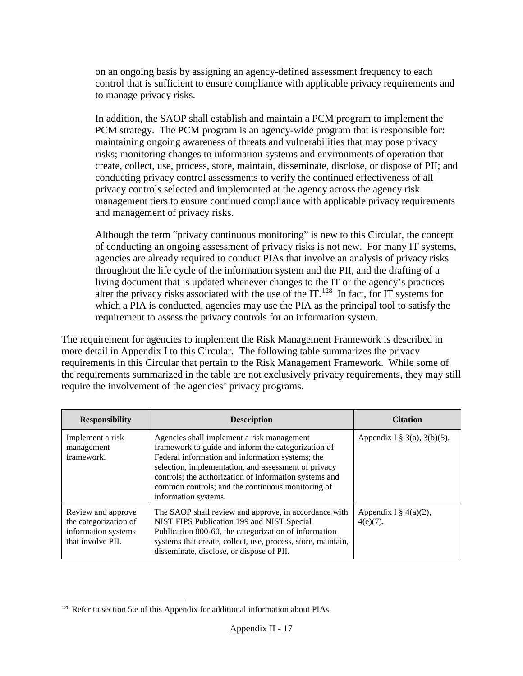on an ongoing basis by assigning an agency-defined assessment frequency to each control that is sufficient to ensure compliance with applicable privacy requirements and to manage privacy risks.

In addition, the SAOP shall establish and maintain a PCM program to implement the PCM strategy. The PCM program is an agency-wide program that is responsible for: maintaining ongoing awareness of threats and vulnerabilities that may pose privacy risks; monitoring changes to information systems and environments of operation that create, collect, use, process, store, maintain, disseminate, disclose, or dispose of PII; and conducting privacy control assessments to verify the continued effectiveness of all privacy controls selected and implemented at the agency across the agency risk management tiers to ensure continued compliance with applicable privacy requirements and management of privacy risks.

Although the term "privacy continuous monitoring" is new to this Circular, the concept of conducting an ongoing assessment of privacy risks is not new. For many IT systems, agencies are already required to conduct PIAs that involve an analysis of privacy risks throughout the life cycle of the information system and the PII, and the drafting of a living document that is updated whenever changes to the IT or the agency's practices alter the privacy risks associated with the use of the IT.<sup>[128](#page-81-0)</sup> In fact, for IT systems for which a PIA is conducted, agencies may use the PIA as the principal tool to satisfy the requirement to assess the privacy controls for an information system.

The requirement for agencies to implement the Risk Management Framework is described in more detail in Appendix I to this Circular*.* The following table summarizes the privacy requirements in this Circular that pertain to the Risk Management Framework. While some of the requirements summarized in the table are not exclusively privacy requirements, they may still require the involvement of the agencies' privacy programs.

| <b>Responsibility</b>                                                                   | <b>Description</b>                                                                                                                                                                                                                                                                                                                                   | <b>Citation</b>                         |
|-----------------------------------------------------------------------------------------|------------------------------------------------------------------------------------------------------------------------------------------------------------------------------------------------------------------------------------------------------------------------------------------------------------------------------------------------------|-----------------------------------------|
| Implement a risk<br>management<br>framework.                                            | Agencies shall implement a risk management<br>framework to guide and inform the categorization of<br>Federal information and information systems; the<br>selection, implementation, and assessment of privacy<br>controls; the authorization of information systems and<br>common controls; and the continuous monitoring of<br>information systems. | Appendix I $\S$ 3(a), 3(b)(5).          |
| Review and approve<br>the categorization of<br>information systems<br>that involve PII. | The SAOP shall review and approve, in accordance with<br>NIST FIPS Publication 199 and NIST Special<br>Publication 800-60, the categorization of information<br>systems that create, collect, use, process, store, maintain,<br>disseminate, disclose, or dispose of PII.                                                                            | Appendix I $\S$ 4(a)(2),<br>$4(e)(7)$ . |

 $\overline{a}$ 

<span id="page-81-0"></span><sup>&</sup>lt;sup>128</sup> Refer to section 5.e of this Appendix for additional information about PIAs.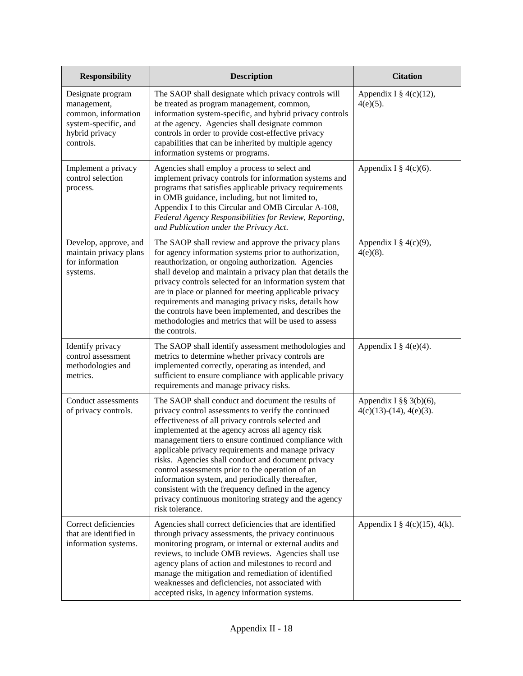| <b>Responsibility</b>                                                                                          | <b>Description</b>                                                                                                                                                                                                                                                                                                                                                                                                                                                                                                                                                                                                                 | <b>Citation</b>                                          |
|----------------------------------------------------------------------------------------------------------------|------------------------------------------------------------------------------------------------------------------------------------------------------------------------------------------------------------------------------------------------------------------------------------------------------------------------------------------------------------------------------------------------------------------------------------------------------------------------------------------------------------------------------------------------------------------------------------------------------------------------------------|----------------------------------------------------------|
| Designate program<br>management,<br>common, information<br>system-specific, and<br>hybrid privacy<br>controls. | The SAOP shall designate which privacy controls will<br>be treated as program management, common,<br>information system-specific, and hybrid privacy controls<br>at the agency. Agencies shall designate common<br>controls in order to provide cost-effective privacy<br>capabilities that can be inherited by multiple agency<br>information systems or programs.                                                                                                                                                                                                                                                                | Appendix I $\S$ 4(c)(12),<br>$4(e)(5)$ .                 |
| Implement a privacy<br>control selection<br>process.                                                           | Agencies shall employ a process to select and<br>implement privacy controls for information systems and<br>programs that satisfies applicable privacy requirements<br>in OMB guidance, including, but not limited to,<br>Appendix I to this Circular and OMB Circular A-108,<br>Federal Agency Responsibilities for Review, Reporting,<br>and Publication under the Privacy Act.                                                                                                                                                                                                                                                   | Appendix I $\S$ 4(c)(6).                                 |
| Develop, approve, and<br>maintain privacy plans<br>for information<br>systems.                                 | The SAOP shall review and approve the privacy plans<br>for agency information systems prior to authorization,<br>reauthorization, or ongoing authorization. Agencies<br>shall develop and maintain a privacy plan that details the<br>privacy controls selected for an information system that<br>are in place or planned for meeting applicable privacy<br>requirements and managing privacy risks, details how<br>the controls have been implemented, and describes the<br>methodologies and metrics that will be used to assess<br>the controls.                                                                                | Appendix I $\S$ 4(c)(9),<br>$4(e)(8)$ .                  |
| Identify privacy<br>control assessment<br>methodologies and<br>metrics.                                        | The SAOP shall identify assessment methodologies and<br>metrics to determine whether privacy controls are<br>implemented correctly, operating as intended, and<br>sufficient to ensure compliance with applicable privacy<br>requirements and manage privacy risks.                                                                                                                                                                                                                                                                                                                                                                | Appendix I $\S$ 4(e)(4).                                 |
| Conduct assessments<br>of privacy controls.                                                                    | The SAOP shall conduct and document the results of<br>privacy control assessments to verify the continued<br>effectiveness of all privacy controls selected and<br>implemented at the agency across all agency risk<br>management tiers to ensure continued compliance with<br>applicable privacy requirements and manage privacy<br>risks. Agencies shall conduct and document privacy<br>control assessments prior to the operation of an<br>information system, and periodically thereafter,<br>consistent with the frequency defined in the agency<br>privacy continuous monitoring strategy and the agency<br>risk tolerance. | Appendix I $\S\S 3(b)(6)$ ,<br>$4(c)(13)-(14), 4(e)(3).$ |
| Correct deficiencies<br>that are identified in<br>information systems.                                         | Agencies shall correct deficiencies that are identified<br>through privacy assessments, the privacy continuous<br>monitoring program, or internal or external audits and<br>reviews, to include OMB reviews. Agencies shall use<br>agency plans of action and milestones to record and<br>manage the mitigation and remediation of identified<br>weaknesses and deficiencies, not associated with<br>accepted risks, in agency information systems.                                                                                                                                                                                | Appendix I $\S$ 4(c)(15), 4(k).                          |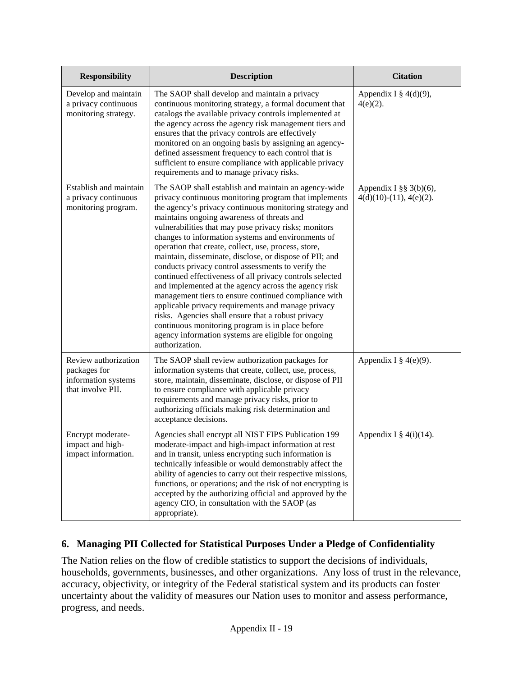| <b>Responsibility</b>                                                            | <b>Description</b>                                                                                                                                                                                                                                                                                                                                                                                                                                                                                                                                                                                                                                                                                                                                                                                                                                                                                                                  | <b>Citation</b>                                         |
|----------------------------------------------------------------------------------|-------------------------------------------------------------------------------------------------------------------------------------------------------------------------------------------------------------------------------------------------------------------------------------------------------------------------------------------------------------------------------------------------------------------------------------------------------------------------------------------------------------------------------------------------------------------------------------------------------------------------------------------------------------------------------------------------------------------------------------------------------------------------------------------------------------------------------------------------------------------------------------------------------------------------------------|---------------------------------------------------------|
| Develop and maintain<br>a privacy continuous<br>monitoring strategy.             | The SAOP shall develop and maintain a privacy<br>continuous monitoring strategy, a formal document that<br>catalogs the available privacy controls implemented at<br>the agency across the agency risk management tiers and<br>ensures that the privacy controls are effectively<br>monitored on an ongoing basis by assigning an agency-<br>defined assessment frequency to each control that is<br>sufficient to ensure compliance with applicable privacy<br>requirements and to manage privacy risks.                                                                                                                                                                                                                                                                                                                                                                                                                           | Appendix I $\S$ 4(d)(9),<br>$4(e)(2)$ .                 |
| Establish and maintain<br>a privacy continuous<br>monitoring program.            | The SAOP shall establish and maintain an agency-wide<br>privacy continuous monitoring program that implements<br>the agency's privacy continuous monitoring strategy and<br>maintains ongoing awareness of threats and<br>vulnerabilities that may pose privacy risks; monitors<br>changes to information systems and environments of<br>operation that create, collect, use, process, store,<br>maintain, disseminate, disclose, or dispose of PII; and<br>conducts privacy control assessments to verify the<br>continued effectiveness of all privacy controls selected<br>and implemented at the agency across the agency risk<br>management tiers to ensure continued compliance with<br>applicable privacy requirements and manage privacy<br>risks. Agencies shall ensure that a robust privacy<br>continuous monitoring program is in place before<br>agency information systems are eligible for ongoing<br>authorization. | Appendix I $\S$ § 3(b)(6),<br>$4(d)(10)-(11), 4(e)(2).$ |
| Review authorization<br>packages for<br>information systems<br>that involve PII. | The SAOP shall review authorization packages for<br>information systems that create, collect, use, process,<br>store, maintain, disseminate, disclose, or dispose of PII<br>to ensure compliance with applicable privacy<br>requirements and manage privacy risks, prior to<br>authorizing officials making risk determination and<br>acceptance decisions.                                                                                                                                                                                                                                                                                                                                                                                                                                                                                                                                                                         | Appendix I $\S$ 4(e)(9).                                |
| Encrypt moderate-<br>impact and high-<br>impact information.                     | Agencies shall encrypt all NIST FIPS Publication 199<br>moderate-impact and high-impact information at rest<br>and in transit, unless encrypting such information is<br>technically infeasible or would demonstrably affect the<br>ability of agencies to carry out their respective missions,<br>functions, or operations; and the risk of not encrypting is<br>accepted by the authorizing official and approved by the<br>agency CIO, in consultation with the SAOP (as<br>appropriate).                                                                                                                                                                                                                                                                                                                                                                                                                                         | Appendix I $\S$ 4(i)(14).                               |

# **6. Managing PII Collected for Statistical Purposes Under a Pledge of Confidentiality**

The Nation relies on the flow of credible statistics to support the decisions of individuals, households, governments, businesses, and other organizations. Any loss of trust in the relevance, accuracy, objectivity, or integrity of the Federal statistical system and its products can foster uncertainty about the validity of measures our Nation uses to monitor and assess performance, progress, and needs.